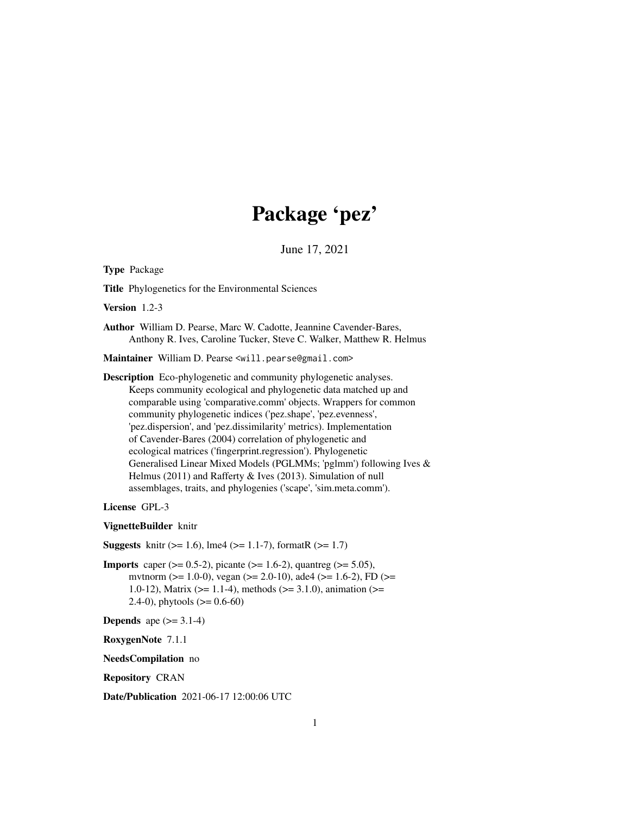# Package 'pez'

June 17, 2021

<span id="page-0-0"></span>Type Package

Title Phylogenetics for the Environmental Sciences

Version 1.2-3

Author William D. Pearse, Marc W. Cadotte, Jeannine Cavender-Bares, Anthony R. Ives, Caroline Tucker, Steve C. Walker, Matthew R. Helmus

Maintainer William D. Pearse <will.pearse@gmail.com>

Description Eco-phylogenetic and community phylogenetic analyses. Keeps community ecological and phylogenetic data matched up and comparable using 'comparative.comm' objects. Wrappers for common community phylogenetic indices ('pez.shape', 'pez.evenness', 'pez.dispersion', and 'pez.dissimilarity' metrics). Implementation of Cavender-Bares (2004) correlation of phylogenetic and ecological matrices ('fingerprint.regression'). Phylogenetic Generalised Linear Mixed Models (PGLMMs; 'pglmm') following Ives & Helmus (2011) and Rafferty & Ives (2013). Simulation of null assemblages, traits, and phylogenies ('scape', 'sim.meta.comm').

License GPL-3

VignetteBuilder knitr

**Suggests** knitr ( $>= 1.6$ ), lme4 ( $>= 1.1$ -7), formatR ( $>= 1.7$ )

**Imports** caper ( $> = 0.5-2$ ), picante ( $> = 1.6-2$ ), quantreg ( $> = 5.05$ ), mvtnorm (>= 1.0-0), vegan (>= 2.0-10), ade4 (>= 1.6-2), FD (>= 1.0-12), Matrix ( $>= 1.1-4$ ), methods ( $>= 3.1.0$ ), animation ( $>=$ 2.4-0), phytools  $(>= 0.6-60)$ 

```
Depends ape (>= 3.1-4)
```
RoxygenNote 7.1.1

NeedsCompilation no

Repository CRAN

Date/Publication 2021-06-17 12:00:06 UTC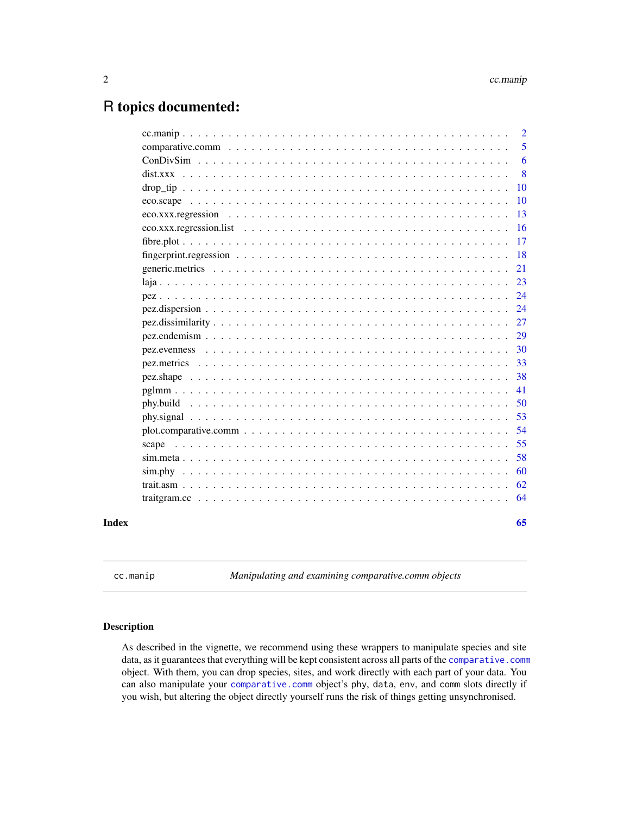## <span id="page-1-0"></span>R topics documented:

|       |                                                                                                         | $\overline{2}$ |
|-------|---------------------------------------------------------------------------------------------------------|----------------|
|       |                                                                                                         | 5              |
|       |                                                                                                         | 6              |
|       |                                                                                                         | 8              |
|       |                                                                                                         | 10             |
|       |                                                                                                         | 10             |
|       |                                                                                                         | 13             |
|       |                                                                                                         | 16             |
|       |                                                                                                         | 17             |
|       |                                                                                                         | 18             |
|       |                                                                                                         | 21             |
|       |                                                                                                         | 23             |
|       |                                                                                                         | 24             |
|       |                                                                                                         | 24             |
|       |                                                                                                         | 27             |
|       |                                                                                                         | 29             |
|       |                                                                                                         | 30             |
|       |                                                                                                         | 33             |
|       |                                                                                                         | 38             |
|       |                                                                                                         | 41             |
|       |                                                                                                         | 50             |
|       |                                                                                                         | 53             |
|       | $plot. comparative. comm \dots \dots \dots \dots \dots \dots \dots \dots \dots \dots \dots \dots \dots$ | 54             |
|       | scape                                                                                                   | 55             |
|       |                                                                                                         | 58             |
|       |                                                                                                         | 60             |
|       |                                                                                                         | 62             |
|       |                                                                                                         | 64             |
| Index |                                                                                                         | 65             |

<span id="page-1-1"></span>cc.manip *Manipulating and examining comparative.comm objects*

## <span id="page-1-2"></span>Description

As described in the vignette, we recommend using these wrappers to manipulate species and site data, as it guarantees that everything will be kept consistent across all parts of the [comparative.comm](#page-4-1) object. With them, you can drop species, sites, and work directly with each part of your data. You can also manipulate your [comparative.comm](#page-4-1) object's phy, data, env, and comm slots directly if you wish, but altering the object directly yourself runs the risk of things getting unsynchronised.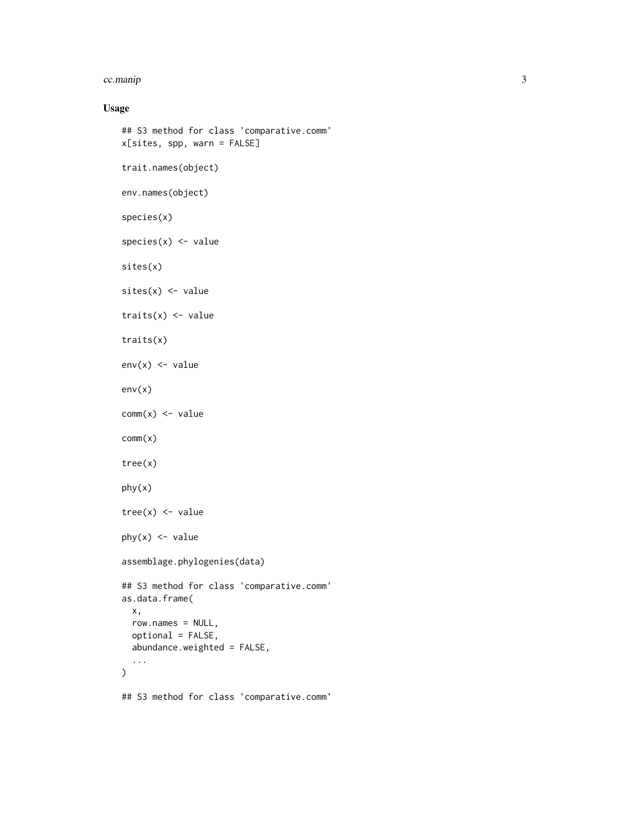#### cc.manip 3

## Usage

```
## S3 method for class 'comparative.comm'
x[sites, spp, warn = FALSE]
trait.names(object)
env.names(object)
species(x)
species(x) < - valuesites(x)
sites(x) <- value
traits(x) < - value
traits(x)
env(x) <- value
env(x)
comm(x) <- value
comm(x)
tree(x)
phy(x)
tree(x) < - valuephy(x) <- value
assemblage.phylogenies(data)
## S3 method for class 'comparative.comm'
as.data.frame(
 x,
 row.names = NULL,
 optional = FALSE,
 abundance.weighted = FALSE,
  ...
)
## S3 method for class 'comparative.comm'
```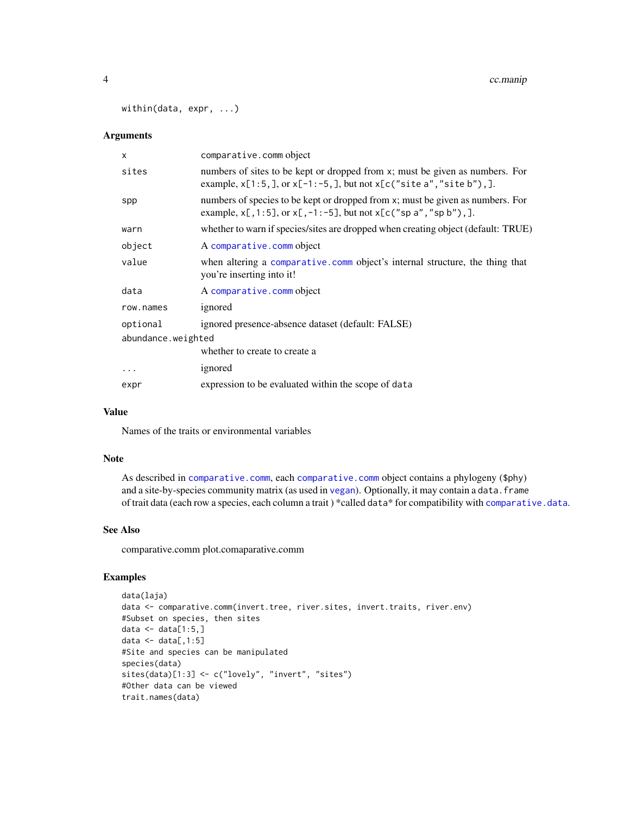<span id="page-3-0"></span>within(data, expr, ...)

## Arguments

| $\mathsf{x}$       | comparative.comm object                                                                                                                                        |
|--------------------|----------------------------------------------------------------------------------------------------------------------------------------------------------------|
| sites              | numbers of sites to be kept or dropped from x; must be given as numbers. For<br>example, $x[1:5, ]$ , or $x[-1:-5, ]$ , but not $x[c("site a", "site b"), ]$ . |
| spp                | numbers of species to be kept or dropped from x; must be given as numbers. For<br>example, $x[, 1:5],$ or $x[, -1:-5],$ but not $x[ c("sp a", "sp b"), ]$ .    |
| warn               | whether to warn if species/sites are dropped when creating object (default: TRUE)                                                                              |
| object             | A comparative.comm object                                                                                                                                      |
| value              | when altering a comparative comm object's internal structure, the thing that<br>you're inserting into it!                                                      |
| data               | A comparative.comm object                                                                                                                                      |
| row.names          | ignored                                                                                                                                                        |
| optional           | ignored presence-absence dataset (default: FALSE)                                                                                                              |
| abundance.weighted |                                                                                                                                                                |
|                    | whether to create to create a                                                                                                                                  |
| $\cdots$           | ignored                                                                                                                                                        |
| expr               | expression to be evaluated within the scope of data                                                                                                            |

## Value

Names of the traits or environmental variables

#### Note

As described in [comparative.comm](#page-4-1), each [comparative.comm](#page-4-1) object contains a phylogeny (\$phy) and a site-by-species community matrix (as used in [vegan](#page-0-0)). Optionally, it may contain a data. frame of trait data (each row a species, each column a trait) \*called data\* for compatibility with [comparative.data](#page-0-0).

#### See Also

comparative.comm plot.comaparative.comm

## Examples

```
data(laja)
data <- comparative.comm(invert.tree, river.sites, invert.traits, river.env)
#Subset on species, then sites
data \leq data[1:5,]
data \leq data[,1:5]
#Site and species can be manipulated
species(data)
sites(data)[1:3] <- c("lovely", "invert", "sites")
#Other data can be viewed
trait.names(data)
```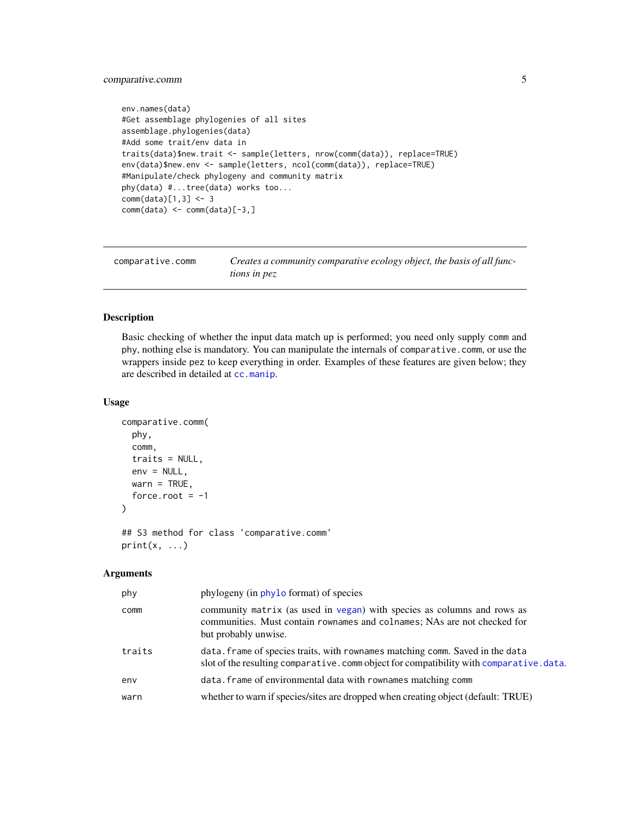## <span id="page-4-0"></span>comparative.comm 5

```
env.names(data)
#Get assemblage phylogenies of all sites
assemblage.phylogenies(data)
#Add some trait/env data in
traits(data)$new.trait <- sample(letters, nrow(comm(data)), replace=TRUE)
env(data)$new.env <- sample(letters, ncol(comm(data)), replace=TRUE)
#Manipulate/check phylogeny and community matrix
phy(data) #...tree(data) works too...
comm(data)[1,3] <- 3
comm(data) <- comm(data)[-3,]
```
<span id="page-4-1"></span>

| comparative.comm | Creates a community comparative ecology object, the basis of all func- |
|------------------|------------------------------------------------------------------------|
|                  | <i>tions in pez</i>                                                    |

## Description

Basic checking of whether the input data match up is performed; you need only supply comm and phy, nothing else is mandatory. You can manipulate the internals of comparative.comm, or use the wrappers inside pez to keep everything in order. Examples of these features are given below; they are described in detailed at [cc.manip](#page-1-1).

## Usage

```
comparative.comm(
  phy,
  comm,
  traits = NULL,
  env = NULL,warn = TRUE,
  force.root = -1)
```

```
## S3 method for class 'comparative.comm'
print(x, \ldots)
```
#### Arguments

| phy    | phylogeny (in phylo format) of species                                                                                                                                      |
|--------|-----------------------------------------------------------------------------------------------------------------------------------------------------------------------------|
| comm   | community matrix (as used in vegan) with species as columns and rows as<br>communities. Must contain rownames and colnames; NAs are not checked for<br>but probably unwise. |
| traits | data. Frame of species traits, with rownames matching comm. Saved in the data<br>slot of the resulting comparative. comm object for compatibility with comparative. data.   |
| env    | data. frame of environmental data with rownames matching comm                                                                                                               |
| warn   | whether to warn if species/sites are dropped when creating object (default: TRUE)                                                                                           |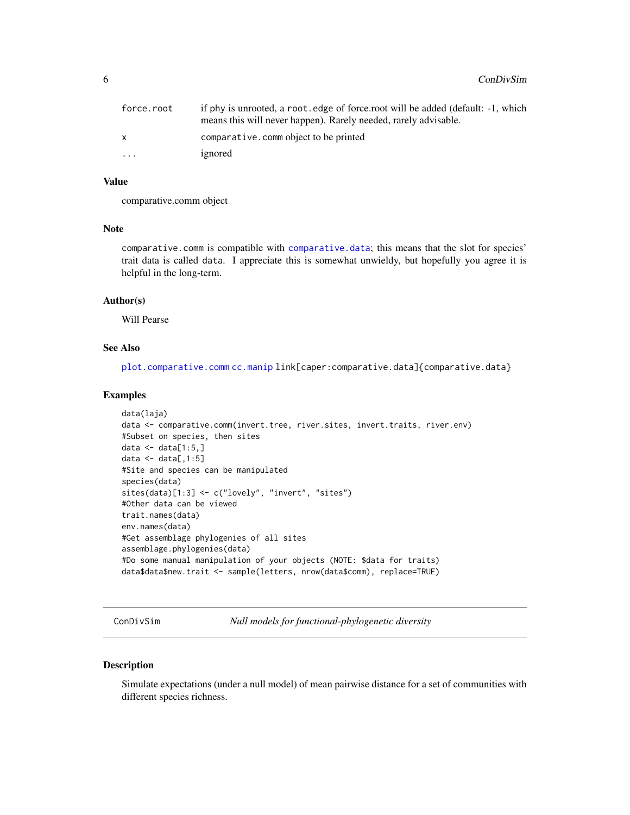<span id="page-5-0"></span>

| force.root              | if phy is unrooted, a root, edge of force, root will be added (default: -1, which<br>means this will never happen). Rarely needed, rarely advisable. |
|-------------------------|------------------------------------------------------------------------------------------------------------------------------------------------------|
|                         | comparative.comm object to be printed                                                                                                                |
| $\cdot$ $\cdot$ $\cdot$ | ignored                                                                                                                                              |

## Value

comparative.comm object

## Note

comparative.comm is compatible with [comparative.data](#page-0-0); this means that the slot for species' trait data is called data. I appreciate this is somewhat unwieldy, but hopefully you agree it is helpful in the long-term.

#### Author(s)

Will Pearse

#### See Also

[plot.comparative.comm](#page-53-1) [cc.manip](#page-1-1) link[caper:comparative.data]{comparative.data}

#### Examples

```
data(laja)
data <- comparative.comm(invert.tree, river.sites, invert.traits, river.env)
#Subset on species, then sites
data \leq data[1:5,]
data \leq data[,1:5]
#Site and species can be manipulated
species(data)
sites(data)[1:3] <- c("lovely", "invert", "sites")
#Other data can be viewed
trait.names(data)
env.names(data)
#Get assemblage phylogenies of all sites
assemblage.phylogenies(data)
#Do some manual manipulation of your objects (NOTE: $data for traits)
data$data$new.trait <- sample(letters, nrow(data$comm), replace=TRUE)
```
ConDivSim *Null models for functional-phylogenetic diversity*

#### Description

Simulate expectations (under a null model) of mean pairwise distance for a set of communities with different species richness.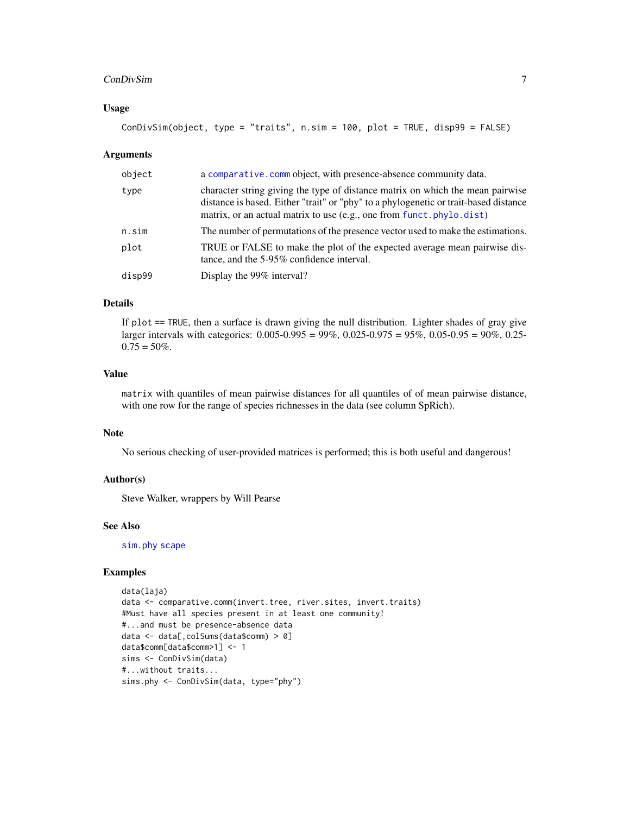#### <span id="page-6-0"></span>ConDivSim 7

#### Usage

```
ConDivSim(object, type = "traits", n.sim = 100, plot = TRUE, disp99 = FALSE)
```
#### Arguments

| object | a comparative. comm object, with presence-absence community data.                                                                                                                                                                              |
|--------|------------------------------------------------------------------------------------------------------------------------------------------------------------------------------------------------------------------------------------------------|
| type   | character string giving the type of distance matrix on which the mean pairwise<br>distance is based. Either "trait" or "phy" to a phylogenetic or trait-based distance<br>matrix, or an actual matrix to use (e.g., one from funct.phylo.dist) |
| n.sim  | The number of permutations of the presence vector used to make the estimations.                                                                                                                                                                |
| plot   | TRUE or FALSE to make the plot of the expected average mean pairwise dis-<br>tance, and the 5-95% confidence interval.                                                                                                                         |
| disp99 | Display the 99% interval?                                                                                                                                                                                                                      |

## Details

If plot == TRUE, then a surface is drawn giving the null distribution. Lighter shades of gray give larger intervals with categories: 0.005-0.995 = 99%, 0.025-0.975 = 95%, 0.05-0.95 = 90%, 0.25-  $0.75 = 50\%$ .

## Value

matrix with quantiles of mean pairwise distances for all quantiles of of mean pairwise distance, with one row for the range of species richnesses in the data (see column SpRich).

## Note

No serious checking of user-provided matrices is performed; this is both useful and dangerous!

### Author(s)

Steve Walker, wrappers by Will Pearse

## See Also

[sim.phy](#page-59-1) [scape](#page-54-1)

## Examples

```
data(laja)
data <- comparative.comm(invert.tree, river.sites, invert.traits)
#Must have all species present in at least one community!
#...and must be presence-absence data
data <- data[,colSums(data$comm) > 0]
data$comm[data$comm>1] <- 1
sims <- ConDivSim(data)
#...without traits...
sims.phy <- ConDivSim(data, type="phy")
```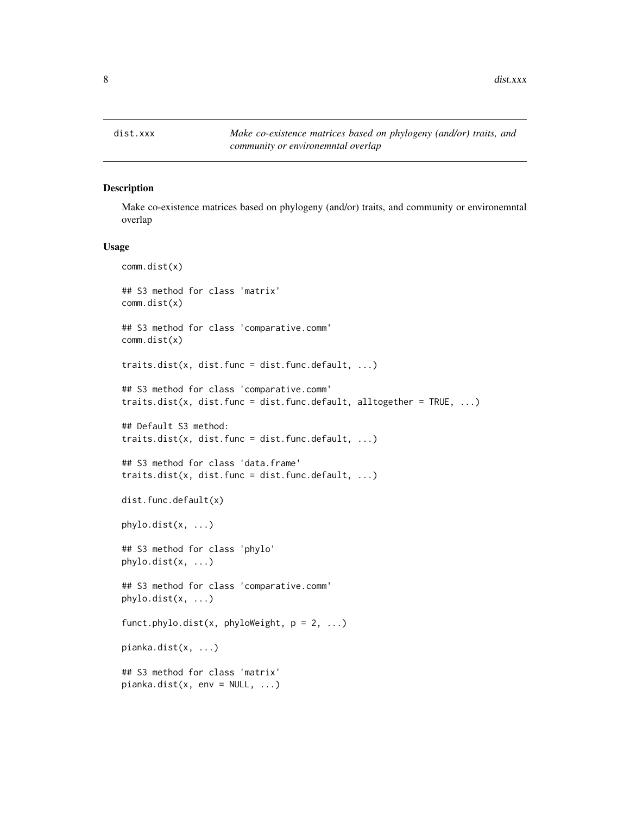<span id="page-7-0"></span>8 dist.xxx

## <span id="page-7-1"></span>Description

Make co-existence matrices based on phylogeny (and/or) traits, and community or environemntal overlap

#### Usage

```
comm.dist(x)
## S3 method for class 'matrix'
comm.dist(x)
## S3 method for class 'comparative.comm'
comm.dist(x)
traits.dist(x, dist.func = dist.func.default, \ldots)
## S3 method for class 'comparative.comm'
traits.dist(x, dist.func = dist.func.default, alltogether = TRUE, ...)
## Default S3 method:
traits.dist(x, dist.func = dist.func.default, \dots)
## S3 method for class 'data.frame'
traits.dist(x, dist.func = dist.func.default, ...)
dist.func.default(x)
phylo.dist(x, ...)
## S3 method for class 'phylo'
phylo.dist(x, ...)
## S3 method for class 'comparative.comm'
phylo.dist(x, ...)
funct.phylo.dist(x, phyloWeight, p = 2, ...)
pianka.dist(x, ...)
## S3 method for class 'matrix'
pianka.dist(x, env = NULL, ...)
```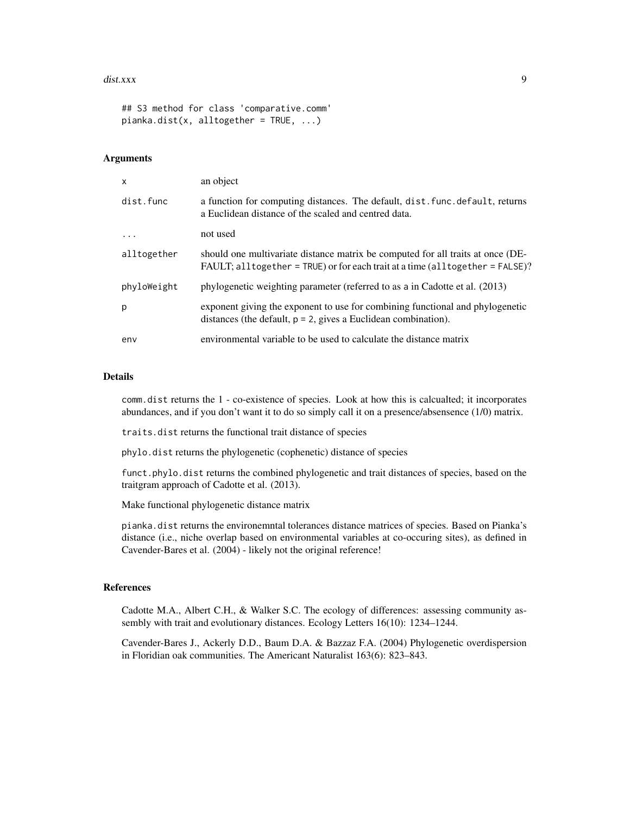#### $dist.xxx$  9

## S3 method for class 'comparative.comm'  $pianka.dist(x, alltogether = TRUE, ...)$ 

## Arguments

| $\mathsf{x}$ | an object                                                                                                                                                        |
|--------------|------------------------------------------------------------------------------------------------------------------------------------------------------------------|
| dist.func    | a function for computing distances. The default, dist. func. default, returns<br>a Euclidean distance of the scaled and centred data.                            |
|              | not used                                                                                                                                                         |
| alltogether  | should one multivariate distance matrix be computed for all traits at once (DE-<br>FAULT; alltogether = TRUE) or for each trait at a time (alltogether = FALSE)? |
| phyloWeight  | phylogenetic weighting parameter (referred to as a in Cadotte et al. (2013)                                                                                      |
| p            | exponent giving the exponent to use for combining functional and phylogenetic<br>distances (the default, $p = 2$ , gives a Euclidean combination).               |
| env          | environmental variable to be used to calculate the distance matrix                                                                                               |

#### Details

comm.dist returns the 1 - co-existence of species. Look at how this is calcualted; it incorporates abundances, and if you don't want it to do so simply call it on a presence/absensence (1/0) matrix.

traits.dist returns the functional trait distance of species

phylo.dist returns the phylogenetic (cophenetic) distance of species

funct.phylo.dist returns the combined phylogenetic and trait distances of species, based on the traitgram approach of Cadotte et al. (2013).

Make functional phylogenetic distance matrix

pianka.dist returns the environemntal tolerances distance matrices of species. Based on Pianka's distance (i.e., niche overlap based on environmental variables at co-occuring sites), as defined in Cavender-Bares et al. (2004) - likely not the original reference!

## References

Cadotte M.A., Albert C.H., & Walker S.C. The ecology of differences: assessing community assembly with trait and evolutionary distances. Ecology Letters 16(10): 1234–1244.

Cavender-Bares J., Ackerly D.D., Baum D.A. & Bazzaz F.A. (2004) Phylogenetic overdispersion in Floridian oak communities. The Americant Naturalist 163(6): 823–843.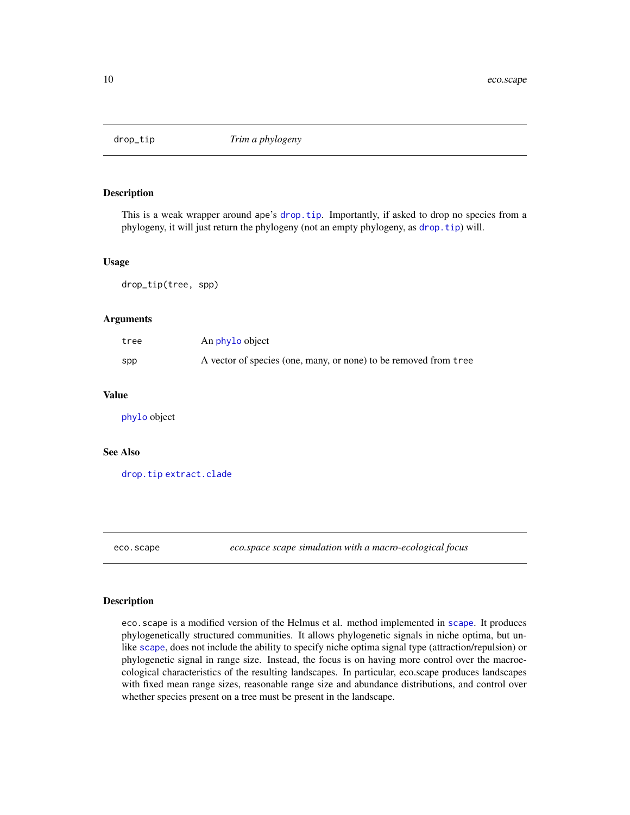<span id="page-9-0"></span>

## Description

This is a weak wrapper around ape's [drop.tip](#page-0-0). Importantly, if asked to drop no species from a phylogeny, it will just return the phylogeny (not an empty phylogeny, as [drop.tip](#page-0-0)) will.

#### Usage

drop\_tip(tree, spp)

#### Arguments

| tree | An phylo object                                                  |
|------|------------------------------------------------------------------|
| spp  | A vector of species (one, many, or none) to be removed from tree |

#### Value

[phylo](#page-0-0) object

#### See Also

[drop.tip](#page-0-0) [extract.clade](#page-0-0)

<span id="page-9-1"></span>eco.scape *eco.space scape simulation with a macro-ecological focus*

## Description

eco.scape is a modified version of the Helmus et al. method implemented in [scape](#page-54-1). It produces phylogenetically structured communities. It allows phylogenetic signals in niche optima, but unlike [scape](#page-54-1), does not include the ability to specify niche optima signal type (attraction/repulsion) or phylogenetic signal in range size. Instead, the focus is on having more control over the macroecological characteristics of the resulting landscapes. In particular, eco.scape produces landscapes with fixed mean range sizes, reasonable range size and abundance distributions, and control over whether species present on a tree must be present in the landscape.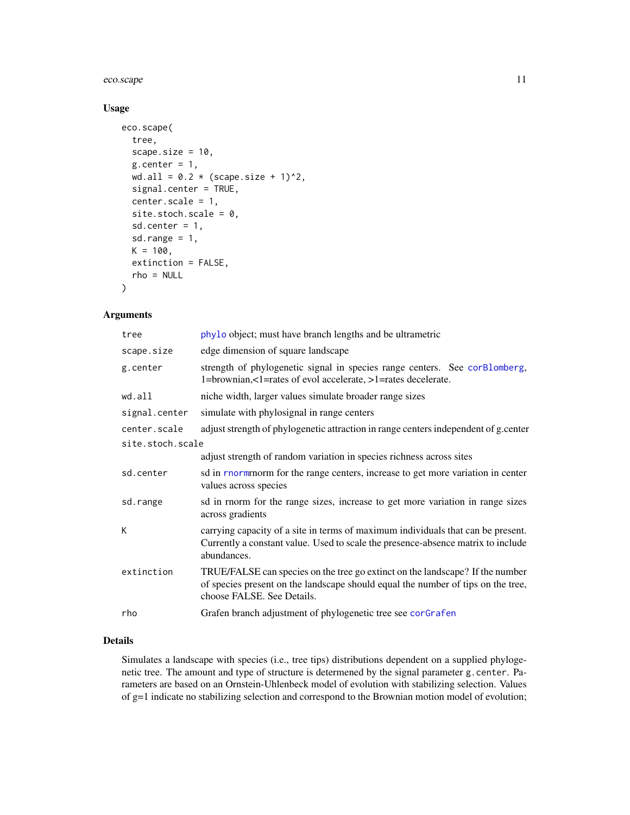#### <span id="page-10-0"></span>eco.scape 11

## Usage

```
eco.scape(
  tree,
  scape.size = 10,
  g.center = 1,wd.al1 = 0.2 * (scope.size + 1)^2,signal.center = TRUE,
  center.scale = 1,
  site.stoch.scale = 0,
  sd.center = 1,
  sd.range = 1,
 K = 100,extinction = FALSE,
  rho = NULL
)
```
## Arguments

| tree             | phylo object; must have branch lengths and be ultrametric                                                                                                                                       |
|------------------|-------------------------------------------------------------------------------------------------------------------------------------------------------------------------------------------------|
| scape.size       | edge dimension of square landscape                                                                                                                                                              |
| g.center         | strength of phylogenetic signal in species range centers. See corBlomberg,<br>1=brownian,<1=rates of evol accelerate, >1=rates decelerate.                                                      |
| wd.all           | niche width, larger values simulate broader range sizes                                                                                                                                         |
| signal.center    | simulate with phylosignal in range centers                                                                                                                                                      |
| center.scale     | adjust strength of phylogenetic attraction in range centers independent of g.center                                                                                                             |
| site.stoch.scale |                                                                                                                                                                                                 |
|                  | adjust strength of random variation in species richness across sites                                                                                                                            |
| sd.center        | sd in <b>rnorm</b> for the range centers, increase to get more variation in center<br>values across species                                                                                     |
| sd.range         | sd in rnorm for the range sizes, increase to get more variation in range sizes<br>across gradients                                                                                              |
| K                | carrying capacity of a site in terms of maximum individuals that can be present.<br>Currently a constant value. Used to scale the presence-absence matrix to include<br>abundances.             |
| extinction       | TRUE/FALSE can species on the tree go extinct on the landscape? If the number<br>of species present on the landscape should equal the number of tips on the tree,<br>choose FALSE. See Details. |
| rho              | Grafen branch adjustment of phylogenetic tree see corGrafen                                                                                                                                     |

## Details

Simulates a landscape with species (i.e., tree tips) distributions dependent on a supplied phylogenetic tree. The amount and type of structure is determened by the signal parameter g.center. Parameters are based on an Ornstein-Uhlenbeck model of evolution with stabilizing selection. Values of g=1 indicate no stabilizing selection and correspond to the Brownian motion model of evolution;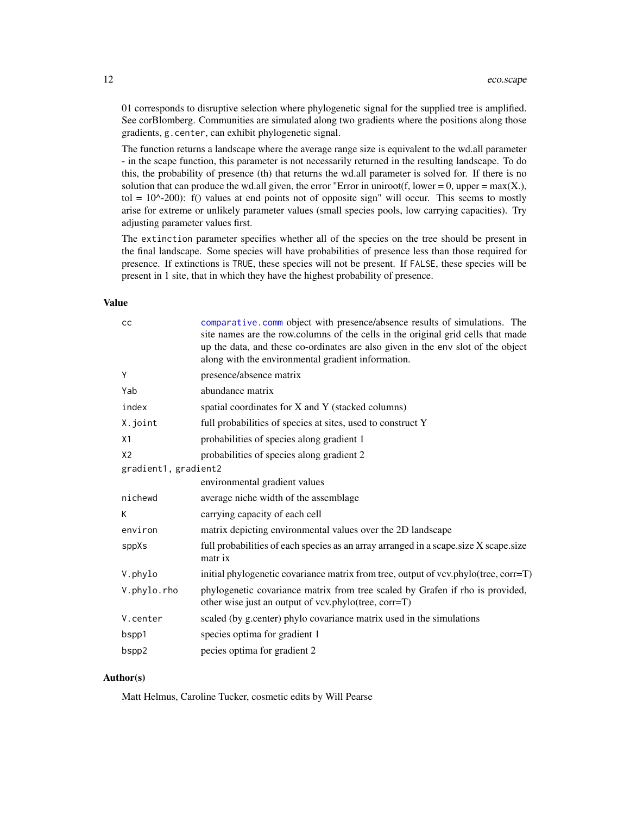<span id="page-11-0"></span>01 corresponds to disruptive selection where phylogenetic signal for the supplied tree is amplified. See corBlomberg. Communities are simulated along two gradients where the positions along those gradients, g.center, can exhibit phylogenetic signal.

The function returns a landscape where the average range size is equivalent to the wd.all parameter - in the scape function, this parameter is not necessarily returned in the resulting landscape. To do this, the probability of presence (th) that returns the wd.all parameter is solved for. If there is no solution that can produce the wd.all given, the error "Error in uniroot(f, lower = 0, upper = max(X.), tol =  $10^{\circ}$ -200): f() values at end points not of opposite sign" will occur. This seems to mostly arise for extreme or unlikely parameter values (small species pools, low carrying capacities). Try adjusting parameter values first.

The extinction parameter specifies whether all of the species on the tree should be present in the final landscape. Some species will have probabilities of presence less than those required for presence. If extinctions is TRUE, these species will not be present. If FALSE, these species will be present in 1 site, that in which they have the highest probability of presence.

#### Value

| cc                   | comparative.comm object with presence/absence results of simulations. The<br>site names are the row.columns of the cells in the original grid cells that made<br>up the data, and these co-ordinates are also given in the env slot of the object<br>along with the environmental gradient information. |
|----------------------|---------------------------------------------------------------------------------------------------------------------------------------------------------------------------------------------------------------------------------------------------------------------------------------------------------|
| Y                    | presence/absence matrix                                                                                                                                                                                                                                                                                 |
| Yab                  | abundance matrix                                                                                                                                                                                                                                                                                        |
| index                | spatial coordinates for X and Y (stacked columns)                                                                                                                                                                                                                                                       |
| X.joint              | full probabilities of species at sites, used to construct Y                                                                                                                                                                                                                                             |
| X1                   | probabilities of species along gradient 1                                                                                                                                                                                                                                                               |
| X <sub>2</sub>       | probabilities of species along gradient 2                                                                                                                                                                                                                                                               |
| gradient1, gradient2 |                                                                                                                                                                                                                                                                                                         |
|                      | environmental gradient values                                                                                                                                                                                                                                                                           |
| nichewd              | average niche width of the assemblage                                                                                                                                                                                                                                                                   |
| К                    | carrying capacity of each cell                                                                                                                                                                                                                                                                          |
| environ              | matrix depicting environmental values over the 2D landscape                                                                                                                                                                                                                                             |
| sppXs                | full probabilities of each species as an array arranged in a scape.size X scape.size<br>matr ix                                                                                                                                                                                                         |
| V.phylo              | initial phylogenetic covariance matrix from tree, output of vcv.phylo(tree, corr=T)                                                                                                                                                                                                                     |
| V.phylo.rho          | phylogenetic covariance matrix from tree scaled by Grafen if rho is provided,<br>other wise just an output of vcv.phylo(tree, corr=T)                                                                                                                                                                   |
| V.center             | scaled (by g.center) phylo covariance matrix used in the simulations                                                                                                                                                                                                                                    |
| bspp1                | species optima for gradient 1                                                                                                                                                                                                                                                                           |
| bspp2                | pecies optima for gradient 2                                                                                                                                                                                                                                                                            |

## Author(s)

Matt Helmus, Caroline Tucker, cosmetic edits by Will Pearse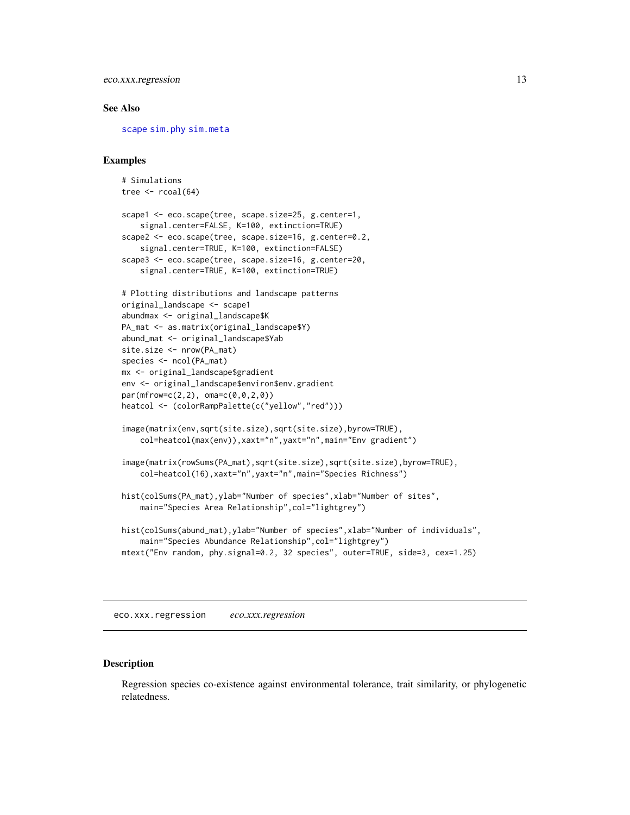## <span id="page-12-0"></span>eco.xxx.regression 13

#### See Also

[scape](#page-54-1) [sim.phy](#page-59-1) [sim.meta](#page-57-1)

#### Examples

```
# Simulations
tree \le rcoal(64)
scape1 <- eco.scape(tree, scape.size=25, g.center=1,
    signal.center=FALSE, K=100, extinction=TRUE)
scape2 <- eco.scape(tree, scape.size=16, g.center=0.2,
    signal.center=TRUE, K=100, extinction=FALSE)
scape3 <- eco.scape(tree, scape.size=16, g.center=20,
    signal.center=TRUE, K=100, extinction=TRUE)
# Plotting distributions and landscape patterns
original_landscape <- scape1
abundmax <- original_landscape$K
PA_mat <- as.matrix(original_landscape$Y)
abund_mat <- original_landscape$Yab
site.size <- nrow(PA_mat)
species <- ncol(PA_mat)
mx <- original_landscape$gradient
env <- original_landscape$environ$env.gradient
par(mfrow=c(2,2), oma=c(0,0,2,0))heatcol <- (colorRampPalette(c("yellow","red")))
image(matrix(env,sqrt(site.size),sqrt(site.size),byrow=TRUE),
    col=heatcol(max(env)),xaxt="n",yaxt="n",main="Env gradient")
image(matrix(rowSums(PA_mat),sqrt(site.size),sqrt(site.size),byrow=TRUE),
    col=heatcol(16),xaxt="n",yaxt="n",main="Species Richness")
hist(colSums(PA_mat),ylab="Number of species",xlab="Number of sites",
    main="Species Area Relationship",col="lightgrey")
hist(colSums(abund_mat),ylab="Number of species",xlab="Number of individuals",
   main="Species Abundance Relationship",col="lightgrey")
mtext("Env random, phy.signal=0.2, 32 species", outer=TRUE, side=3, cex=1.25)
```
<span id="page-12-2"></span>eco.xxx.regression *eco.xxx.regression*

## <span id="page-12-1"></span>Description

Regression species co-existence against environmental tolerance, trait similarity, or phylogenetic relatedness.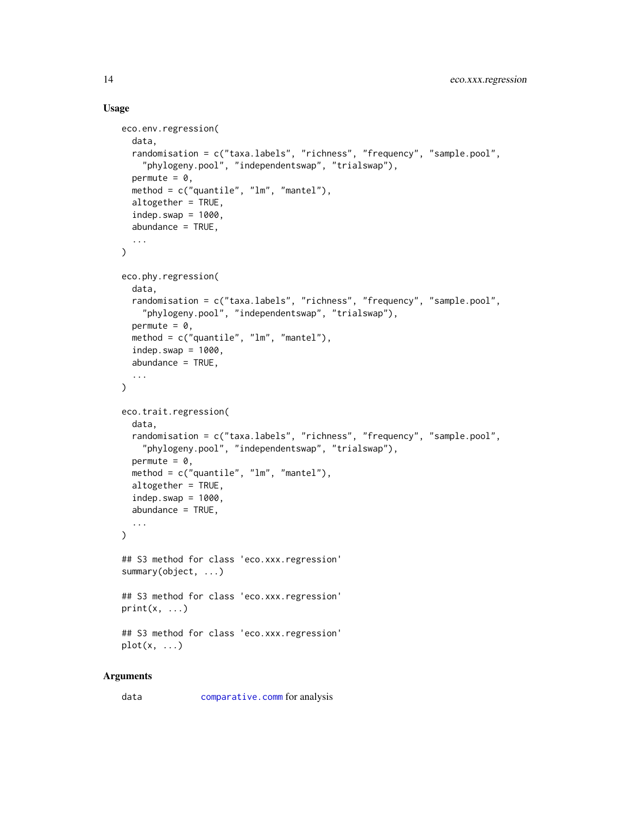#### Usage

```
eco.env.regression(
  data,
  randomisation = c("taxa.labels", "richness", "frequency", "sample.pool",
    "phylogeny.pool", "independentswap", "trialswap"),
  permute = 0,
  method = c("quantile", "lm", "mantel"),
  altogether = TRUE,
  indep.swap = 1000,abundance = TRUE,
  ...
\lambdaeco.phy.regression(
  data,
  randomisation = c("taxa.labels", "richness", "frequency", "sample.pool",
    "phylogeny.pool", "independentswap", "trialswap"),
  permute = 0,
  method = c("quantile", "lm", "mantel"),
  indep.swap = 1000,abundance = TRUE,
  ...
)
eco.trait.regression(
  data,
  randomisation = c("taxa.labels", "richness", "frequency", "sample.pool",
    "phylogeny.pool", "independentswap", "trialswap"),
  permute = 0,
  method = c("quantile", "lm", "mantel"),
  altogether = TRUE,
  indep.swap = 1000,abundance = TRUE,
  ...
\mathcal{L}## S3 method for class 'eco.xxx.regression'
summary(object, ...)
## S3 method for class 'eco.xxx.regression'
print(x, \ldots)## S3 method for class 'eco.xxx.regression'
plot(x, \ldots)
```
## Arguments

data [comparative.comm](#page-4-1) for analysis

<span id="page-13-0"></span>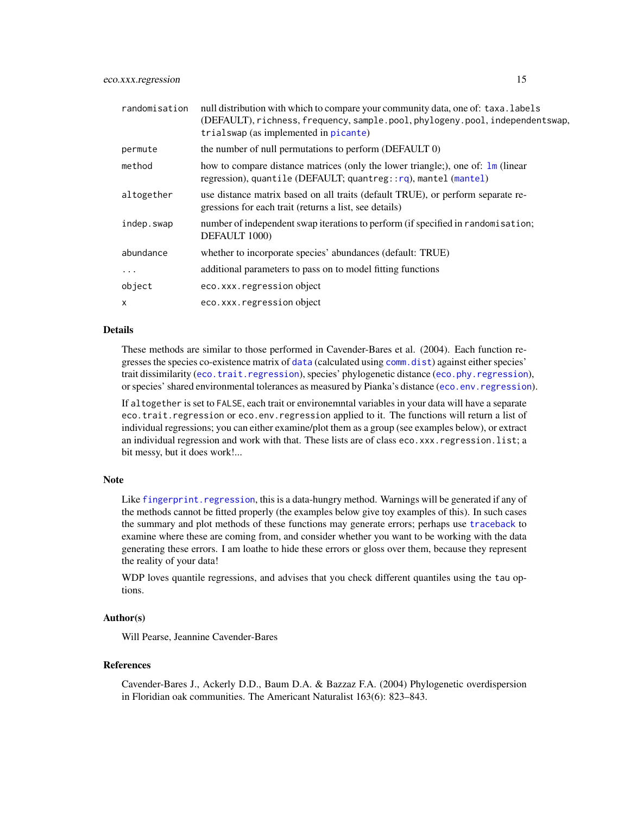<span id="page-14-0"></span>

| randomisation | null distribution with which to compare your community data, one of: taxa. labels<br>(DEFAULT), richness, frequency, sample.pool, phylogeny.pool, independentswap,<br>trialswap (as implemented in picante) |
|---------------|-------------------------------------------------------------------------------------------------------------------------------------------------------------------------------------------------------------|
| permute       | the number of null permutations to perform (DEFAULT 0)                                                                                                                                                      |
| method        | how to compare distance matrices (only the lower triangle;), one of: lm (linear<br>regression), quantile (DEFAULT; quantreg:: $rq$ ), mantel (mantel)                                                       |
| altogether    | use distance matrix based on all traits (default TRUE), or perform separate re-<br>gressions for each trait (returns a list, see details)                                                                   |
| indep.swap    | number of independent swap iterations to perform (if specified in randomisation;<br>DEFAULT 1000)                                                                                                           |
| abundance     | whether to incorporate species' abundances (default: TRUE)                                                                                                                                                  |
| $\cdots$      | additional parameters to pass on to model fitting functions                                                                                                                                                 |
| object        | eco.xxx.regression object                                                                                                                                                                                   |
| $\mathsf{x}$  | eco.xxx.regression object                                                                                                                                                                                   |

## Details

These methods are similar to those performed in Cavender-Bares et al. (2004). Each function regresses the species co-existence matrix of [data](#page-0-0) (calculated using [comm.dist](#page-7-1)) against either species' trait dissimilarity ([eco.trait.regression](#page-12-1)), species' phylogenetic distance ([eco.phy.regression](#page-12-1)), or species' shared environmental tolerances as measured by Pianka's distance ([eco.env.regression](#page-12-1)).

If altogether is set to FALSE, each trait or environemntal variables in your data will have a separate eco.trait.regression or eco.env.regression applied to it. The functions will return a list of individual regressions; you can either examine/plot them as a group (see examples below), or extract an individual regression and work with that. These lists are of class eco.xxx.regression.list; a bit messy, but it does work!...

#### Note

Like fingerprint. regression, this is a data-hungry method. Warnings will be generated if any of the methods cannot be fitted properly (the examples below give toy examples of this). In such cases the summary and plot methods of these functions may generate errors; perhaps use [traceback](#page-0-0) to examine where these are coming from, and consider whether you want to be working with the data generating these errors. I am loathe to hide these errors or gloss over them, because they represent the reality of your data!

WDP loves quantile regressions, and advises that you check different quantiles using the tau options.

#### Author(s)

Will Pearse, Jeannine Cavender-Bares

#### References

Cavender-Bares J., Ackerly D.D., Baum D.A. & Bazzaz F.A. (2004) Phylogenetic overdispersion in Floridian oak communities. The Americant Naturalist 163(6): 823–843.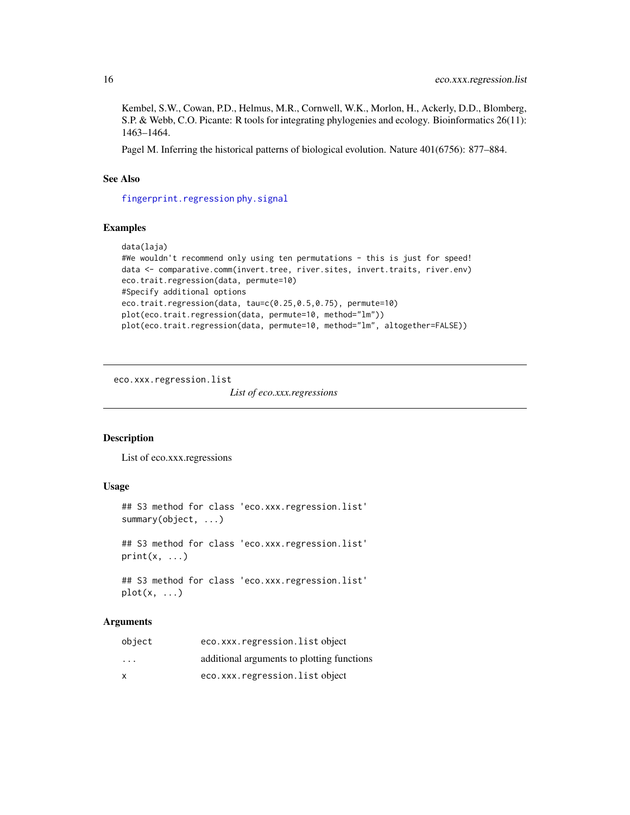Kembel, S.W., Cowan, P.D., Helmus, M.R., Cornwell, W.K., Morlon, H., Ackerly, D.D., Blomberg, S.P. & Webb, C.O. Picante: R tools for integrating phylogenies and ecology. Bioinformatics 26(11): 1463–1464.

Pagel M. Inferring the historical patterns of biological evolution. Nature 401(6756): 877–884.

#### See Also

[fingerprint.regression](#page-17-1) [phy.signal](#page-52-1)

#### Examples

```
data(laja)
#We wouldn't recommend only using ten permutations - this is just for speed!
data <- comparative.comm(invert.tree, river.sites, invert.traits, river.env)
eco.trait.regression(data, permute=10)
#Specify additional options
eco.trait.regression(data, tau=c(0.25,0.5,0.75), permute=10)
plot(eco.trait.regression(data, permute=10, method="lm"))
plot(eco.trait.regression(data, permute=10, method="lm", altogether=FALSE))
```
eco.xxx.regression.list

*List of eco.xxx.regressions*

#### Description

List of eco.xxx.regressions

## Usage

```
## S3 method for class 'eco.xxx.regression.list'
summary(object, ...)
## S3 method for class 'eco.xxx.regression.list'
print(x, \ldots)## S3 method for class 'eco.xxx.regression.list'
```
 $plot(x, \ldots)$ 

## Arguments

| object                  | eco.xxx.regression.listobject              |
|-------------------------|--------------------------------------------|
| $\cdot$ $\cdot$ $\cdot$ | additional arguments to plotting functions |
| $\mathsf{x}$            | eco.xxx.regression.listobject              |

<span id="page-15-0"></span>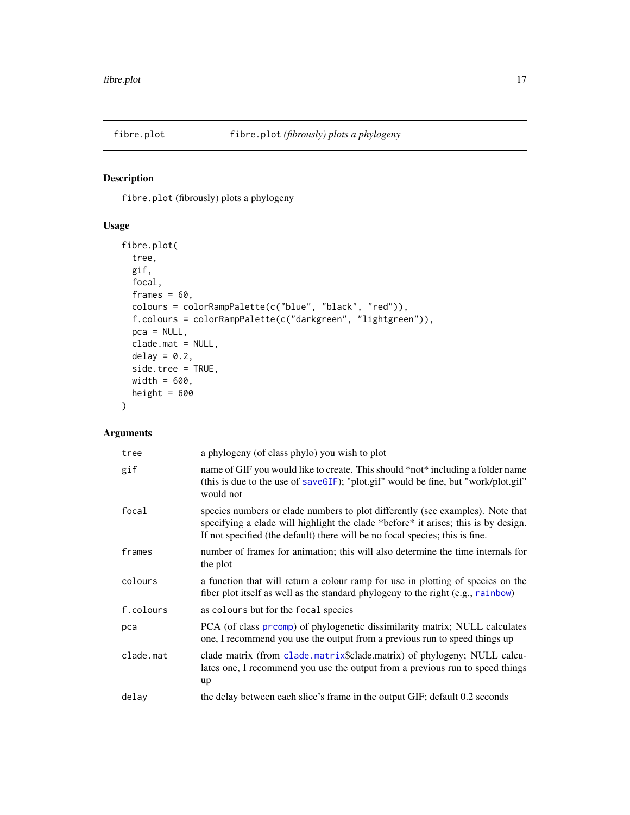<span id="page-16-0"></span>

## Description

fibre.plot (fibrously) plots a phylogeny

## Usage

```
fibre.plot(
  tree,
 gif,
 focal,
 frames = 60,
 colours = colorRampPalette(c("blue", "black", "red")),
  f.colours = colorRampPalette(c("darkgreen", "lightgreen")),
 pca = NULL,
 clade.mat = NULL,
 delay = 0.2,
  side.tree = TRUE,
 width = 600,
 height = 600)
```
## Arguments

| tree      | a phylogeny (of class phylo) you wish to plot                                                                                                                                                                                                        |
|-----------|------------------------------------------------------------------------------------------------------------------------------------------------------------------------------------------------------------------------------------------------------|
| gif       | name of GIF you would like to create. This should *not* including a folder name<br>(this is due to the use of saveGIF); "plot.gif" would be fine, but "work/plot.gif"<br>would not                                                                   |
| focal     | species numbers or clade numbers to plot differently (see examples). Note that<br>specifying a clade will highlight the clade *before* it arises; this is by design.<br>If not specified (the default) there will be no focal species; this is fine. |
| frames    | number of frames for animation; this will also determine the time internals for<br>the plot                                                                                                                                                          |
| colours   | a function that will return a colour ramp for use in plotting of species on the<br>fiber plot itself as well as the standard phylogeny to the right (e.g., rainbow)                                                                                  |
| f.colours | as colours but for the focal species                                                                                                                                                                                                                 |
| pca       | PCA (of class prcomp) of phylogenetic dissimilarity matrix; NULL calculates<br>one, I recommend you use the output from a previous run to speed things up                                                                                            |
| clade.mat | clade matrix (from clade matrix\$clade matrix) of phylogeny; NULL calcu-<br>lates one, I recommend you use the output from a previous run to speed things<br>up                                                                                      |
| delay     | the delay between each slice's frame in the output GIF; default 0.2 seconds                                                                                                                                                                          |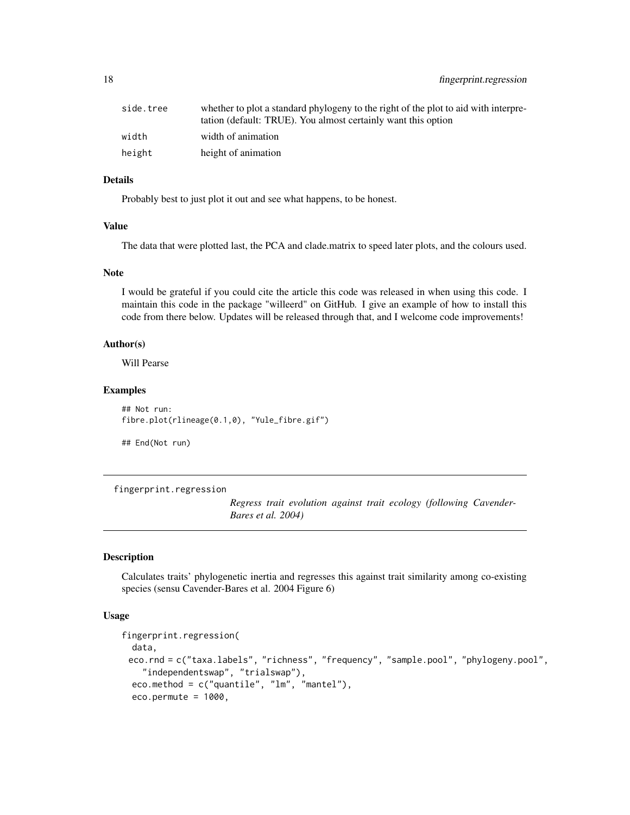## <span id="page-17-0"></span>18 fingerprint.regression

| side.tree | whether to plot a standard phylogeny to the right of the plot to aid with interpre-<br>tation (default: TRUE). You almost certainly want this option |
|-----------|------------------------------------------------------------------------------------------------------------------------------------------------------|
| width     | width of animation                                                                                                                                   |
| height    | height of animation                                                                                                                                  |

## Details

Probably best to just plot it out and see what happens, to be honest.

## Value

The data that were plotted last, the PCA and clade.matrix to speed later plots, and the colours used.

#### Note

I would be grateful if you could cite the article this code was released in when using this code. I maintain this code in the package "willeerd" on GitHub. I give an example of how to install this code from there below. Updates will be released through that, and I welcome code improvements!

#### Author(s)

Will Pearse

## Examples

## Not run: fibre.plot(rlineage(0.1,0), "Yule\_fibre.gif")

## End(Not run)

<span id="page-17-1"></span>fingerprint.regression

*Regress trait evolution against trait ecology (following Cavender-Bares et al. 2004)*

#### Description

Calculates traits' phylogenetic inertia and regresses this against trait similarity among co-existing species (sensu Cavender-Bares et al. 2004 Figure 6)

#### Usage

```
fingerprint.regression(
  data,
 eco.rnd = c("taxa.labels", "richness", "frequency", "sample.pool", "phylogeny.pool",
    "independentswap", "trialswap"),
  eco.method = c("quantile", "lm", "mantel"),
  eco.permute = 1000,
```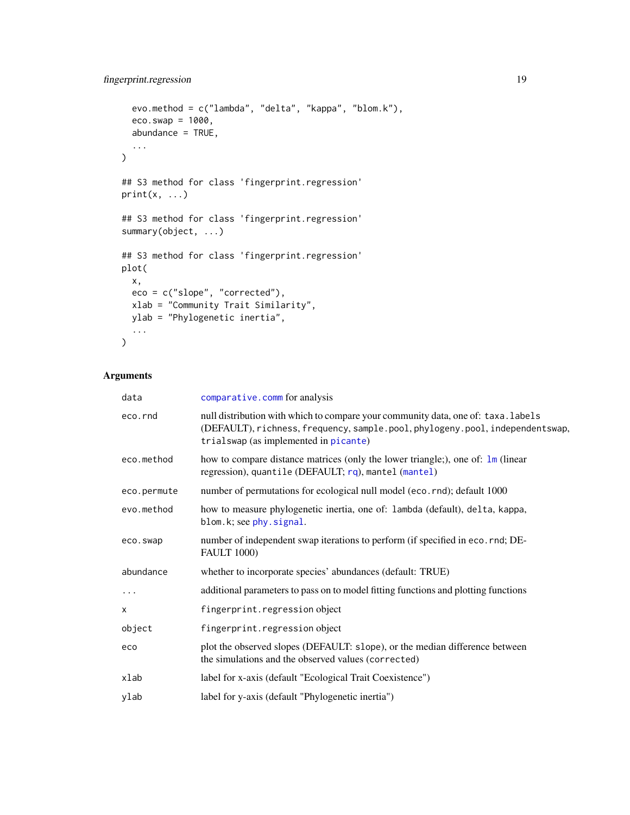```
evo.method = c("lambda", "delta", "kappa", "blom.k"),
  eco.swap = 1000,
  abundance = TRUE,
  ...
\mathcal{L}## S3 method for class 'fingerprint.regression'
print(x, \ldots)## S3 method for class 'fingerprint.regression'
summary(object, ...)
## S3 method for class 'fingerprint.regression'
plot(
  x,
  eco = c("slope", "corrected"),
  xlab = "Community Trait Similarity",
  ylab = "Phylogenetic inertia",
  ...
\mathcal{L}
```
## Arguments

| data        | comparative.comm for analysis                                                                                                                                                                               |
|-------------|-------------------------------------------------------------------------------------------------------------------------------------------------------------------------------------------------------------|
| eco.rnd     | null distribution with which to compare your community data, one of: taxa. labels<br>(DEFAULT), richness, frequency, sample.pool, phylogeny.pool, independentswap,<br>trialswap (as implemented in picante) |
| eco.method  | how to compare distance matrices (only the lower triangle;), one of: $\text{Im}$ (linear<br>regression), quantile (DEFAULT; rq), mantel (mantel)                                                            |
| eco.permute | number of permutations for ecological null model (eco. rnd); default 1000                                                                                                                                   |
| evo.method  | how to measure phylogenetic inertia, one of: lambda (default), delta, kappa,<br>blom.k; see phy.signal.                                                                                                     |
| eco.swap    | number of independent swap iterations to perform (if specified in eco. rnd; DE-<br><b>FAULT 1000)</b>                                                                                                       |
| abundance   | whether to incorporate species' abundances (default: TRUE)                                                                                                                                                  |
| $\cdots$    | additional parameters to pass on to model fitting functions and plotting functions                                                                                                                          |
| X           | fingerprint.regression object                                                                                                                                                                               |
| object      | fingerprint.regression object                                                                                                                                                                               |
| eco         | plot the observed slopes (DEFAULT: slope), or the median difference between<br>the simulations and the observed values (corrected)                                                                          |
| xlab        | label for x-axis (default "Ecological Trait Coexistence")                                                                                                                                                   |
| ylab        | label for y-axis (default "Phylogenetic inertia")                                                                                                                                                           |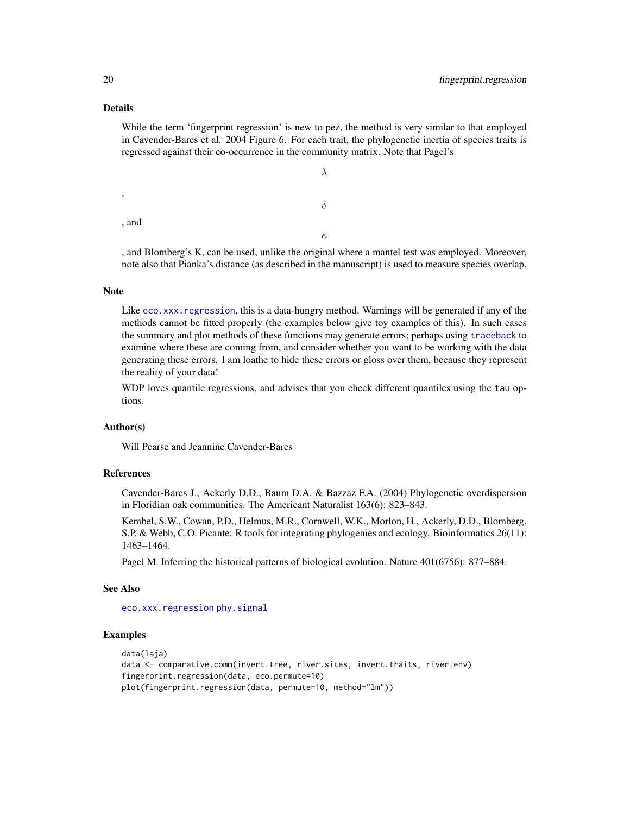## Details

While the term 'fingerprint regression' is new to pez, the method is very similar to that employed in Cavender-Bares et al. 2004 Figure 6. For each trait, the phylogenetic inertia of species traits is regressed against their co-occurrence in the community matrix. Note that Pagel's

```
λ
,
                                                          δ
, and
                                                          κ
```
, and Blomberg's K, can be used, unlike the original where a mantel test was employed. Moreover, note also that Pianka's distance (as described in the manuscript) is used to measure species overlap.

#### Note

Like [eco.xxx.regression](#page-12-2), this is a data-hungry method. Warnings will be generated if any of the methods cannot be fitted properly (the examples below give toy examples of this). In such cases the summary and plot methods of these functions may generate errors; perhaps using [traceback](#page-0-0) to examine where these are coming from, and consider whether you want to be working with the data generating these errors. I am loathe to hide these errors or gloss over them, because they represent the reality of your data!

WDP loves quantile regressions, and advises that you check different quantiles using the tau options.

#### Author(s)

Will Pearse and Jeannine Cavender-Bares

#### References

Cavender-Bares J., Ackerly D.D., Baum D.A. & Bazzaz F.A. (2004) Phylogenetic overdispersion in Floridian oak communities. The Americant Naturalist 163(6): 823–843.

Kembel, S.W., Cowan, P.D., Helmus, M.R., Cornwell, W.K., Morlon, H., Ackerly, D.D., Blomberg, S.P. & Webb, C.O. Picante: R tools for integrating phylogenies and ecology. Bioinformatics 26(11): 1463–1464.

Pagel M. Inferring the historical patterns of biological evolution. Nature 401(6756): 877–884.

#### See Also

[eco.xxx.regression](#page-12-2) [phy.signal](#page-52-1)

#### Examples

```
data(laja)
data <- comparative.comm(invert.tree, river.sites, invert.traits, river.env)
fingerprint.regression(data, eco.permute=10)
plot(fingerprint.regression(data, permute=10, method="lm"))
```
<span id="page-19-0"></span>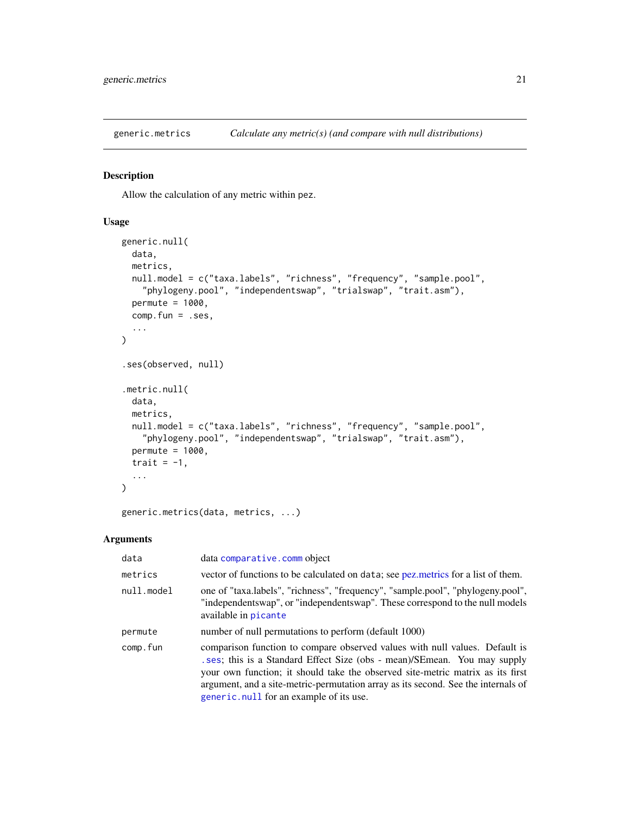<span id="page-20-2"></span><span id="page-20-0"></span>

## <span id="page-20-1"></span>Description

Allow the calculation of any metric within pez.

#### Usage

```
generic.null(
 data,
 metrics,
 null.model = c("taxa.labels", "richness", "frequency", "sample.pool",
    "phylogeny.pool", "independentswap", "trialswap", "trait.asm"),
 permute = 1000,
  comp.fun = .ses,...
)
.ses(observed, null)
.metric.null(
  data,
 metrics,
 null.model = c("taxa.labels", "richness", "frequency", "sample.pool",
    "phylogeny.pool", "independentswap", "trialswap", "trait.asm"),
  permute = 1000,
  trait = -1,
  ...
\mathcal{L}
```
generic.metrics(data, metrics, ...)

#### Arguments

| data       | data comparative.comm object                                                                                                                                                                                                                                                                                                                                             |  |
|------------|--------------------------------------------------------------------------------------------------------------------------------------------------------------------------------------------------------------------------------------------------------------------------------------------------------------------------------------------------------------------------|--|
| metrics    | vector of functions to be calculated on data; see pez. metrics for a list of them.                                                                                                                                                                                                                                                                                       |  |
| null.model | one of "taxa.labels", "richness", "frequency", "sample.pool", "phylogeny.pool",<br>"independentswap", or "independentswap". These correspond to the null models<br>available in picante                                                                                                                                                                                  |  |
| permute    | number of null permutations to perform (default 1000)                                                                                                                                                                                                                                                                                                                    |  |
| comp.fun   | comparison function to compare observed values with null values. Default is<br>ses; this is a Standard Effect Size (obs - mean)/SEmean. You may supply<br>your own function; it should take the observed site-metric matrix as its first<br>argument, and a site-metric-permutation array as its second. See the internals of<br>generic.null for an example of its use. |  |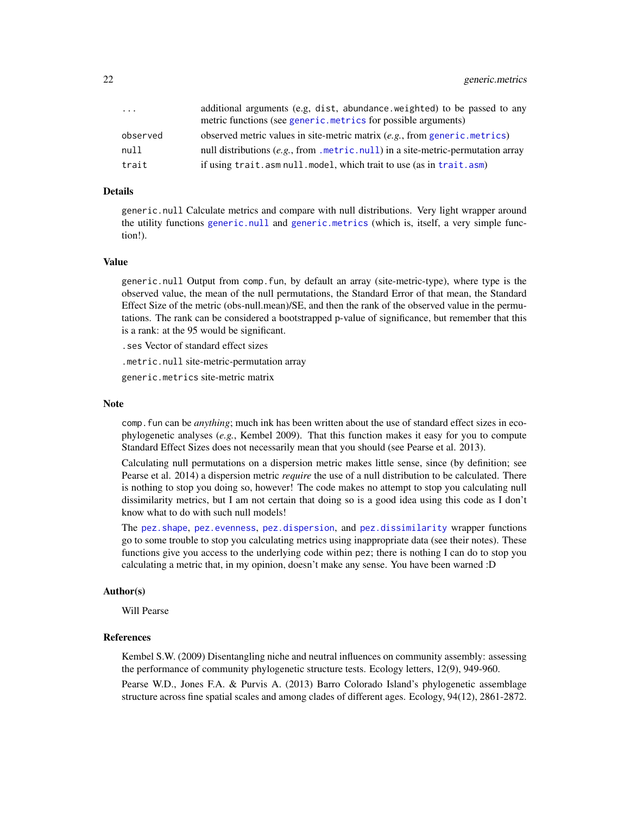<span id="page-21-0"></span>

| .        | additional arguments (e.g, dist, abundance weighted) to be passed to any<br>metric functions (see generic.metrics for possible arguments) |
|----------|-------------------------------------------------------------------------------------------------------------------------------------------|
| observed | observed metric values in site-metric matrix $(e.g., from generic.metrics)$                                                               |
| null     | null distributions (e.g., from .metric.null) in a site-metric-permutation array                                                           |
| trait    | if using trait.asm null.model, which trait to use (as in trait.asm)                                                                       |

#### Details

generic.null Calculate metrics and compare with null distributions. Very light wrapper around the utility functions [generic.null](#page-20-1) and [generic.metrics](#page-20-2) (which is, itself, a very simple function!).

## Value

generic.null Output from comp.fun, by default an array (site-metric-type), where type is the observed value, the mean of the null permutations, the Standard Error of that mean, the Standard Effect Size of the metric (obs-null.mean)/SE, and then the rank of the observed value in the permutations. The rank can be considered a bootstrapped p-value of significance, but remember that this is a rank: at the 95 would be significant.

.ses Vector of standard effect sizes

.metric.null site-metric-permutation array

generic.metrics site-metric matrix

#### **Note**

comp.fun can be *anything*; much ink has been written about the use of standard effect sizes in ecophylogenetic analyses (*e.g.*, Kembel 2009). That this function makes it easy for you to compute Standard Effect Sizes does not necessarily mean that you should (see Pearse et al. 2013).

Calculating null permutations on a dispersion metric makes little sense, since (by definition; see Pearse et al. 2014) a dispersion metric *require* the use of a null distribution to be calculated. There is nothing to stop you doing so, however! The code makes no attempt to stop you calculating null dissimilarity metrics, but I am not certain that doing so is a good idea using this code as I don't know what to do with such null models!

The [pez.shape](#page-37-1), [pez.evenness](#page-29-1), [pez.dispersion](#page-23-1), and [pez.dissimilarity](#page-26-1) wrapper functions go to some trouble to stop you calculating metrics using inappropriate data (see their notes). These functions give you access to the underlying code within pez; there is nothing I can do to stop you calculating a metric that, in my opinion, doesn't make any sense. You have been warned :D

#### Author(s)

Will Pearse

## References

Kembel S.W. (2009) Disentangling niche and neutral influences on community assembly: assessing the performance of community phylogenetic structure tests. Ecology letters, 12(9), 949-960.

Pearse W.D., Jones F.A. & Purvis A. (2013) Barro Colorado Island's phylogenetic assemblage structure across fine spatial scales and among clades of different ages. Ecology, 94(12), 2861-2872.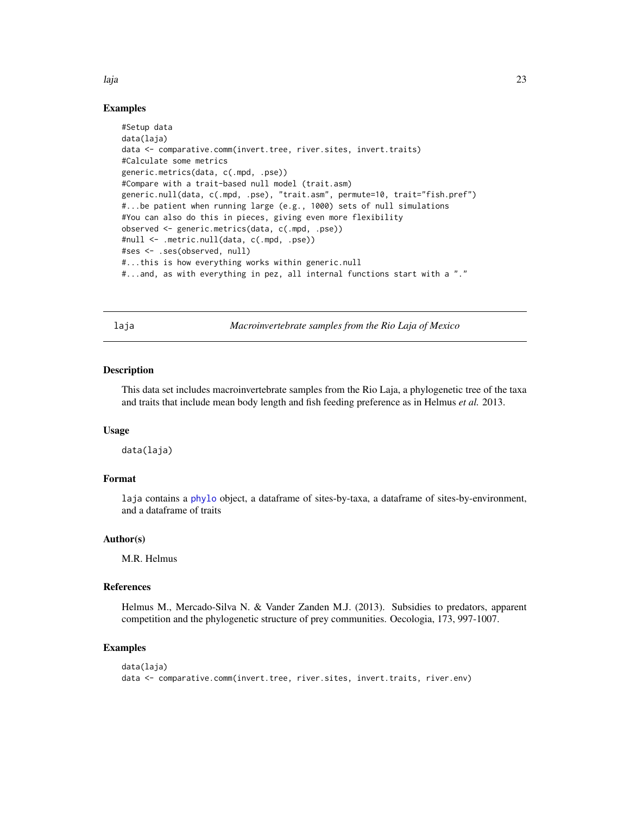<span id="page-22-0"></span>laja 23

## Examples

```
#Setup data
data(laja)
data <- comparative.comm(invert.tree, river.sites, invert.traits)
#Calculate some metrics
generic.metrics(data, c(.mpd, .pse))
#Compare with a trait-based null model (trait.asm)
generic.null(data, c(.mpd, .pse), "trait.asm", permute=10, trait="fish.pref")
#...be patient when running large (e.g., 1000) sets of null simulations
#You can also do this in pieces, giving even more flexibility
observed <- generic.metrics(data, c(.mpd, .pse))
#null <- .metric.null(data, c(.mpd, .pse))
#ses <- .ses(observed, null)
#...this is how everything works within generic.null
#...and, as with everything in pez, all internal functions start with a "."
```
laja *Macroinvertebrate samples from the Rio Laja of Mexico*

#### Description

This data set includes macroinvertebrate samples from the Rio Laja, a phylogenetic tree of the taxa and traits that include mean body length and fish feeding preference as in Helmus *et al.* 2013.

## Usage

data(laja)

## Format

laja contains a [phylo](#page-0-0) object, a dataframe of sites-by-taxa, a dataframe of sites-by-environment, and a dataframe of traits

#### Author(s)

M.R. Helmus

#### References

Helmus M., Mercado-Silva N. & Vander Zanden M.J. (2013). Subsidies to predators, apparent competition and the phylogenetic structure of prey communities. Oecologia, 173, 997-1007.

#### Examples

```
data(laja)
data <- comparative.comm(invert.tree, river.sites, invert.traits, river.env)
```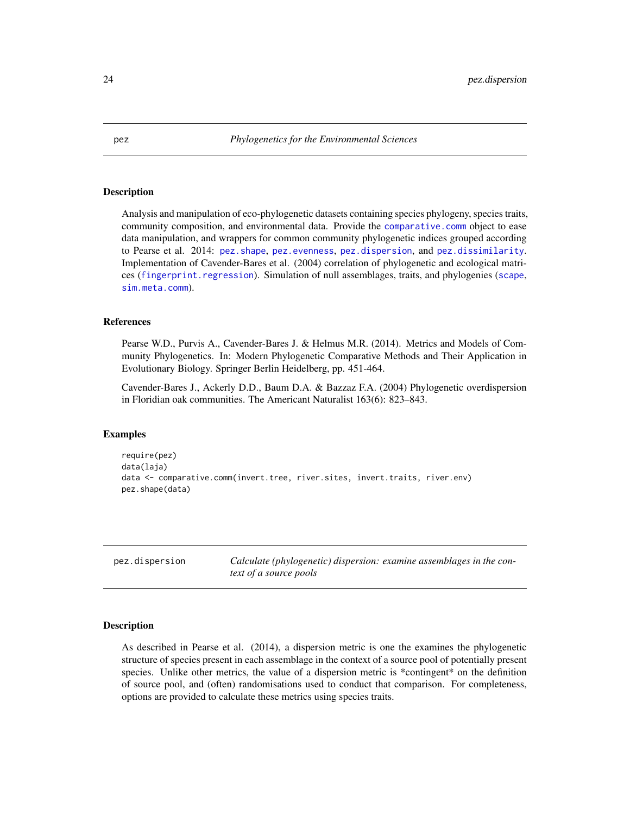#### Description

Analysis and manipulation of eco-phylogenetic datasets containing species phylogeny, species traits, community composition, and environmental data. Provide the [comparative.comm](#page-4-1) object to ease data manipulation, and wrappers for common community phylogenetic indices grouped according to Pearse et al. 2014: [pez.shape](#page-37-1), [pez.evenness](#page-29-1), [pez.dispersion](#page-23-1), and [pez.dissimilarity](#page-26-1). Implementation of Cavender-Bares et al. (2004) correlation of phylogenetic and ecological matrices ([fingerprint.regression](#page-17-1)). Simulation of null assemblages, traits, and phylogenies ([scape](#page-54-1), [sim.meta.comm](#page-57-2)).

## References

Pearse W.D., Purvis A., Cavender-Bares J. & Helmus M.R. (2014). Metrics and Models of Community Phylogenetics. In: Modern Phylogenetic Comparative Methods and Their Application in Evolutionary Biology. Springer Berlin Heidelberg, pp. 451-464.

Cavender-Bares J., Ackerly D.D., Baum D.A. & Bazzaz F.A. (2004) Phylogenetic overdispersion in Floridian oak communities. The Americant Naturalist 163(6): 823–843.

#### Examples

```
require(pez)
data(laja)
data <- comparative.comm(invert.tree, river.sites, invert.traits, river.env)
pez.shape(data)
```
<span id="page-23-1"></span>pez.dispersion *Calculate (phylogenetic) dispersion: examine assemblages in the context of a source pools*

#### Description

As described in Pearse et al. (2014), a dispersion metric is one the examines the phylogenetic structure of species present in each assemblage in the context of a source pool of potentially present species. Unlike other metrics, the value of a dispersion metric is \*contingent\* on the definition of source pool, and (often) randomisations used to conduct that comparison. For completeness, options are provided to calculate these metrics using species traits.

<span id="page-23-0"></span>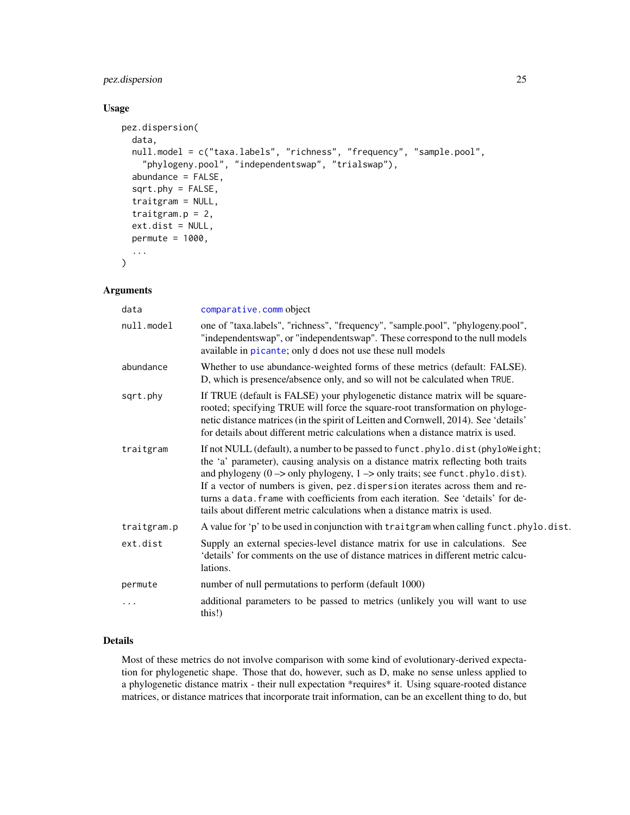## <span id="page-24-0"></span>pez.dispersion 25

## Usage

```
pez.dispersion(
  data,
  null.model = c("taxa.labels", "richness", "frequency", "sample.pool",
    "phylogeny.pool", "independentswap", "trialswap"),
  abundance = FALSE,
  sqrt.phy = FALSE,
  traitgram = NULL,
  traitgram.p = 2,
  ext.dist = NULL,
  permute = 1000,
  ...
)
```
## Arguments

| data        | comparative.comm object                                                                                                                                                                                                                                                                                                                                                                                                                                                                                                                  |
|-------------|------------------------------------------------------------------------------------------------------------------------------------------------------------------------------------------------------------------------------------------------------------------------------------------------------------------------------------------------------------------------------------------------------------------------------------------------------------------------------------------------------------------------------------------|
| null.model  | one of "taxa.labels", "richness", "frequency", "sample.pool", "phylogeny.pool",<br>"independentswap", or "independentswap". These correspond to the null models<br>available in picante; only d does not use these null models                                                                                                                                                                                                                                                                                                           |
| abundance   | Whether to use abundance-weighted forms of these metrics (default: FALSE).<br>D, which is presence/absence only, and so will not be calculated when TRUE.                                                                                                                                                                                                                                                                                                                                                                                |
| sqrt.phy    | If TRUE (default is FALSE) your phylogenetic distance matrix will be square-<br>rooted; specifying TRUE will force the square-root transformation on phyloge-<br>netic distance matrices (in the spirit of Leitten and Cornwell, 2014). See 'details'<br>for details about different metric calculations when a distance matrix is used.                                                                                                                                                                                                 |
| traitgram   | If not NULL (default), a number to be passed to funct. phylo.dist (phyloWeight;<br>the 'a' parameter), causing analysis on a distance matrix reflecting both traits<br>and phylogeny $(0 \rightarrow \text{only phylogeny}, 1 \rightarrow \text{only traits}$ ; see funct. phylo.dist).<br>If a vector of numbers is given, pez.dispersion iterates across them and re-<br>turns a data. frame with coefficients from each iteration. See 'details' for de-<br>tails about different metric calculations when a distance matrix is used. |
| traitgram.p | A value for 'p' to be used in conjunction with traitgram when calling funct.phylo.dist.                                                                                                                                                                                                                                                                                                                                                                                                                                                  |
| ext.dist    | Supply an external species-level distance matrix for use in calculations. See<br>'details' for comments on the use of distance matrices in different metric calcu-<br>lations.                                                                                                                                                                                                                                                                                                                                                           |
| permute     | number of null permutations to perform (default 1000)                                                                                                                                                                                                                                                                                                                                                                                                                                                                                    |
|             | additional parameters to be passed to metrics (unlikely you will want to use<br>this!)                                                                                                                                                                                                                                                                                                                                                                                                                                                   |
|             |                                                                                                                                                                                                                                                                                                                                                                                                                                                                                                                                          |

## Details

Most of these metrics do not involve comparison with some kind of evolutionary-derived expectation for phylogenetic shape. Those that do, however, such as D, make no sense unless applied to a phylogenetic distance matrix - their null expectation \*requires\* it. Using square-rooted distance matrices, or distance matrices that incorporate trait information, can be an excellent thing to do, but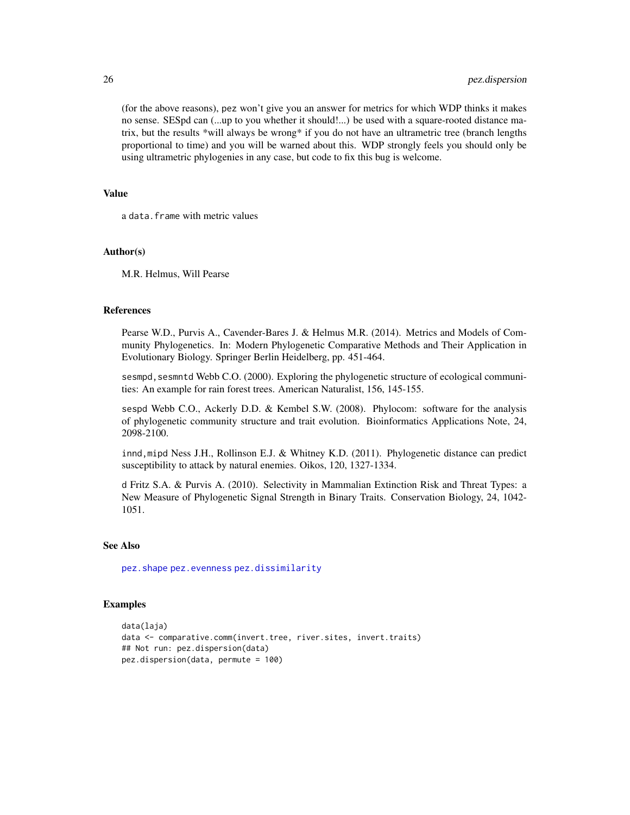(for the above reasons), pez won't give you an answer for metrics for which WDP thinks it makes no sense. SESpd can (...up to you whether it should!...) be used with a square-rooted distance matrix, but the results \*will always be wrong\* if you do not have an ultrametric tree (branch lengths proportional to time) and you will be warned about this. WDP strongly feels you should only be using ultrametric phylogenies in any case, but code to fix this bug is welcome.

## Value

a data.frame with metric values

#### Author(s)

M.R. Helmus, Will Pearse

## References

Pearse W.D., Purvis A., Cavender-Bares J. & Helmus M.R. (2014). Metrics and Models of Community Phylogenetics. In: Modern Phylogenetic Comparative Methods and Their Application in Evolutionary Biology. Springer Berlin Heidelberg, pp. 451-464.

sesmpd, sesmntd Webb C.O. (2000). Exploring the phylogenetic structure of ecological communities: An example for rain forest trees. American Naturalist, 156, 145-155.

sespd Webb C.O., Ackerly D.D. & Kembel S.W. (2008). Phylocom: software for the analysis of phylogenetic community structure and trait evolution. Bioinformatics Applications Note, 24, 2098-2100.

innd,mipd Ness J.H., Rollinson E.J. & Whitney K.D. (2011). Phylogenetic distance can predict susceptibility to attack by natural enemies. Oikos, 120, 1327-1334.

d Fritz S.A. & Purvis A. (2010). Selectivity in Mammalian Extinction Risk and Threat Types: a New Measure of Phylogenetic Signal Strength in Binary Traits. Conservation Biology, 24, 1042- 1051.

#### See Also

[pez.shape](#page-37-1) [pez.evenness](#page-29-1) [pez.dissimilarity](#page-26-1)

#### Examples

```
data(laja)
data <- comparative.comm(invert.tree, river.sites, invert.traits)
## Not run: pez.dispersion(data)
pez.dispersion(data, permute = 100)
```
<span id="page-25-0"></span>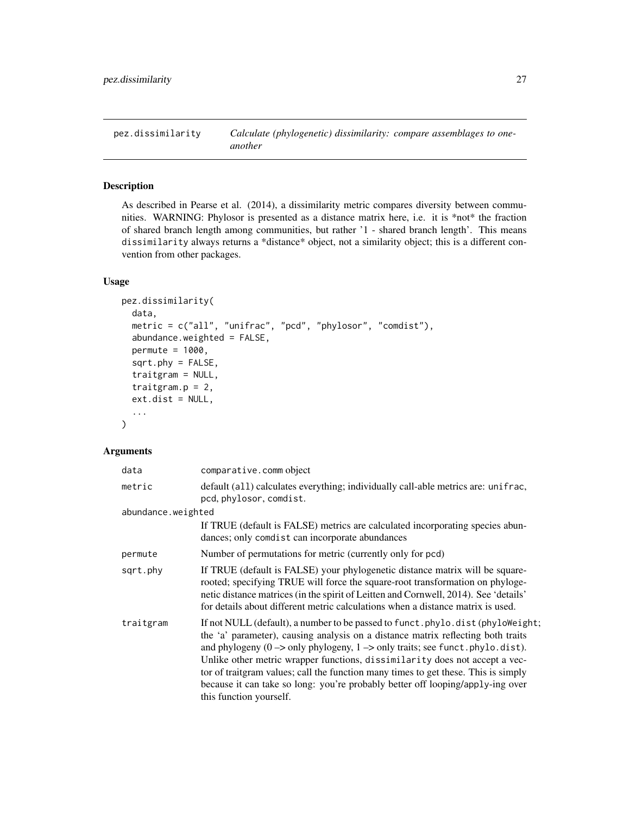<span id="page-26-1"></span><span id="page-26-0"></span>pez.dissimilarity *Calculate (phylogenetic) dissimilarity: compare assemblages to oneanother*

## Description

As described in Pearse et al. (2014), a dissimilarity metric compares diversity between communities. WARNING: Phylosor is presented as a distance matrix here, i.e. it is \*not\* the fraction of shared branch length among communities, but rather '1 - shared branch length'. This means dissimilarity always returns a \*distance\* object, not a similarity object; this is a different convention from other packages.

#### Usage

```
pez.dissimilarity(
  data,
  metric = c("all", "unifrac", "pcd", "phylosor", "comdist"),
  abundance.weighted = FALSE,
  permute = 1000,
  sqrt.phy = FALSE,
  traitgram = NULL,
  traitgram.p = 2,
  ext.dist = NULL,...
)
```
#### Arguments

| data               | comparative.comm object                                                                                                                                                                                                                                                                                                                                                                                                                                                                                                                                                  |
|--------------------|--------------------------------------------------------------------------------------------------------------------------------------------------------------------------------------------------------------------------------------------------------------------------------------------------------------------------------------------------------------------------------------------------------------------------------------------------------------------------------------------------------------------------------------------------------------------------|
| metric             | default (all) calculates everything; individually call-able metrics are: unifrac,<br>pcd, phylosor, comdist.                                                                                                                                                                                                                                                                                                                                                                                                                                                             |
| abundance.weighted |                                                                                                                                                                                                                                                                                                                                                                                                                                                                                                                                                                          |
|                    | If TRUE (default is FALSE) metrics are calculated incorporating species abun-<br>dances; only comdist can incorporate abundances                                                                                                                                                                                                                                                                                                                                                                                                                                         |
| permute            | Number of permutations for metric (currently only for pcd)                                                                                                                                                                                                                                                                                                                                                                                                                                                                                                               |
| sqrt.phy           | If TRUE (default is FALSE) your phylogenetic distance matrix will be square-<br>rooted; specifying TRUE will force the square-root transformation on phyloge-<br>netic distance matrices (in the spirit of Leitten and Cornwell, 2014). See 'details'<br>for details about different metric calculations when a distance matrix is used.                                                                                                                                                                                                                                 |
| traitgram          | If not NULL (default), a number to be passed to funct. phylo.dist (phyloWeight;<br>the 'a' parameter), causing analysis on a distance matrix reflecting both traits<br>and phylogeny $(0 \rightarrow \text{only phylogeny}, 1 \rightarrow \text{only traits}$ ; see funct.phylo.dist).<br>Unlike other metric wrapper functions, dissimilarity does not accept a vec-<br>tor of traitgram values; call the function many times to get these. This is simply<br>because it can take so long: you're probably better off looping/apply-ing over<br>this function yourself. |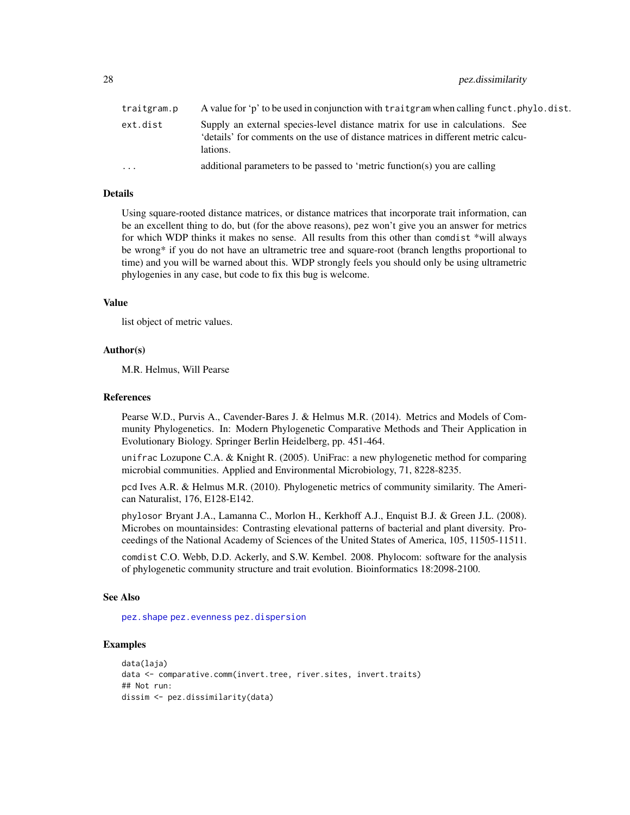<span id="page-27-0"></span>28 pez.dissimilarity

| traitgram.p | A value for 'p' to be used in conjunction with traitgram when calling funct.phylo.dist.                                                                                        |
|-------------|--------------------------------------------------------------------------------------------------------------------------------------------------------------------------------|
| ext.dist    | Supply an external species-level distance matrix for use in calculations. See<br>'details' for comments on the use of distance matrices in different metric calcu-<br>lations. |
| .           | additional parameters to be passed to 'metric function(s) you are calling                                                                                                      |

## Details

Using square-rooted distance matrices, or distance matrices that incorporate trait information, can be an excellent thing to do, but (for the above reasons), pez won't give you an answer for metrics for which WDP thinks it makes no sense. All results from this other than comdist \*will always be wrong\* if you do not have an ultrametric tree and square-root (branch lengths proportional to time) and you will be warned about this. WDP strongly feels you should only be using ultrametric phylogenies in any case, but code to fix this bug is welcome.

#### Value

list object of metric values.

#### Author(s)

M.R. Helmus, Will Pearse

## References

Pearse W.D., Purvis A., Cavender-Bares J. & Helmus M.R. (2014). Metrics and Models of Community Phylogenetics. In: Modern Phylogenetic Comparative Methods and Their Application in Evolutionary Biology. Springer Berlin Heidelberg, pp. 451-464.

unifrac Lozupone C.A. & Knight R. (2005). UniFrac: a new phylogenetic method for comparing microbial communities. Applied and Environmental Microbiology, 71, 8228-8235.

pcd Ives A.R. & Helmus M.R. (2010). Phylogenetic metrics of community similarity. The American Naturalist, 176, E128-E142.

phylosor Bryant J.A., Lamanna C., Morlon H., Kerkhoff A.J., Enquist B.J. & Green J.L. (2008). Microbes on mountainsides: Contrasting elevational patterns of bacterial and plant diversity. Proceedings of the National Academy of Sciences of the United States of America, 105, 11505-11511.

comdist C.O. Webb, D.D. Ackerly, and S.W. Kembel. 2008. Phylocom: software for the analysis of phylogenetic community structure and trait evolution. Bioinformatics 18:2098-2100.

#### See Also

[pez.shape](#page-37-1) [pez.evenness](#page-29-1) [pez.dispersion](#page-23-1)

## Examples

```
data(laja)
data <- comparative.comm(invert.tree, river.sites, invert.traits)
## Not run:
dissim <- pez.dissimilarity(data)
```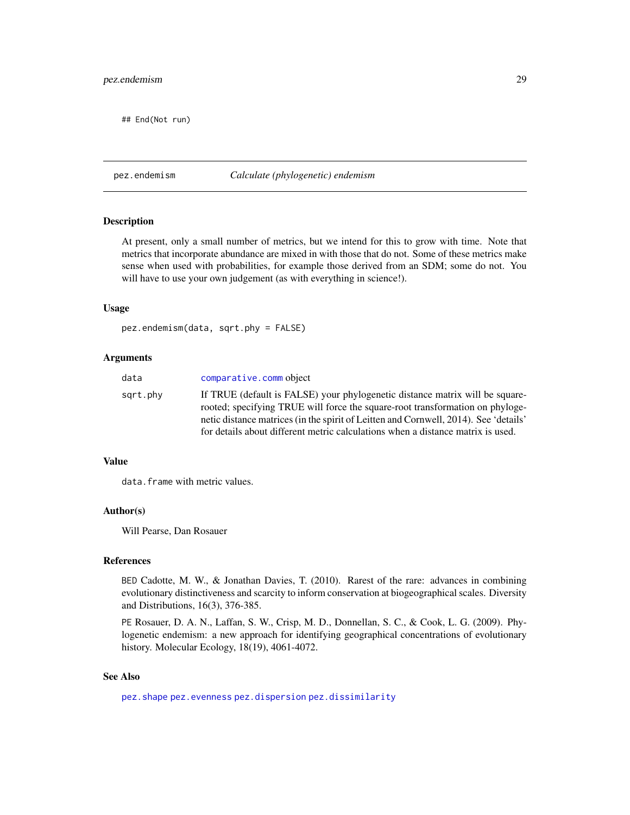## <span id="page-28-0"></span>pez.endemism 29

## End(Not run)

## pez.endemism *Calculate (phylogenetic) endemism*

#### Description

At present, only a small number of metrics, but we intend for this to grow with time. Note that metrics that incorporate abundance are mixed in with those that do not. Some of these metrics make sense when used with probabilities, for example those derived from an SDM; some do not. You will have to use your own judgement (as with everything in science!).

#### Usage

```
pez.endemism(data, sqrt.phy = FALSE)
```
### Arguments

| data     | comparative.comm object                                                                                                                                                                                                                                                                                                                  |
|----------|------------------------------------------------------------------------------------------------------------------------------------------------------------------------------------------------------------------------------------------------------------------------------------------------------------------------------------------|
| sqrt.phy | If TRUE (default is FALSE) your phylogenetic distance matrix will be square-<br>rooted; specifying TRUE will force the square-root transformation on phyloge-<br>netic distance matrices (in the spirit of Leitten and Cornwell, 2014). See 'details'<br>for details about different metric calculations when a distance matrix is used. |
|          |                                                                                                                                                                                                                                                                                                                                          |

#### Value

data.frame with metric values.

#### Author(s)

Will Pearse, Dan Rosauer

## References

BED Cadotte, M. W., & Jonathan Davies, T. (2010). Rarest of the rare: advances in combining evolutionary distinctiveness and scarcity to inform conservation at biogeographical scales. Diversity and Distributions, 16(3), 376-385.

PE Rosauer, D. A. N., Laffan, S. W., Crisp, M. D., Donnellan, S. C., & Cook, L. G. (2009). Phylogenetic endemism: a new approach for identifying geographical concentrations of evolutionary history. Molecular Ecology, 18(19), 4061-4072.

## See Also

[pez.shape](#page-37-1) [pez.evenness](#page-29-1) [pez.dispersion](#page-23-1) [pez.dissimilarity](#page-26-1)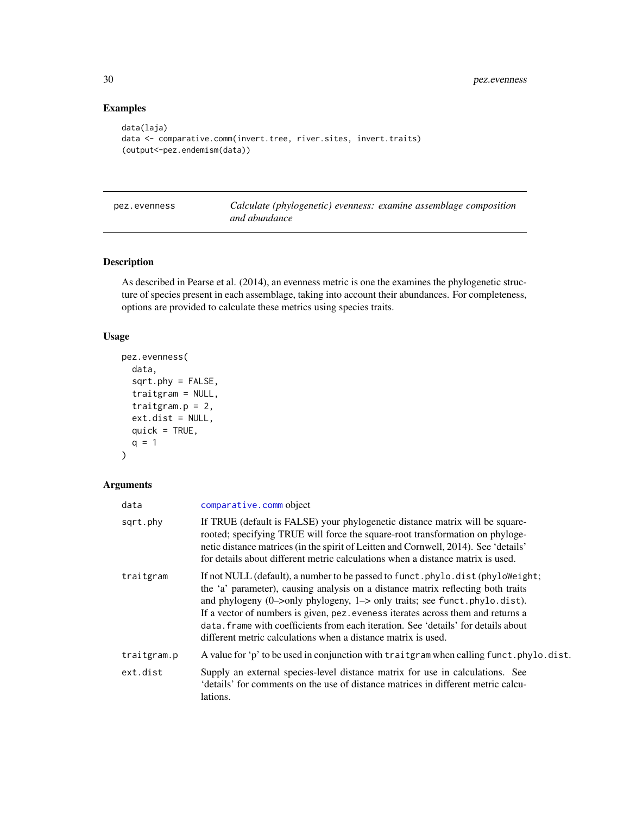## Examples

```
data(laja)
data <- comparative.comm(invert.tree, river.sites, invert.traits)
(output<-pez.endemism(data))
```
<span id="page-29-1"></span>pez.evenness *Calculate (phylogenetic) evenness: examine assemblage composition and abundance*

## Description

As described in Pearse et al. (2014), an evenness metric is one the examines the phylogenetic structure of species present in each assemblage, taking into account their abundances. For completeness, options are provided to calculate these metrics using species traits.

## Usage

```
pez.evenness(
  data,
  sqrt.phy = FALSE,
  traitgram = NULL,
  traitgram.p = 2,
  ext.dist = NULL,
  quick = TRUE,
  q = 1)
```
## Arguments

| data        | comparative.comm object                                                                                                                                                                                                                                                                                                                                                                                                                                                                                                        |
|-------------|--------------------------------------------------------------------------------------------------------------------------------------------------------------------------------------------------------------------------------------------------------------------------------------------------------------------------------------------------------------------------------------------------------------------------------------------------------------------------------------------------------------------------------|
| sqrt.phy    | If TRUE (default is FALSE) your phylogenetic distance matrix will be square-<br>rooted; specifying TRUE will force the square-root transformation on phyloge-<br>netic distance matrices (in the spirit of Leitten and Cornwell, 2014). See 'details'<br>for details about different metric calculations when a distance matrix is used.                                                                                                                                                                                       |
| traitgram   | If not NULL (default), a number to be passed to funct. phylo. dist (phyloWeight;<br>the 'a' parameter), causing analysis on a distance matrix reflecting both traits<br>and phylogeny $(0\rightarrow\text{only phylogeny}, 1\rightarrow\text{only traits}$ ; see funct.phylo.dist).<br>If a vector of numbers is given, pez. eveness iterates across them and returns a<br>data. frame with coefficients from each iteration. See 'details' for details about<br>different metric calculations when a distance matrix is used. |
| traitgram.p | A value for 'p' to be used in conjunction with traitgram when calling funct.phylo.dist.                                                                                                                                                                                                                                                                                                                                                                                                                                        |
| ext.dist    | Supply an external species-level distance matrix for use in calculations. See<br>'details' for comments on the use of distance matrices in different metric calcu-<br>lations.                                                                                                                                                                                                                                                                                                                                                 |

<span id="page-29-0"></span>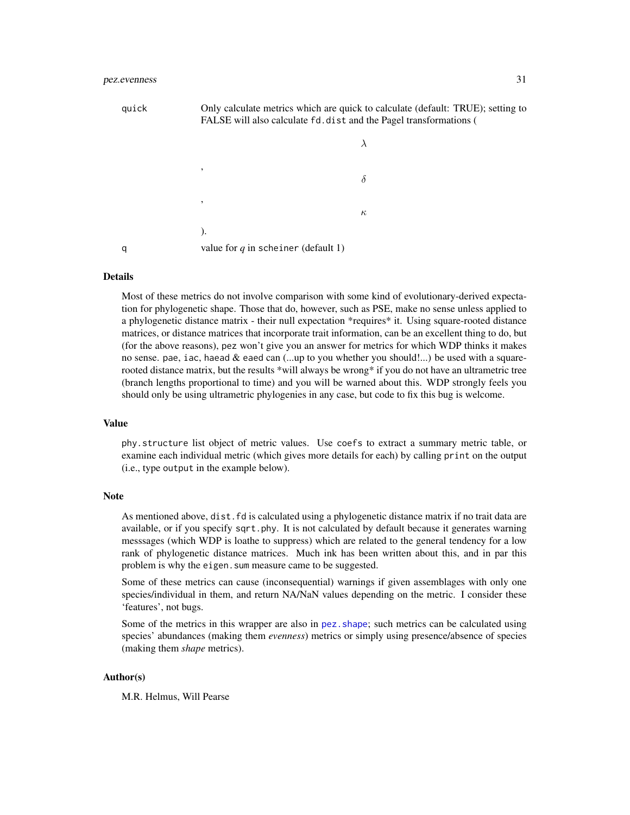<span id="page-30-0"></span>

| quick | Only calculate metrics which are quick to calculate (default: TRUE); setting to<br>FALSE will also calculate fd.dist and the Pagel transformations ( |          |  |
|-------|------------------------------------------------------------------------------------------------------------------------------------------------------|----------|--|
|       |                                                                                                                                                      |          |  |
|       | ,                                                                                                                                                    | δ        |  |
|       | ,                                                                                                                                                    | $\kappa$ |  |
|       |                                                                                                                                                      |          |  |

q value for *q* in scheiner (default 1)

#### Details

Most of these metrics do not involve comparison with some kind of evolutionary-derived expectation for phylogenetic shape. Those that do, however, such as PSE, make no sense unless applied to a phylogenetic distance matrix - their null expectation \*requires\* it. Using square-rooted distance matrices, or distance matrices that incorporate trait information, can be an excellent thing to do, but (for the above reasons), pez won't give you an answer for metrics for which WDP thinks it makes no sense. pae, iac, haead & eaed can (...up to you whether you should!...) be used with a squarerooted distance matrix, but the results \*will always be wrong\* if you do not have an ultrametric tree (branch lengths proportional to time) and you will be warned about this. WDP strongly feels you should only be using ultrametric phylogenies in any case, but code to fix this bug is welcome.

#### Value

phy.structure list object of metric values. Use coefs to extract a summary metric table, or examine each individual metric (which gives more details for each) by calling print on the output (i.e., type output in the example below).

#### Note

As mentioned above, dist.fd is calculated using a phylogenetic distance matrix if no trait data are available, or if you specify sqrt.phy. It is not calculated by default because it generates warning messsages (which WDP is loathe to suppress) which are related to the general tendency for a low rank of phylogenetic distance matrices. Much ink has been written about this, and in par this problem is why the eigen. sum measure came to be suggested.

Some of these metrics can cause (inconsequential) warnings if given assemblages with only one species/individual in them, and return NA/NaN values depending on the metric. I consider these 'features', not bugs.

Some of the metrics in this wrapper are also in [pez.shape](#page-37-1); such metrics can be calculated using species' abundances (making them *evenness*) metrics or simply using presence/absence of species (making them *shape* metrics).

#### Author(s)

M.R. Helmus, Will Pearse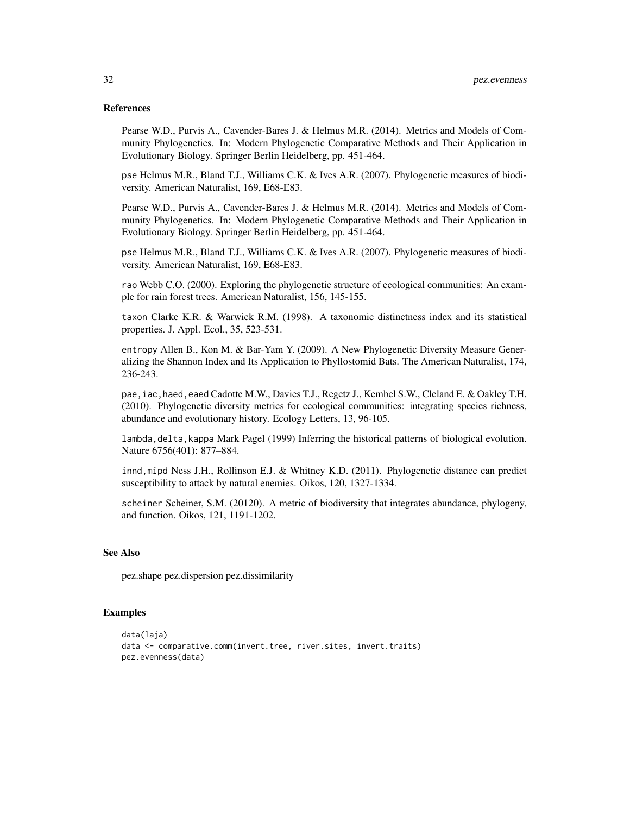#### References

Pearse W.D., Purvis A., Cavender-Bares J. & Helmus M.R. (2014). Metrics and Models of Community Phylogenetics. In: Modern Phylogenetic Comparative Methods and Their Application in Evolutionary Biology. Springer Berlin Heidelberg, pp. 451-464.

pse Helmus M.R., Bland T.J., Williams C.K. & Ives A.R. (2007). Phylogenetic measures of biodiversity. American Naturalist, 169, E68-E83.

Pearse W.D., Purvis A., Cavender-Bares J. & Helmus M.R. (2014). Metrics and Models of Community Phylogenetics. In: Modern Phylogenetic Comparative Methods and Their Application in Evolutionary Biology. Springer Berlin Heidelberg, pp. 451-464.

pse Helmus M.R., Bland T.J., Williams C.K. & Ives A.R. (2007). Phylogenetic measures of biodiversity. American Naturalist, 169, E68-E83.

rao Webb C.O. (2000). Exploring the phylogenetic structure of ecological communities: An example for rain forest trees. American Naturalist, 156, 145-155.

taxon Clarke K.R. & Warwick R.M. (1998). A taxonomic distinctness index and its statistical properties. J. Appl. Ecol., 35, 523-531.

entropy Allen B., Kon M. & Bar-Yam Y. (2009). A New Phylogenetic Diversity Measure Generalizing the Shannon Index and Its Application to Phyllostomid Bats. The American Naturalist, 174, 236-243.

pae, iac, haed, eaed Cadotte M.W., Davies T.J., Regetz J., Kembel S.W., Cleland E. & Oakley T.H. (2010). Phylogenetic diversity metrics for ecological communities: integrating species richness, abundance and evolutionary history. Ecology Letters, 13, 96-105.

lambda, delta, kappa Mark Pagel (1999) Inferring the historical patterns of biological evolution. Nature 6756(401): 877–884.

innd,mipd Ness J.H., Rollinson E.J. & Whitney K.D. (2011). Phylogenetic distance can predict susceptibility to attack by natural enemies. Oikos, 120, 1327-1334.

scheiner Scheiner, S.M. (20120). A metric of biodiversity that integrates abundance, phylogeny, and function. Oikos, 121, 1191-1202.

## See Also

pez.shape pez.dispersion pez.dissimilarity

## Examples

```
data(laja)
data <- comparative.comm(invert.tree, river.sites, invert.traits)
pez.evenness(data)
```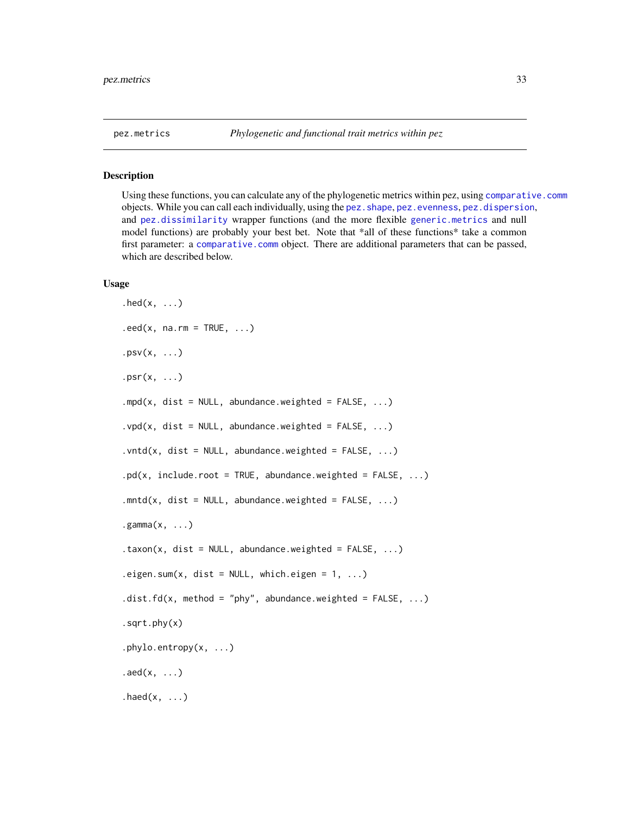#### <span id="page-32-2"></span><span id="page-32-1"></span><span id="page-32-0"></span>Description

Using these functions, you can calculate any of the phylogenetic metrics within pez, using [comparative.comm](#page-4-1) objects. While you can call each individually, using the pez. shape, pez. evenness, pez. dispersion, and [pez.dissimilarity](#page-26-1) wrapper functions (and the more flexible [generic.metrics](#page-20-2) and null model functions) are probably your best bet. Note that \*all of these functions\* take a common first parameter: a [comparative.comm](#page-4-1) object. There are additional parameters that can be passed, which are described below.

#### Usage

```
.hed(x, \ldots).eed(x, na.rm = TRUE, ...).py(x, \ldots)psr(x, \ldots).mpd(x, dist = NULL, abundance.weighted = FALSE, ...)
.vpd(x, dist = NULL, abundance. weighted = FALSE, ...).vntd(x, dist = NULL, abundance.weighted = FALSE, ...)
.pdf(x, include-root = TRUE, abundance-weighted = FALSE, ...).mntd(x, dist = NULL, abundance.weighted = FALSE, ...)
(gamma(x, \ldots)).taxon(x, dist = NULL, abundance.weighted = FALSE, \ldots)
.eigen.sum(x, dist = NULL, which. eigen = 1, ...)dist.fd(x, method = "phy", abundance.weighted = FALSE, ...).sqrt.phy(x)
.phylo.entropy(x, ...)
.add(x, \ldots).haed(x, \ldots)
```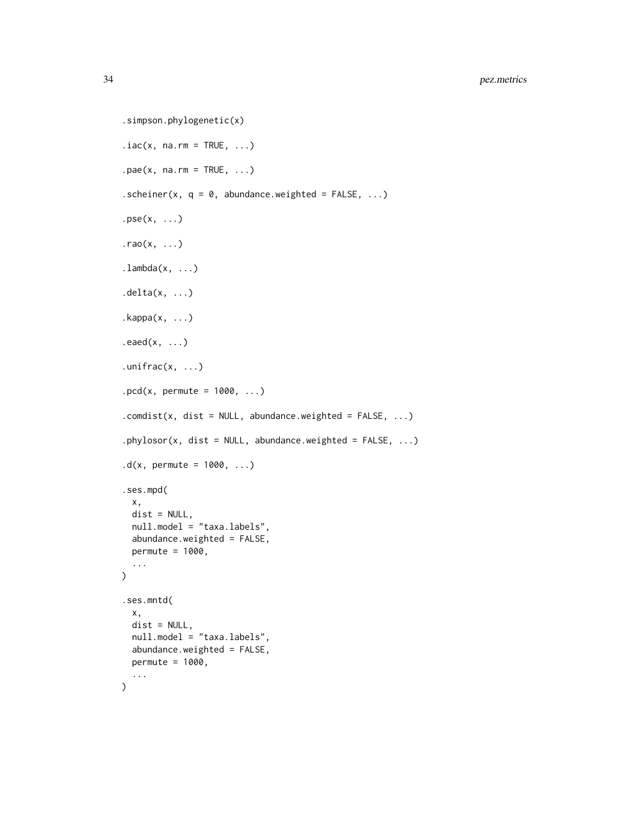```
.simpson.phylogenetic(x)
iac(x, na.rm = TRUE, ...).\text{pae}(x, \text{na}.\text{rm} = \text{TRUE}, \dots)scheiner(x, q = 0, abundance weighted = FALSE, ...).\text{pse}(x, \ldots)\cdotrao(x, \ldots).lambda(x, \ldots).delta(x, \ldots).kappa(x, \ldots).eaed(x, \ldots).unifrac(x, \ldots).pcd(x, permute = 1000, \dots)
count(x, dist = NULL, abundance.weighted = FALSE, ...).phylosor(x, dist = NULL, abundance.weighted = FALSE, ...)
.d(x, permute = 1000, ...)
.ses.mpd(
  x,
 dist = NULL,null.model = "taxa.labels",
  abundance.weighted = FALSE,
 permute = 1000,
  ...
)
.ses.mntd(
  x,
 dist = NULL,
 null.model = "taxa.labels",
  abundance.weighted = FALSE,
 permute = 1000,
  ...
\mathcal{L}
```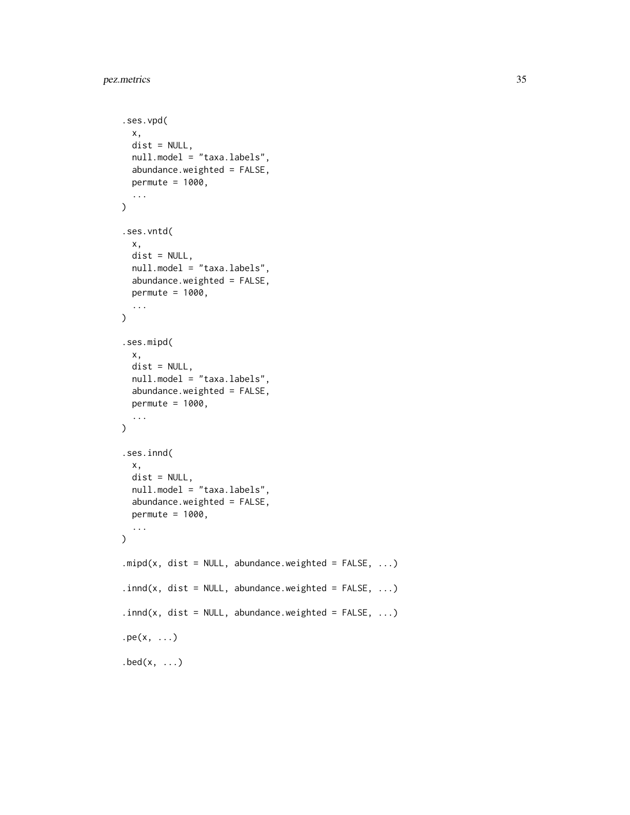```
.ses.vpd(
 x,
 dist = NULL,null.model = "taxa.labels",
 abundance.weighted = FALSE,
 permute = 1000,
  ...
\mathcal{L}.ses.vntd(
 x,
 dist = NULL,null.model = "taxa.labels",
 abundance.weighted = FALSE,
 permute = 1000,
  ...
\mathcal{L}.ses.mipd(
 x,
 dist = NULL,null.model = "taxa.labels",
 abundance.weighted = FALSE,
 permute = 1000,
  ...
\mathcal{L}.ses.innd(
 x,
 dist = NULL,null.model = "taxa.labels",
 abundance.weighted = FALSE,
 permute = 1000,
  ...
\mathcal{L}.mipd(x, dist = NULL, abundance.weighted = FALSE, ...)
.innd(x, dist = NULL, abundance.weighted = FALSE, ...)
.innd(x, dist = NULL, abundance.weighted = FALSE, \ldots)
pe(x, \ldots).bed(x, \ldots)
```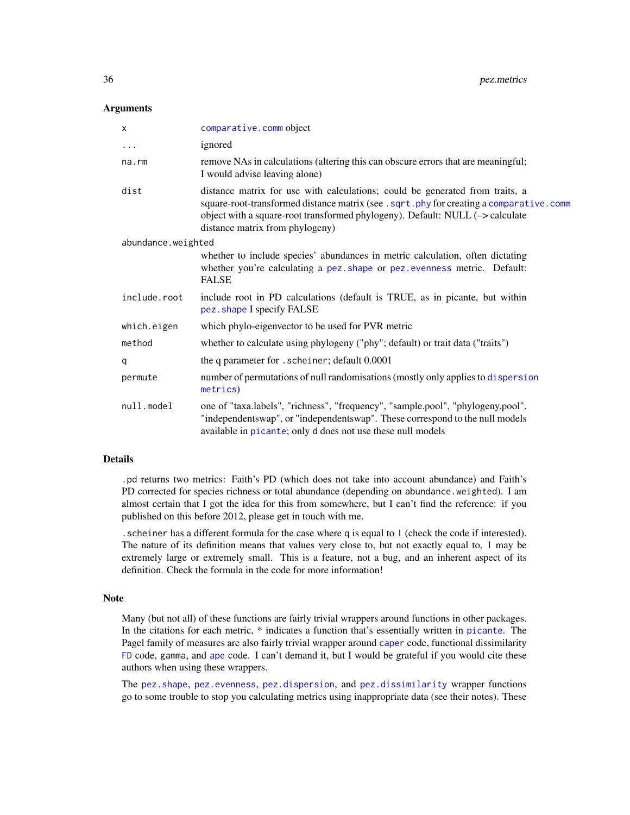#### <span id="page-35-0"></span>**Arguments**

| $\times$           | comparative.comm object                                                                                                                                                                                                                                                                     |  |
|--------------------|---------------------------------------------------------------------------------------------------------------------------------------------------------------------------------------------------------------------------------------------------------------------------------------------|--|
| $\cdots$           | ignored                                                                                                                                                                                                                                                                                     |  |
| na.rm              | remove NAs in calculations (altering this can obscure errors that are meaningful;<br>I would advise leaving alone)                                                                                                                                                                          |  |
| dist               | distance matrix for use with calculations; could be generated from traits, a<br>square-root-transformed distance matrix (see . sqrt.phy for creating a comparative.comm<br>object with a square-root transformed phylogeny). Default: NULL (-> calculate<br>distance matrix from phylogeny) |  |
| abundance.weighted |                                                                                                                                                                                                                                                                                             |  |
|                    | whether to include species' abundances in metric calculation, often dictating<br>whether you're calculating a pez. shape or pez. evenness metric. Default:<br><b>FALSE</b>                                                                                                                  |  |
| include.root       | include root in PD calculations (default is TRUE, as in picante, but within<br>pez. shape I specify FALSE                                                                                                                                                                                   |  |
| which.eigen        | which phylo-eigenvector to be used for PVR metric                                                                                                                                                                                                                                           |  |
| method             | whether to calculate using phylogeny ("phy"; default) or trait data ("traits")                                                                                                                                                                                                              |  |
| q                  | the q parameter for . scheiner; default 0.0001                                                                                                                                                                                                                                              |  |
| permute            | number of permutations of null randomisations (mostly only applies to dispersion<br>metrics)                                                                                                                                                                                                |  |
| null.model         | one of "taxa.labels", "richness", "frequency", "sample.pool", "phylogeny.pool",<br>"independentswap", or "independentswap". These correspond to the null models<br>available in picante; only d does not use these null models                                                              |  |

## Details

.pd returns two metrics: Faith's PD (which does not take into account abundance) and Faith's PD corrected for species richness or total abundance (depending on abundance.weighted). I am almost certain that I got the idea for this from somewhere, but I can't find the reference: if you published on this before 2012, please get in touch with me.

.scheiner has a different formula for the case where q is equal to 1 (check the code if interested). The nature of its definition means that values very close to, but not exactly equal to, 1 may be extremely large or extremely small. This is a feature, not a bug, and an inherent aspect of its definition. Check the formula in the code for more information!

#### Note

Many (but not all) of these functions are fairly trivial wrappers around functions in other packages. In the citations for each metric, \* indicates a function that's essentially written in [picante](#page-0-0). The Pagel family of measures are also fairly trivial wrapper around [caper](#page-0-0) code, functional dissimilarity [FD](#page-0-0) code, gamma, and [ape](#page-0-0) code. I can't demand it, but I would be grateful if you would cite these authors when using these wrappers.

The [pez.shape](#page-37-1), [pez.evenness](#page-29-1), [pez.dispersion](#page-23-1), and [pez.dissimilarity](#page-26-1) wrapper functions go to some trouble to stop you calculating metrics using inappropriate data (see their notes). These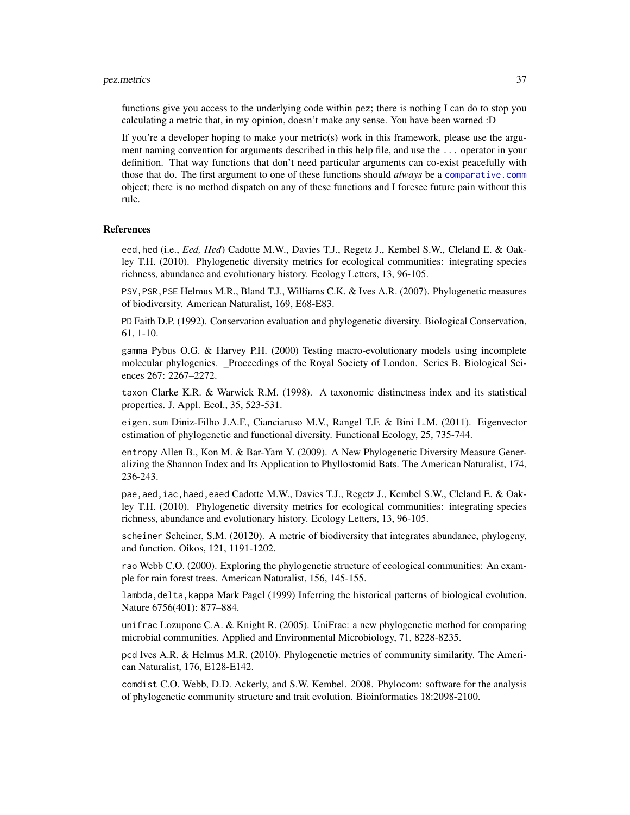#### <span id="page-36-0"></span>pez.metrics 37

functions give you access to the underlying code within pez; there is nothing I can do to stop you calculating a metric that, in my opinion, doesn't make any sense. You have been warned :D

If you're a developer hoping to make your metric(s) work in this framework, please use the argument naming convention for arguments described in this help file, and use the ... operator in your definition. That way functions that don't need particular arguments can co-exist peacefully with those that do. The first argument to one of these functions should *always* be a [comparative.comm](#page-4-1) object; there is no method dispatch on any of these functions and I foresee future pain without this rule.

#### **References**

eed,hed (i.e., *Eed, Hed*) Cadotte M.W., Davies T.J., Regetz J., Kembel S.W., Cleland E. & Oakley T.H. (2010). Phylogenetic diversity metrics for ecological communities: integrating species richness, abundance and evolutionary history. Ecology Letters, 13, 96-105.

PSV,PSR,PSE Helmus M.R., Bland T.J., Williams C.K. & Ives A.R. (2007). Phylogenetic measures of biodiversity. American Naturalist, 169, E68-E83.

PD Faith D.P. (1992). Conservation evaluation and phylogenetic diversity. Biological Conservation, 61, 1-10.

gamma Pybus O.G. & Harvey P.H. (2000) Testing macro-evolutionary models using incomplete molecular phylogenies. Proceedings of the Royal Society of London. Series B. Biological Sciences 267: 2267–2272.

taxon Clarke K.R. & Warwick R.M. (1998). A taxonomic distinctness index and its statistical properties. J. Appl. Ecol., 35, 523-531.

eigen.sum Diniz-Filho J.A.F., Cianciaruso M.V., Rangel T.F. & Bini L.M. (2011). Eigenvector estimation of phylogenetic and functional diversity. Functional Ecology, 25, 735-744.

entropy Allen B., Kon M. & Bar-Yam Y. (2009). A New Phylogenetic Diversity Measure Generalizing the Shannon Index and Its Application to Phyllostomid Bats. The American Naturalist, 174, 236-243.

pae, aed, iac, haed, eaed Cadotte M.W., Davies T.J., Regetz J., Kembel S.W., Cleland E. & Oakley T.H. (2010). Phylogenetic diversity metrics for ecological communities: integrating species richness, abundance and evolutionary history. Ecology Letters, 13, 96-105.

scheiner Scheiner, S.M. (20120). A metric of biodiversity that integrates abundance, phylogeny, and function. Oikos, 121, 1191-1202.

rao Webb C.O. (2000). Exploring the phylogenetic structure of ecological communities: An example for rain forest trees. American Naturalist, 156, 145-155.

lambda, delta, kappa Mark Pagel (1999) Inferring the historical patterns of biological evolution. Nature 6756(401): 877–884.

unifrac Lozupone C.A. & Knight R. (2005). UniFrac: a new phylogenetic method for comparing microbial communities. Applied and Environmental Microbiology, 71, 8228-8235.

pcd Ives A.R. & Helmus M.R. (2010). Phylogenetic metrics of community similarity. The American Naturalist, 176, E128-E142.

comdist C.O. Webb, D.D. Ackerly, and S.W. Kembel. 2008. Phylocom: software for the analysis of phylogenetic community structure and trait evolution. Bioinformatics 18:2098-2100.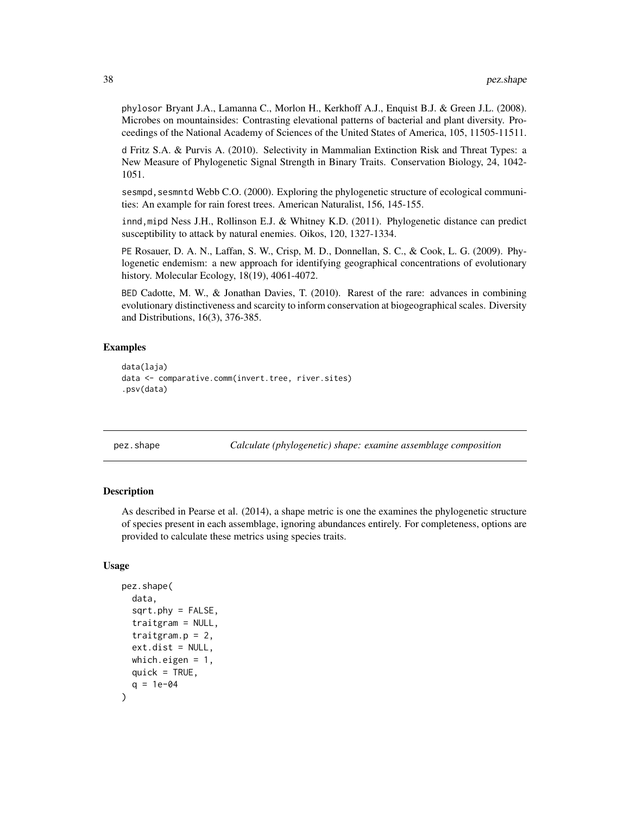<span id="page-37-0"></span>phylosor Bryant J.A., Lamanna C., Morlon H., Kerkhoff A.J., Enquist B.J. & Green J.L. (2008). Microbes on mountainsides: Contrasting elevational patterns of bacterial and plant diversity. Proceedings of the National Academy of Sciences of the United States of America, 105, 11505-11511.

d Fritz S.A. & Purvis A. (2010). Selectivity in Mammalian Extinction Risk and Threat Types: a New Measure of Phylogenetic Signal Strength in Binary Traits. Conservation Biology, 24, 1042- 1051.

sesmpd, sesmntd Webb C.O. (2000). Exploring the phylogenetic structure of ecological communities: An example for rain forest trees. American Naturalist, 156, 145-155.

innd,mipd Ness J.H., Rollinson E.J. & Whitney K.D. (2011). Phylogenetic distance can predict susceptibility to attack by natural enemies. Oikos, 120, 1327-1334.

PE Rosauer, D. A. N., Laffan, S. W., Crisp, M. D., Donnellan, S. C., & Cook, L. G. (2009). Phylogenetic endemism: a new approach for identifying geographical concentrations of evolutionary history. Molecular Ecology, 18(19), 4061-4072.

BED Cadotte, M. W., & Jonathan Davies, T. (2010). Rarest of the rare: advances in combining evolutionary distinctiveness and scarcity to inform conservation at biogeographical scales. Diversity and Distributions, 16(3), 376-385.

#### Examples

```
data(laja)
data <- comparative.comm(invert.tree, river.sites)
.psv(data)
```
<span id="page-37-1"></span>pez.shape *Calculate (phylogenetic) shape: examine assemblage composition*

#### **Description**

As described in Pearse et al. (2014), a shape metric is one the examines the phylogenetic structure of species present in each assemblage, ignoring abundances entirely. For completeness, options are provided to calculate these metrics using species traits.

#### Usage

```
pez.shape(
  data,
  sqrt.Pky = FALSE,traitgram = NULL,
  traitgram.p = 2,
  ext.dist = NULL,which.eigen = 1,
  quick = TRUE,
  q = 1e-04)
```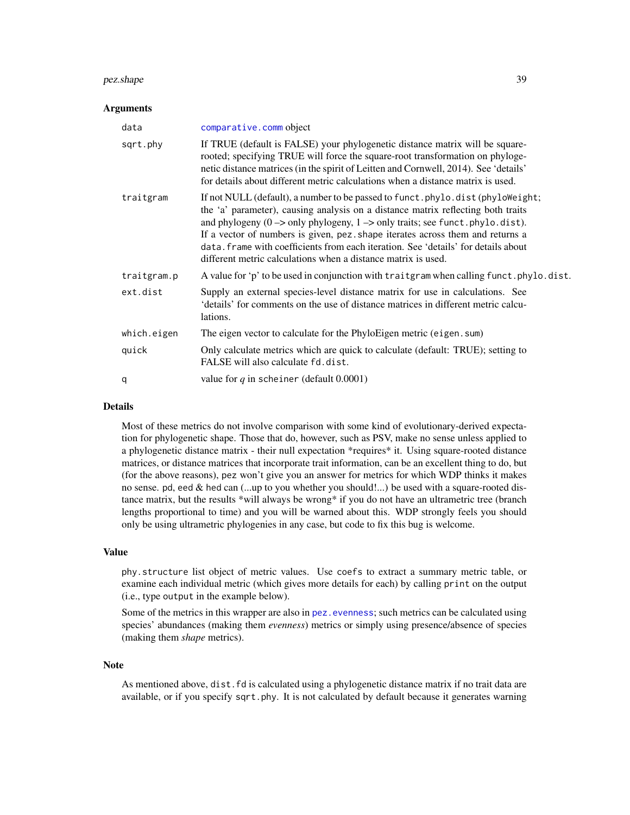#### <span id="page-38-0"></span>pez.shape 39

#### Arguments

| data        | comparative.comm object                                                                                                                                                                                                                                                                                                                                                                                                                                                                                                          |
|-------------|----------------------------------------------------------------------------------------------------------------------------------------------------------------------------------------------------------------------------------------------------------------------------------------------------------------------------------------------------------------------------------------------------------------------------------------------------------------------------------------------------------------------------------|
| sqrt.phy    | If TRUE (default is FALSE) your phylogenetic distance matrix will be square-<br>rooted; specifying TRUE will force the square-root transformation on phyloge-<br>netic distance matrices (in the spirit of Leitten and Cornwell, 2014). See 'details'<br>for details about different metric calculations when a distance matrix is used.                                                                                                                                                                                         |
| traitgram   | If not NULL (default), a number to be passed to funct. phylo. dist (phyloWeight;<br>the 'a' parameter), causing analysis on a distance matrix reflecting both traits<br>and phylogeny $(0 \rightarrow \text{only phylogeny}, 1 \rightarrow \text{only traits}$ ; see funct.phylo.dist).<br>If a vector of numbers is given, pez. shape iterates across them and returns a<br>data. frame with coefficients from each iteration. See 'details' for details about<br>different metric calculations when a distance matrix is used. |
| traitgram.p | A value for 'p' to be used in conjunction with traitgram when calling funct.phylo.dist.                                                                                                                                                                                                                                                                                                                                                                                                                                          |
| ext.dist    | Supply an external species-level distance matrix for use in calculations. See<br>'details' for comments on the use of distance matrices in different metric calcu-<br>lations.                                                                                                                                                                                                                                                                                                                                                   |
| which.eigen | The eigen vector to calculate for the PhyloEigen metric (eigen.sum)                                                                                                                                                                                                                                                                                                                                                                                                                                                              |
| quick       | Only calculate metrics which are quick to calculate (default: TRUE); setting to<br>FALSE will also calculate fd.dist.                                                                                                                                                                                                                                                                                                                                                                                                            |
| q           | value for q in scheiner (default $0.0001$ )                                                                                                                                                                                                                                                                                                                                                                                                                                                                                      |

#### Details

Most of these metrics do not involve comparison with some kind of evolutionary-derived expectation for phylogenetic shape. Those that do, however, such as PSV, make no sense unless applied to a phylogenetic distance matrix - their null expectation \*requires\* it. Using square-rooted distance matrices, or distance matrices that incorporate trait information, can be an excellent thing to do, but (for the above reasons), pez won't give you an answer for metrics for which WDP thinks it makes no sense. pd, eed & hed can (...up to you whether you should!...) be used with a square-rooted distance matrix, but the results \*will always be wrong\* if you do not have an ultrametric tree (branch lengths proportional to time) and you will be warned about this. WDP strongly feels you should only be using ultrametric phylogenies in any case, but code to fix this bug is welcome.

## Value

phy.structure list object of metric values. Use coefs to extract a summary metric table, or examine each individual metric (which gives more details for each) by calling print on the output (i.e., type output in the example below).

Some of the metrics in this wrapper are also in pez. evenness; such metrics can be calculated using species' abundances (making them *evenness*) metrics or simply using presence/absence of species (making them *shape* metrics).

#### Note

As mentioned above, dist.fd is calculated using a phylogenetic distance matrix if no trait data are available, or if you specify sqrt.phy. It is not calculated by default because it generates warning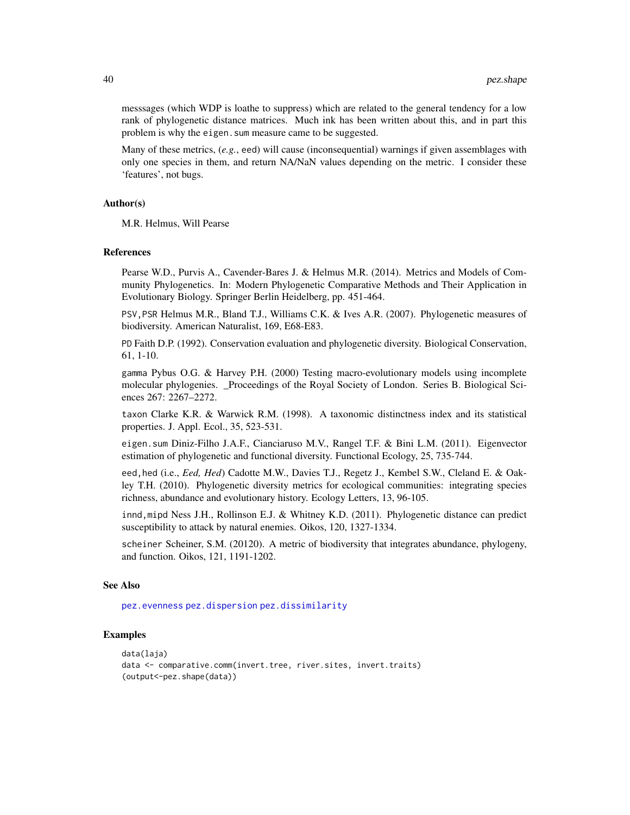messsages (which WDP is loathe to suppress) which are related to the general tendency for a low rank of phylogenetic distance matrices. Much ink has been written about this, and in part this problem is why the eigen.sum measure came to be suggested.

Many of these metrics, (*e.g.*, eed) will cause (inconsequential) warnings if given assemblages with only one species in them, and return NA/NaN values depending on the metric. I consider these 'features', not bugs.

#### Author(s)

M.R. Helmus, Will Pearse

#### References

Pearse W.D., Purvis A., Cavender-Bares J. & Helmus M.R. (2014). Metrics and Models of Community Phylogenetics. In: Modern Phylogenetic Comparative Methods and Their Application in Evolutionary Biology. Springer Berlin Heidelberg, pp. 451-464.

PSV,PSR Helmus M.R., Bland T.J., Williams C.K. & Ives A.R. (2007). Phylogenetic measures of biodiversity. American Naturalist, 169, E68-E83.

PD Faith D.P. (1992). Conservation evaluation and phylogenetic diversity. Biological Conservation, 61, 1-10.

gamma Pybus O.G. & Harvey P.H. (2000) Testing macro-evolutionary models using incomplete molecular phylogenies. \_Proceedings of the Royal Society of London. Series B. Biological Sciences 267: 2267–2272.

taxon Clarke K.R. & Warwick R.M. (1998). A taxonomic distinctness index and its statistical properties. J. Appl. Ecol., 35, 523-531.

eigen.sum Diniz-Filho J.A.F., Cianciaruso M.V., Rangel T.F. & Bini L.M. (2011). Eigenvector estimation of phylogenetic and functional diversity. Functional Ecology, 25, 735-744.

eed,hed (i.e., *Eed, Hed*) Cadotte M.W., Davies T.J., Regetz J., Kembel S.W., Cleland E. & Oakley T.H. (2010). Phylogenetic diversity metrics for ecological communities: integrating species richness, abundance and evolutionary history. Ecology Letters, 13, 96-105.

innd,mipd Ness J.H., Rollinson E.J. & Whitney K.D. (2011). Phylogenetic distance can predict susceptibility to attack by natural enemies. Oikos, 120, 1327-1334.

scheiner Scheiner, S.M. (20120). A metric of biodiversity that integrates abundance, phylogeny, and function. Oikos, 121, 1191-1202.

#### See Also

[pez.evenness](#page-29-1) [pez.dispersion](#page-23-1) [pez.dissimilarity](#page-26-1)

#### Examples

```
data(laja)
data <- comparative.comm(invert.tree, river.sites, invert.traits)
(output<-pez.shape(data))
```
<span id="page-39-0"></span>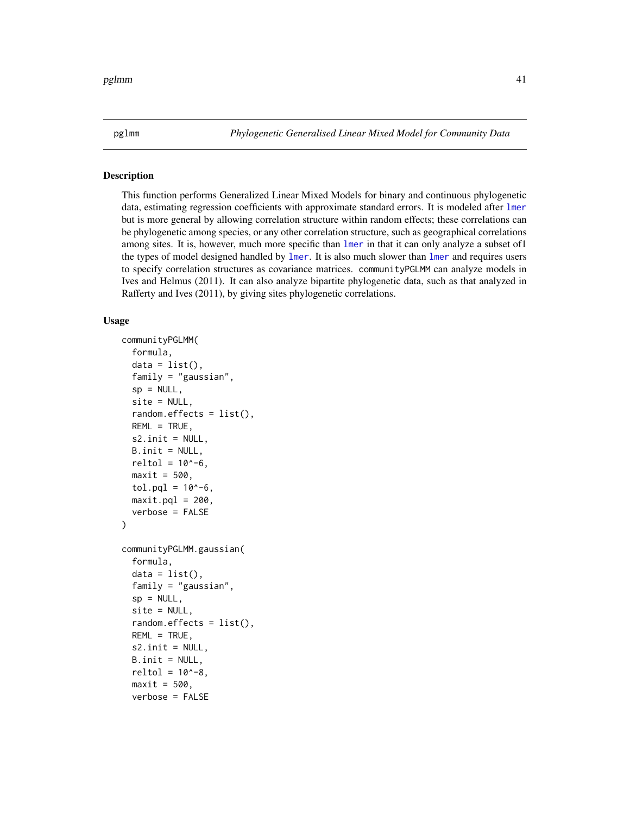<span id="page-40-0"></span>pglmm *Phylogenetic Generalised Linear Mixed Model for Community Data*

## Description

This function performs Generalized Linear Mixed Models for binary and continuous phylogenetic data, estimating regression coefficients with approximate standard errors. It is modeled after [lmer](#page-0-0) but is more general by allowing correlation structure within random effects; these correlations can be phylogenetic among species, or any other correlation structure, such as geographical correlations among sites. It is, however, much more specific than [lmer](#page-0-0) in that it can only analyze a subset of1 the types of model designed handled by [lmer](#page-0-0). It is also much slower than [lmer](#page-0-0) and requires users to specify correlation structures as covariance matrices. communityPGLMM can analyze models in Ives and Helmus (2011). It can also analyze bipartite phylogenetic data, such as that analyzed in Rafferty and Ives (2011), by giving sites phylogenetic correlations.

## Usage

```
communityPGLMM(
  formula,
  data = list(),
  family = "gaussian",
  sp = NULL,site = NULL,
  random.effects = list(),
  REML = TRUE,
  s2.init = NULL,B.init = NULL,
  reltol = 10^{\lambda - 6},
  maxit = 500,
  tol.pql = 10^{\wedge} - 6,
  maxit.pdf = 200,verbose = FALSE
)
communityPGLMM.gaussian(
  formula,
  data = list(),
  family = "gaussian",
  sp = NULL,site = NULL,
  random.effects = list(),
  REML = TRUE,
  s2.init = NULL,B.init = NULL,
  reltol = 10^{\lambda - 8},
  maxit = 500,
  verbose = FALSE
```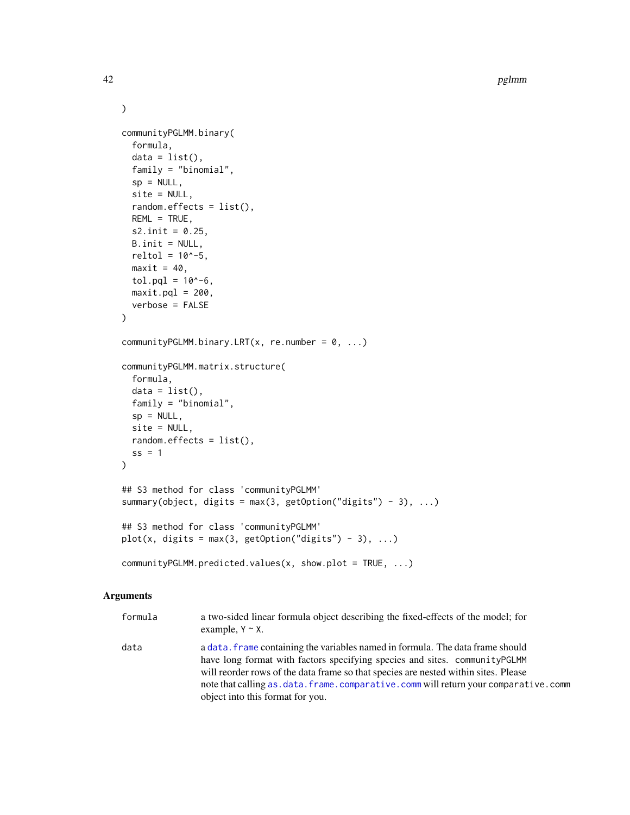```
\mathcal{L}communityPGLMM.binary(
  formula,
  data = list(),family = "binomial",
  sp = NULL,site = NULL,
  random.effects = list(),
 REML = TRUE,s2.init = 0.25,
 B.init = NULL,
 reltol = 10^{\lambda - 5},
 maxit = 40,
 tol.pql = 10^{\wedge}-6,maxit.pdf = 200,verbose = FALSE
\mathcal{L}communityPGLMM.binary.LRT(x, re.number = 0, ...)
communityPGLMM.matrix.structure(
  formula,
  data = list(),family = "binomial",
 sp = NULL,site = NULL,
 random.effects = list(),
 ss = 1)
## S3 method for class 'communityPGLMM'
summary(object, digits = max(3, getOption("digits") - 3), ...)
## S3 method for class 'communityPGLMM'
plot(x, digits = max(3, getOption("digits") - 3), ...)
communityPGLMM.predicted.values(x, show.plot = TRUE, ...)
```
## Arguments

| formula | a two-sided linear formula object describing the fixed-effects of the model; for<br>example, $Y \sim X$ .                                                                                                                                                                                                                                                                           |
|---------|-------------------------------------------------------------------------------------------------------------------------------------------------------------------------------------------------------------------------------------------------------------------------------------------------------------------------------------------------------------------------------------|
| data    | a data. Frame containing the variables named in formula. The data frame should<br>have long format with factors specifying species and sites. communityPGLMM<br>will reorder rows of the data frame so that species are nested within sites. Please<br>note that calling as . data. frame. comparative. comm will return your comparative. comm<br>object into this format for you. |

<span id="page-41-0"></span>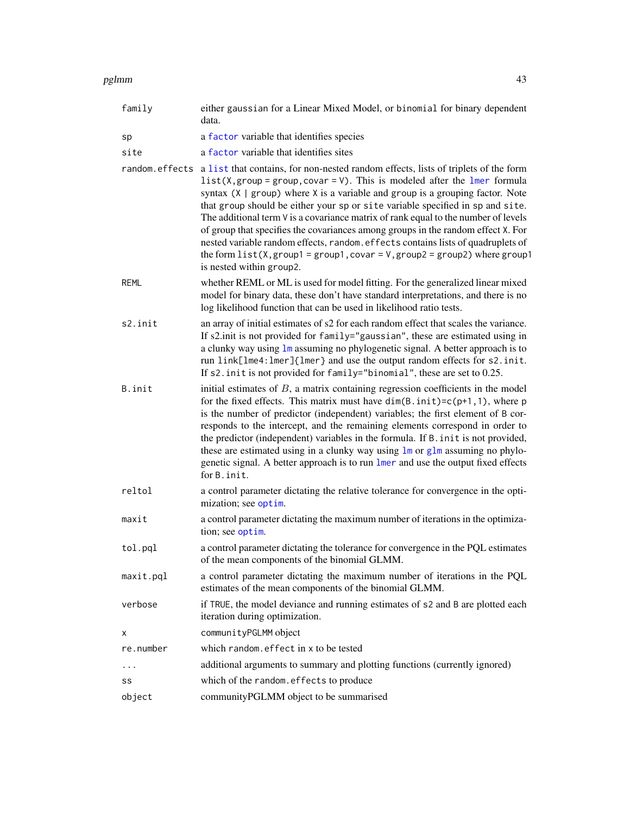<span id="page-42-0"></span>

| family    | either gaussian for a Linear Mixed Model, or binomial for binary dependent<br>data.                                                                                                                                                                                                                                                                                                                                                                                                                                                                                                                                                                                                                                                   |
|-----------|---------------------------------------------------------------------------------------------------------------------------------------------------------------------------------------------------------------------------------------------------------------------------------------------------------------------------------------------------------------------------------------------------------------------------------------------------------------------------------------------------------------------------------------------------------------------------------------------------------------------------------------------------------------------------------------------------------------------------------------|
| sp        | a factor variable that identifies species                                                                                                                                                                                                                                                                                                                                                                                                                                                                                                                                                                                                                                                                                             |
| site      | a factor variable that identifies sites                                                                                                                                                                                                                                                                                                                                                                                                                                                                                                                                                                                                                                                                                               |
|           | random. effects a list that contains, for non-nested random effects, lists of triplets of the form<br>$list(X, group = group, covar = V)$ . This is modeled after the lmer formula<br>syntax $(X   group)$ where X is a variable and group is a grouping factor. Note<br>that group should be either your sp or site variable specified in sp and site.<br>The additional term $\nu$ is a covariance matrix of rank equal to the number of levels<br>of group that specifies the covariances among groups in the random effect X. For<br>nested variable random effects, random. effects contains lists of quadruplets of<br>the form $list(X, group1 = group1, covar = V, group2 = group2)$ where group1<br>is nested within group2. |
| REML      | whether REML or ML is used for model fitting. For the generalized linear mixed<br>model for binary data, these don't have standard interpretations, and there is no<br>log likelihood function that can be used in likelihood ratio tests.                                                                                                                                                                                                                                                                                                                                                                                                                                                                                            |
| s2.init   | an array of initial estimates of s2 for each random effect that scales the variance.<br>If s2.init is not provided for family="gaussian", these are estimated using in<br>a clunky way using $1m$ assuming no phylogenetic signal. A better approach is to<br>run link[lme4:lmer]{lmer} and use the output random effects for s2.init.<br>If s2. init is not provided for family="binomial", these are set to 0.25.                                                                                                                                                                                                                                                                                                                   |
| B.init    | initial estimates of $B$ , a matrix containing regression coefficients in the model<br>for the fixed effects. This matrix must have $dim(B.init)=c(p+1,1)$ , where p<br>is the number of predictor (independent) variables; the first element of B cor-<br>responds to the intercept, and the remaining elements correspond in order to<br>the predictor (independent) variables in the formula. If B. in it is not provided,<br>these are estimated using in a clunky way using lm or glm assuming no phylo-<br>genetic signal. A better approach is to run lmer and use the output fixed effects<br>for B. init.                                                                                                                    |
| reltol    | a control parameter dictating the relative tolerance for convergence in the opti-<br>mization; see optim.                                                                                                                                                                                                                                                                                                                                                                                                                                                                                                                                                                                                                             |
| maxit     | a control parameter dictating the maximum number of iterations in the optimiza-<br>tion; see optim.                                                                                                                                                                                                                                                                                                                                                                                                                                                                                                                                                                                                                                   |
| tol.pql   | a control parameter dictating the tolerance for convergence in the PQL estimates<br>of the mean components of the binomial GLMM.                                                                                                                                                                                                                                                                                                                                                                                                                                                                                                                                                                                                      |
| maxit.pql | a control parameter dictating the maximum number of iterations in the PQL<br>estimates of the mean components of the binomial GLMM.                                                                                                                                                                                                                                                                                                                                                                                                                                                                                                                                                                                                   |
| verbose   | if TRUE, the model deviance and running estimates of s2 and B are plotted each<br>iteration during optimization.                                                                                                                                                                                                                                                                                                                                                                                                                                                                                                                                                                                                                      |
| Χ         | communityPGLMM object                                                                                                                                                                                                                                                                                                                                                                                                                                                                                                                                                                                                                                                                                                                 |
| re.number | which random. effect in x to be tested                                                                                                                                                                                                                                                                                                                                                                                                                                                                                                                                                                                                                                                                                                |
| $\ldots$  | additional arguments to summary and plotting functions (currently ignored)                                                                                                                                                                                                                                                                                                                                                                                                                                                                                                                                                                                                                                                            |

- ss which of the random.effects to produce
- object communityPGLMM object to be summarised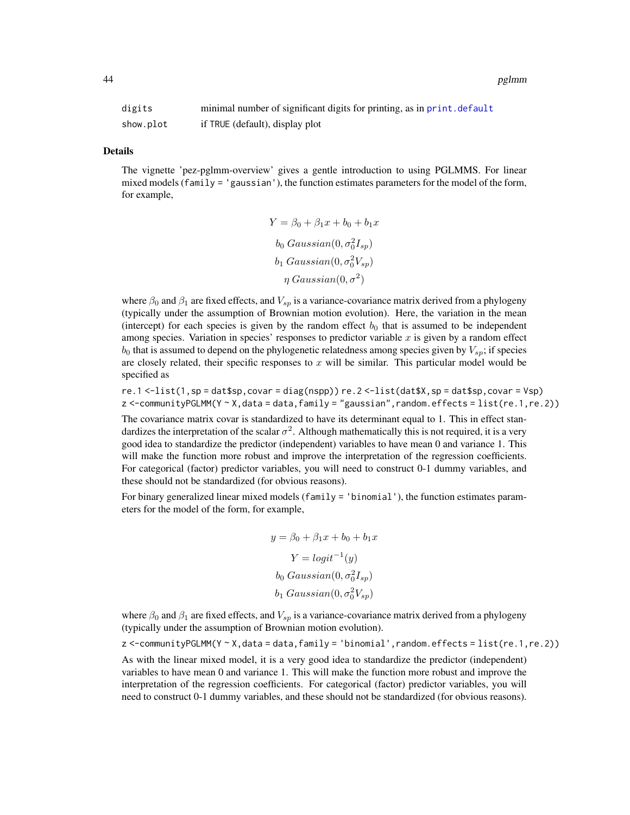<span id="page-43-0"></span>

| digits    | minimal number of significant digits for printing, as in print. default |
|-----------|-------------------------------------------------------------------------|
| show.plot | if TRUE (default), display plot                                         |

#### Details

The vignette 'pez-pglmm-overview' gives a gentle introduction to using PGLMMS. For linear mixed models (family  $=$  'gaussian'), the function estimates parameters for the model of the form, for example,

$$
Y = \beta_0 + \beta_1 x + b_0 + b_1 x
$$
  
\n
$$
b_0 \text{ Gaussian}(0, \sigma_0^2 I_{sp})
$$
  
\n
$$
b_1 \text{ Gaussian}(0, \sigma_0^2 V_{sp})
$$
  
\n
$$
\eta \text{ Gaussian}(0, \sigma^2)
$$

where  $\beta_0$  and  $\beta_1$  are fixed effects, and  $V_{sp}$  is a variance-covariance matrix derived from a phylogeny (typically under the assumption of Brownian motion evolution). Here, the variation in the mean (intercept) for each species is given by the random effect  $b_0$  that is assumed to be independent among species. Variation in species' responses to predictor variable  $x$  is given by a random effect  $b_0$  that is assumed to depend on the phylogenetic relatedness among species given by  $V_{sp}$ ; if species are closely related, their specific responses to  $x$  will be similar. This particular model would be specified as

re.1 <-list(1,sp = dat\$sp,covar = diag(nspp)) re.2 <-list(dat\$X,sp = dat\$sp,covar = Vsp) z <-communityPGLMM(Y ~ X,data = data,family = "gaussian",random.effects = list(re.1,re.2))

The covariance matrix covar is standardized to have its determinant equal to 1. This in effect standardizes the interpretation of the scalar  $\sigma^2$ . Although mathematically this is not required, it is a very good idea to standardize the predictor (independent) variables to have mean 0 and variance 1. This will make the function more robust and improve the interpretation of the regression coefficients. For categorical (factor) predictor variables, you will need to construct 0-1 dummy variables, and these should not be standardized (for obvious reasons).

For binary generalized linear mixed models (family = 'binomial'), the function estimates parameters for the model of the form, for example,

$$
y = \beta_0 + \beta_1 x + b_0 + b_1 x
$$

$$
Y = logit^{-1}(y)
$$

$$
b_0 \text{ Gaussian}(0, \sigma_0^2 I_{sp})
$$

$$
b_1 \text{ Gaussian}(0, \sigma_0^2 V_{sp})
$$

where  $\beta_0$  and  $\beta_1$  are fixed effects, and  $V_{sp}$  is a variance-covariance matrix derived from a phylogeny (typically under the assumption of Brownian motion evolution).

z <-communityPGLMM(Y ~ X,data = data,family = 'binomial',random.effects = list(re.1,re.2)) As with the linear mixed model, it is a very good idea to standardize the predictor (independent) variables to have mean 0 and variance 1. This will make the function more robust and improve the interpretation of the regression coefficients. For categorical (factor) predictor variables, you will need to construct 0-1 dummy variables, and these should not be standardized (for obvious reasons).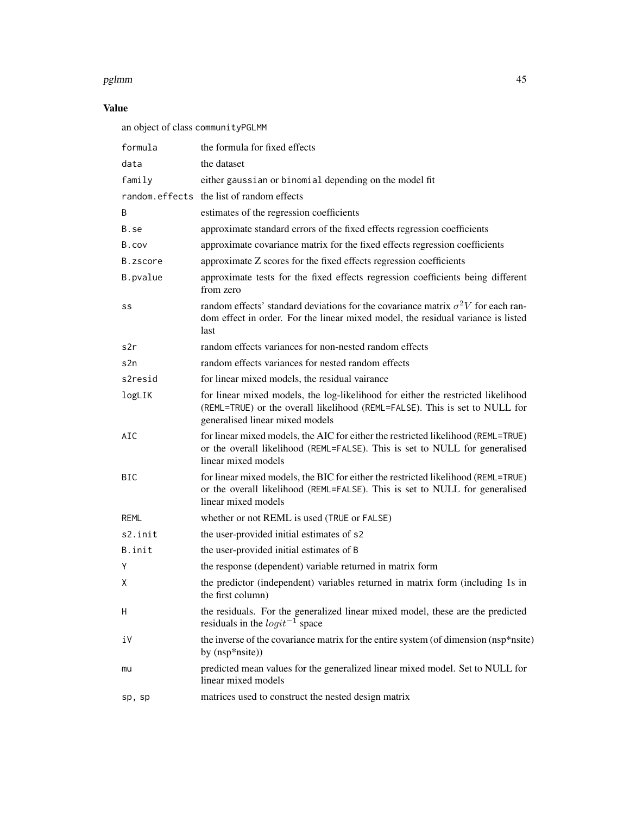## Value

an object of class communityPGLMM

| formula    | the formula for fixed effects                                                                                                                                                                      |  |
|------------|----------------------------------------------------------------------------------------------------------------------------------------------------------------------------------------------------|--|
| data       | the dataset                                                                                                                                                                                        |  |
| family     | either gaussian or binomial depending on the model fit                                                                                                                                             |  |
|            | random.effects the list of random effects                                                                                                                                                          |  |
| B          | estimates of the regression coefficients                                                                                                                                                           |  |
| B.se       | approximate standard errors of the fixed effects regression coefficients                                                                                                                           |  |
| B.cov      | approximate covariance matrix for the fixed effects regression coefficients                                                                                                                        |  |
| B.zscore   | approximate Z scores for the fixed effects regression coefficients                                                                                                                                 |  |
| B.pvalue   | approximate tests for the fixed effects regression coefficients being different<br>from zero                                                                                                       |  |
| SS         | random effects' standard deviations for the covariance matrix $\sigma^2 V$ for each ran-<br>dom effect in order. For the linear mixed model, the residual variance is listed<br>last               |  |
| s2r        | random effects variances for non-nested random effects                                                                                                                                             |  |
| s2n        | random effects variances for nested random effects                                                                                                                                                 |  |
| s2resid    | for linear mixed models, the residual vairance                                                                                                                                                     |  |
| logLIK     | for linear mixed models, the log-likelihood for either the restricted likelihood<br>(REML=TRUE) or the overall likelihood (REML=FALSE). This is set to NULL for<br>generalised linear mixed models |  |
| AIC        | for linear mixed models, the AIC for either the restricted likelihood (REML=TRUE)<br>or the overall likelihood (REML=FALSE). This is set to NULL for generalised<br>linear mixed models            |  |
| <b>BIC</b> | for linear mixed models, the BIC for either the restricted likelihood (REML=TRUE)<br>or the overall likelihood (REML=FALSE). This is set to NULL for generalised<br>linear mixed models            |  |
| REML       | whether or not REML is used (TRUE or FALSE)                                                                                                                                                        |  |
| s2.init    | the user-provided initial estimates of s2                                                                                                                                                          |  |
| B.init     | the user-provided initial estimates of B                                                                                                                                                           |  |
| Y          | the response (dependent) variable returned in matrix form                                                                                                                                          |  |
| X          | the predictor (independent) variables returned in matrix form (including 1s in<br>the first column)                                                                                                |  |
| Η          | the residuals. For the generalized linear mixed model, these are the predicted<br>residuals in the $logit^{-1}$ space                                                                              |  |
| i٧         | the inverse of the covariance matrix for the entire system (of dimension (nsp*nsite)<br>by (nsp*nsite))                                                                                            |  |
| mu         | predicted mean values for the generalized linear mixed model. Set to NULL for<br>linear mixed models                                                                                               |  |
| sp, sp     | matrices used to construct the nested design matrix                                                                                                                                                |  |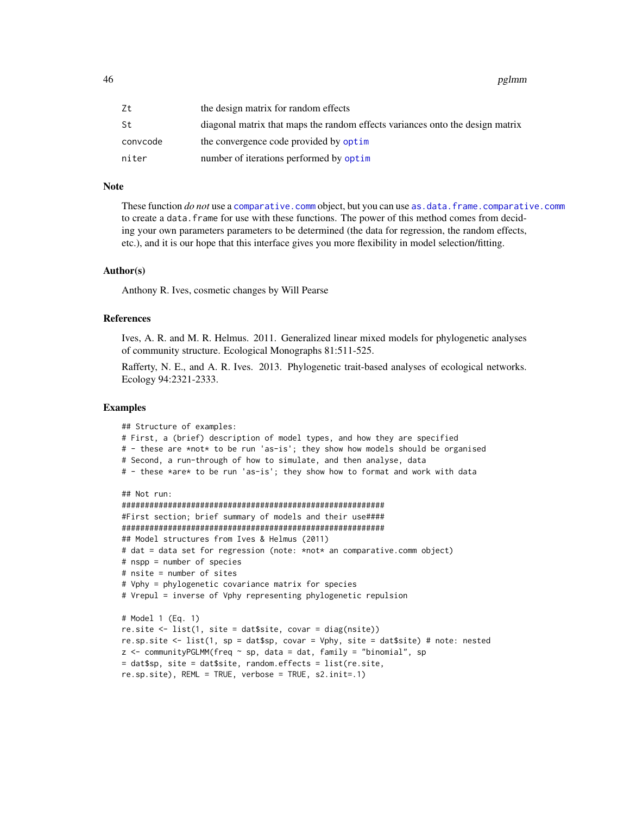<span id="page-45-0"></span>

| Zt       | the design matrix for random effects                                          |
|----------|-------------------------------------------------------------------------------|
| St       | diagonal matrix that maps the random effects variances onto the design matrix |
| convcode | the convergence code provided by optim                                        |
| niter    | number of iterations performed by optim                                       |

#### Note

These function *do not* use a [comparative.comm](#page-4-1) object, but you can use [as.data.frame.comparative.comm](#page-1-2) to create a data. frame for use with these functions. The power of this method comes from deciding your own parameters parameters to be determined (the data for regression, the random effects, etc.), and it is our hope that this interface gives you more flexibility in model selection/fitting.

#### Author(s)

Anthony R. Ives, cosmetic changes by Will Pearse

#### References

Ives, A. R. and M. R. Helmus. 2011. Generalized linear mixed models for phylogenetic analyses of community structure. Ecological Monographs 81:511-525.

Rafferty, N. E., and A. R. Ives. 2013. Phylogenetic trait-based analyses of ecological networks. Ecology 94:2321-2333.

#### Examples

```
## Structure of examples:
# First, a (brief) description of model types, and how they are specified
# - these are *not* to be run 'as-is'; they show how models should be organised
# Second, a run-through of how to simulate, and then analyse, data
# - these *are* to be run 'as-is'; they show how to format and work with data
## Not run:
#########################################################
#First section; brief summary of models and their use####
#########################################################
## Model structures from Ives & Helmus (2011)
# dat = data set for regression (note: *not* an comparative.comm object)
# nspp = number of species
# nsite = number of sites
# Vphy = phylogenetic covariance matrix for species
# Vrepul = inverse of Vphy representing phylogenetic repulsion
# Model 1 (Eq. 1)
re.site <- list(1, site = dat$site, covar = diag(nsite))
re.sp.site <- list(1, sp = dat$sp, covar = Vphy, site = dat$site) # note: nested
z <- communityPGLMM(freq \sim sp, data = dat, family = "binomial", sp
= dat$sp, site = dat$site, random.effects = list(re.site,
re.sp.site), REML = TRUE, verbose = TRUE, s2.init=.1)
```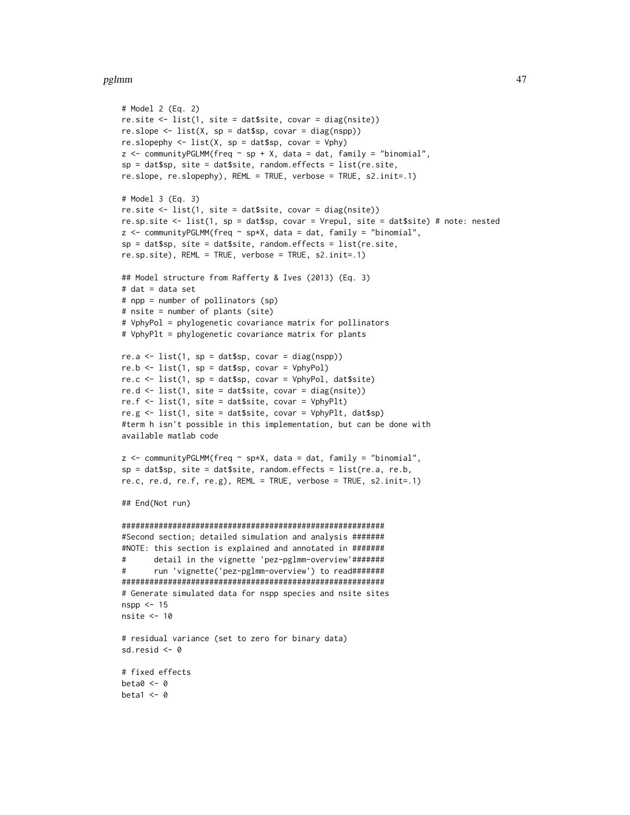```
# Model 2 (Eq. 2)
re.site \le list(1, site = dat$site, covar = diag(nsite))
re.sleep \leftarrow list(X, sp = data\{sp}, covar = diag(nspp))
re.slopephy \le list(X, sp = dat$sp, covar = Vphy)
z <- communityPGLMM(freq \sim sp + X, data = dat, family = "binomial",
sp = dat$sp, site = dat$site, random.effects = list(re.site,
re.slope, re.slopephy), REML = TRUE, verbose = TRUE, s2.init=.1)
# Model 3 (Eq. 3)
re.site <- list(1, site = dat$site, covar = diag(nsite))
re.sp.site <- list(1, sp = dat$sp, covar = Vrepul, site = dat$site) # note: nested
z <- communityPGLMM(freq ~ sp*X, data = dat, family = "binomial",
sp = dat$sp, site = dat$site, random.effects = list(re.site,
re.sp.site), REML = TRUE, verbose = TRUE, s2.init=.1)
## Model structure from Rafferty & Ives (2013) (Eq. 3)
# dat = data set
# npp = number of pollinators (sp)
# nsite = number of plants (site)
# VphyPol = phylogenetic covariance matrix for pollinators
# VphyPlt = phylogenetic covariance matrix for plants
re.a \leq list(1, sp = dat$sp, covar = diag(nspp))
re.b \leq list(1, sp = dat$sp, covar = VphyPol)
re.c \le list(1, sp = dat$sp, covar = VphyPol, dat$site)
re.d \le list(1, site = dat$site, covar = diag(nsite))
re.f \le list(1, site = dat$site, covar = VphyPlt)
re.g <- list(1, site = dat$site, covar = VphyPlt, dat$sp)
#term h isn't possible in this implementation, but can be done with
available matlab code
z \le communityPGLMM(freq \sim sp*X, data = dat, family = "binomial",
sp = datssp, site = dat$site, random.effects = list(re.a, re.b,
re.c, re.d, re.f, re.g), REML = TRUE, verbose = TRUE, s2.init=.1)
## End(Not run)
#########################################################
#Second section; detailed simulation and analysis #######
#NOTE: this section is explained and annotated in #######
# detail in the vignette 'pez-pglmm-overview'#######
# run 'vignette('pez-pglmm-overview') to read#######
#########################################################
# Generate simulated data for nspp species and nsite sites
nspp <- 15
nsite <- 10
# residual variance (set to zero for binary data)
sd.resid <- 0
# fixed effects
beta0 < -0beta1 <- 0
```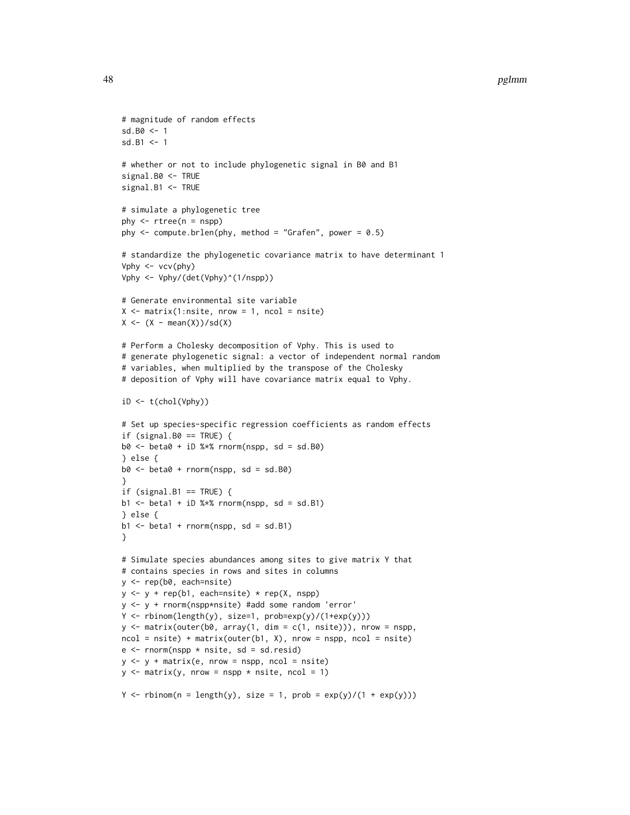```
# magnitude of random effects
sd.B0 <- 1
sd.B1 < -1# whether or not to include phylogenetic signal in B0 and B1
signal.B0 <- TRUE
signal.B1 <- TRUE
# simulate a phylogenetic tree
phy \leq rtree(n = nspp)
phy \le - compute.brlen(phy, method = "Grafen", power = 0.5)
# standardize the phylogenetic covariance matrix to have determinant 1
Vphy <- vcv(phy)
Vphy <- Vphy/(det(Vphy)^(1/nspp))
# Generate environmental site variable
X \leq - matrix(1:nsite, nrow = 1, ncol = nsite)
X \leftarrow (X - \text{mean}(X)) / \text{sd}(X)# Perform a Cholesky decomposition of Vphy. This is used to
# generate phylogenetic signal: a vector of independent normal random
# variables, when multiplied by the transpose of the Cholesky
# deposition of Vphy will have covariance matrix equal to Vphy.
iD \leftarrow t(chol(Vphy))# Set up species-specific regression coefficients as random effects
if (signal.B0 == TRUE) {
b0 \le - beta0 + iD %*% rnorm(nspp, sd = sd.B0)
} else {
b0 \le - beta0 + rnorm(nspp, sd = sd.B0)
}
if (signal.B1 == TRUE) {
b1 \leftarrow \text{beta}1 + iD %*% rnorm(nspp, sd = sd.B1)
} else {
b1 \le - \text{beta1} + \text{rnorm}(nspp, sd = sd.B1)}
# Simulate species abundances among sites to give matrix Y that
# contains species in rows and sites in columns
y <- rep(b0, each=nsite)
y \le -y + rep(b1, each = nsite) * rep(X, nsp)y <- y + rnorm(nspp*nsite) #add some random 'error'
Y \leftarrow \text{rbinom}(\text{length}(y), \text{ size=1}, \text{prob=exp}(y)/(\text{1+exp}(y)))y \le - matrix(outer(b0, array(1, dim = c(1, nsite))), nrow = nspp,
ncol = nsite) + matrix(outer(b1, X), nrow = nspp, ncol = nsite)
e \leq rnorm(nspp * nsite, sd = sd.resid)
y \le y + \text{matrix}(e, nrow = nspp, ncol = nsite)y \le - matrix(y, nrow = nspp * nsite, ncol = 1)
Y \leq - rbinom(n = length(y), size = 1, prob = exp(y)/(1 + exp(y)))
```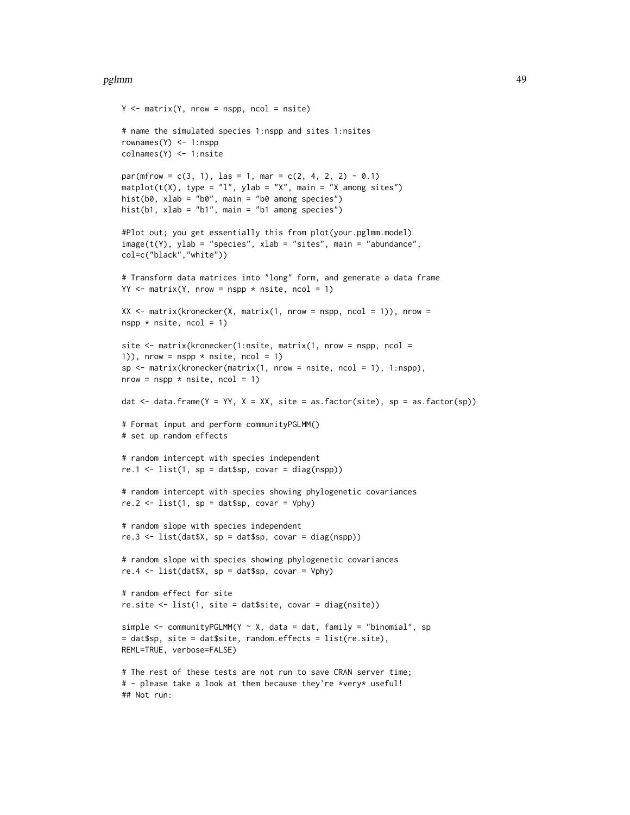```
Y \le - matrix(Y, nrow = nspp, ncol = nsite)
# name the simulated species 1:nspp and sites 1:nsites
rownames(Y) <- 1:nspp
colnames(Y) <- 1:nsite
par(mfrow = c(3, 1), las = 1, mar = c(2, 4, 2, 2) - 0.1)\text{matplot}(t(X), \text{ type} = "l", \text{ ylab} = "X", \text{ main} = "X \text{ among sites")}hist(b0, xlab = "b0", main = "b0 among species")
hist(b1, xlab = "b1", main = "b1 among species")
#Plot out; you get essentially this from plot(your.pglmm.model)
image(t(Y), ylab = "species", xlab = "sites", main = "abundance",col=c("black","white"))
# Transform data matrices into "long" form, and generate a data frame
YY < - matrix(Y, nrow = nspp * nsite, ncol = 1)
XX \le matrix(kronecker(X, matrix(1, nrow = nspp, ncol = 1)), nrow =
nspp * nsite, ncol = 1)
site \leq matrix(kronecker(1:nsite, matrix(1, nrow = nspp, ncol =
1)), nrow = nspp * nsite, ncol = 1)
sp \leq -\text{matrix}(\text{kronecker}(\text{matrix}(1, \text{row} = \text{nsite}, \text{ncol} = 1), 1:\text{nspp}),nrow = nspp * nsite, ncol = 1)dat \le data.frame(Y = YY, X = XX, site = as.factor(site), sp = as.factor(sp))
# Format input and perform communityPGLMM()
# set up random effects
# random intercept with species independent
re.1 \leftarrow list(1, sp = dat$sp, covar = diag(nspp))
# random intercept with species showing phylogenetic covariances
re.2 \leq list(1, sp = dat$sp, covar = Vphy)
# random slope with species independent
re.3 \leq list(data,X, sp = dataSsp, covar = diag(nspp))# random slope with species showing phylogenetic covariances
re.4 \leftarrow list(data,X, sp = data\gp, covar = Vphy)
# random effect for site
re.site \le list(1, site = dat$site, covar = diag(nsite))
simple \leq communityPGLMM(Y \sim X, data = dat, family = "binomial", sp
= dat$sp, site = dat$site, random.effects = list(re.site),
REML=TRUE, verbose=FALSE)
# The rest of these tests are not run to save CRAN server time;
# - please take a look at them because they're *very* useful!
## Not run:
```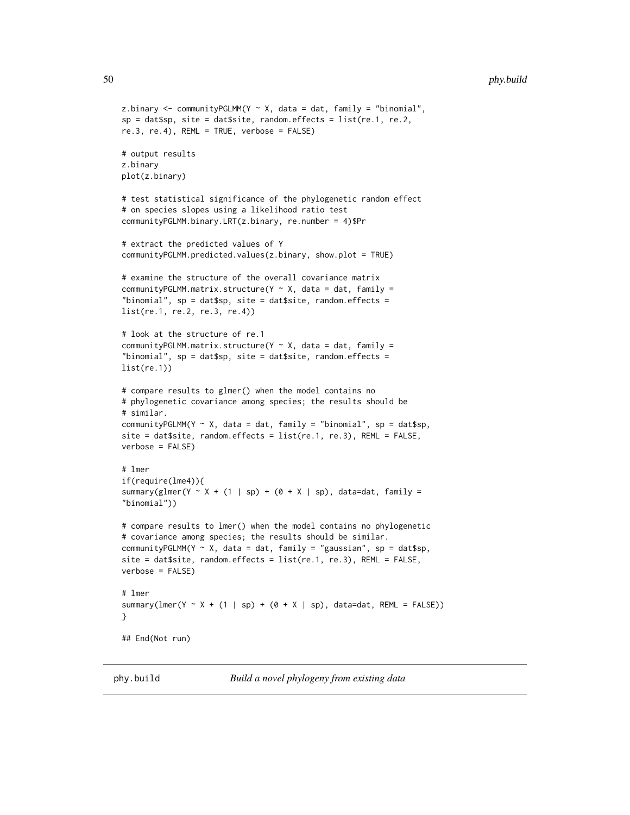```
z.binary \leq communityPGLMM(Y \sim X, data = dat, family = "binomial",
sp = data$p, site = dat$site, random.effects = list(re.1, re.2,
re.3, re.4), REML = TRUE, verbose = FALSE)
# output results
z.binary
plot(z.binary)
# test statistical significance of the phylogenetic random effect
# on species slopes using a likelihood ratio test
communityPGLMM.binary.LRT(z.binary, re.number = 4)$Pr
# extract the predicted values of Y
communityPGLMM.predicted.values(z.binary, show.plot = TRUE)
# examine the structure of the overall covariance matrix
communityPGLMM.matrix.structure(Y \sim X, data = dat, family =
"binomial", sp = datssp, site = dat$site, random.effects =
list(re.1, re.2, re.3, re.4))
# look at the structure of re.1
communityPGLMM.matrix.structure(Y \sim X, data = dat, family =
"binomial", sp = dat$sp, site = dat$site, random.effects =
list(re.1))
# compare results to glmer() when the model contains no
# phylogenetic covariance among species; the results should be
# similar.
communityPGLMM(Y ~ X, data = dat, family = "binomial", sp = dat$sp,
site = dat$site, random.effects = list(re.1, re.3), REML = FALSE,
verbose = FALSE)
# lmer
if(require(lme4)){
summary(glmer(Y ~ X + (1 | sp) + (0 + X | sp), data=dat, family =
"binomial"))
# compare results to lmer() when the model contains no phylogenetic
# covariance among species; the results should be similar.
communityPGLMM(Y \sim X, data = dat, family = "gaussian", sp = dat$sp,
site = dat$site, random.effects = list(re.1, re.3), REML = FALSE,
verbose = FALSE)
# lmer
summary(lmer(Y \sim X + (1 | sp) + (0 + X | sp), data=dat, REML = FALSE))
}
## End(Not run)
```
phy.build *Build a novel phylogeny from existing data*

<span id="page-49-0"></span>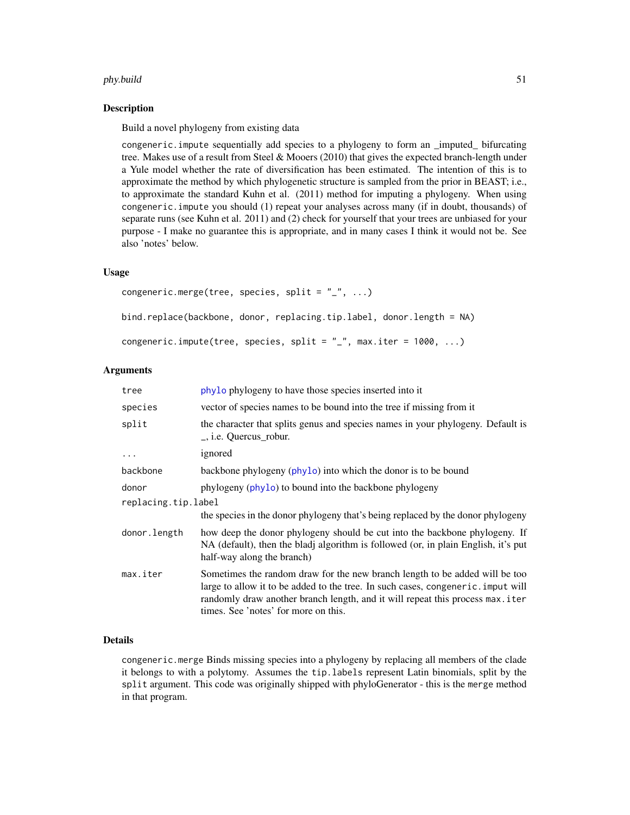#### <span id="page-50-0"></span>phy.build 51

#### Description

Build a novel phylogeny from existing data

congeneric.impute sequentially add species to a phylogeny to form an \_imputed\_ bifurcating tree. Makes use of a result from Steel & Mooers (2010) that gives the expected branch-length under a Yule model whether the rate of diversification has been estimated. The intention of this is to approximate the method by which phylogenetic structure is sampled from the prior in BEAST; i.e., to approximate the standard Kuhn et al. (2011) method for imputing a phylogeny. When using congeneric.impute you should (1) repeat your analyses across many (if in doubt, thousands) of separate runs (see Kuhn et al. 2011) and (2) check for yourself that your trees are unbiased for your purpose - I make no guarantee this is appropriate, and in many cases I think it would not be. See also 'notes' below.

## Usage

```
congeneric.merge(tree, species, split = "_", ...)
bind.replace(backbone, donor, replacing.tip.label, donor.length = NA)
congeneric.impute(tree, species, split = "_{-}", max.iter = 1000, ...)
```
## Arguments

| tree                | phylo phylogeny to have those species inserted into it                                                                                                                                                                                                                                   |  |
|---------------------|------------------------------------------------------------------------------------------------------------------------------------------------------------------------------------------------------------------------------------------------------------------------------------------|--|
| species             | vector of species names to be bound into the tree if missing from it                                                                                                                                                                                                                     |  |
| split               | the character that splits genus and species names in your phylogeny. Default is<br>., <i>i.e.</i> Quercus robur.                                                                                                                                                                         |  |
| $\ddotsc$           | ignored                                                                                                                                                                                                                                                                                  |  |
| backbone            | backbone phylogeny (phylo) into which the donor is to be bound                                                                                                                                                                                                                           |  |
| donor               | phylogeny (phylo) to bound into the backbone phylogeny                                                                                                                                                                                                                                   |  |
| replacing.tip.label |                                                                                                                                                                                                                                                                                          |  |
|                     | the species in the donor phylogeny that's being replaced by the donor phylogeny                                                                                                                                                                                                          |  |
| donor.length        | how deep the donor phylogeny should be cut into the backbone phylogeny. If<br>NA (default), then the bladj algorithm is followed (or, in plain English, it's put<br>half-way along the branch)                                                                                           |  |
| max.iter            | Sometimes the random draw for the new branch length to be added will be too<br>large to allow it to be added to the tree. In such cases, congeneric. imput will<br>randomly draw another branch length, and it will repeat this process max.iter<br>times. See 'notes' for more on this. |  |

## Details

congeneric.merge Binds missing species into a phylogeny by replacing all members of the clade it belongs to with a polytomy. Assumes the tip.labels represent Latin binomials, split by the split argument. This code was originally shipped with phyloGenerator - this is the merge method in that program.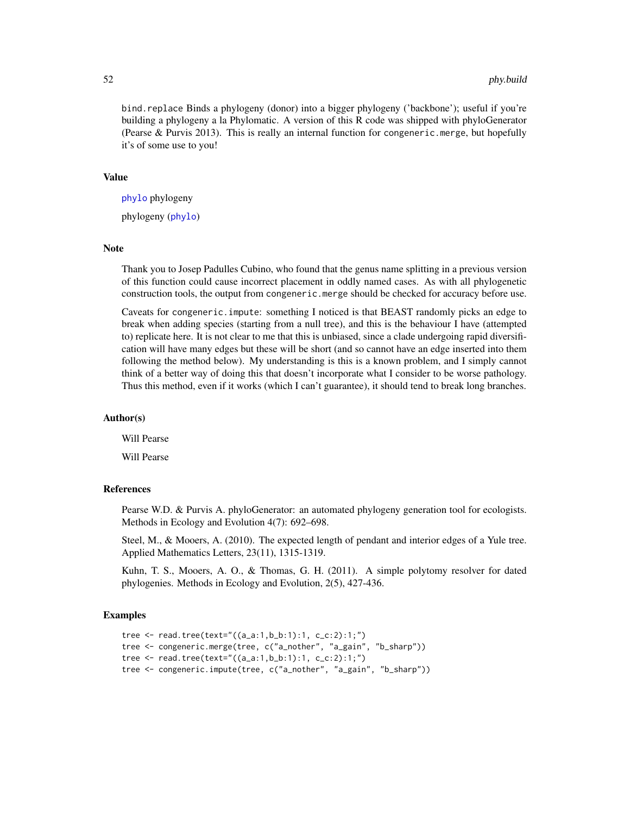bind.replace Binds a phylogeny (donor) into a bigger phylogeny ('backbone'); useful if you're building a phylogeny a la Phylomatic. A version of this R code was shipped with phyloGenerator (Pearse & Purvis 2013). This is really an internal function for congeneric.merge, but hopefully it's of some use to you!

#### Value

[phylo](#page-0-0) phylogeny

phylogeny ([phylo](#page-0-0))

#### Note

Thank you to Josep Padulles Cubino, who found that the genus name splitting in a previous version of this function could cause incorrect placement in oddly named cases. As with all phylogenetic construction tools, the output from congeneric.merge should be checked for accuracy before use.

Caveats for congeneric.impute: something I noticed is that BEAST randomly picks an edge to break when adding species (starting from a null tree), and this is the behaviour I have (attempted to) replicate here. It is not clear to me that this is unbiased, since a clade undergoing rapid diversification will have many edges but these will be short (and so cannot have an edge inserted into them following the method below). My understanding is this is a known problem, and I simply cannot think of a better way of doing this that doesn't incorporate what I consider to be worse pathology. Thus this method, even if it works (which I can't guarantee), it should tend to break long branches.

## Author(s)

Will Pearse

Will Pearse

#### References

Pearse W.D. & Purvis A. phyloGenerator: an automated phylogeny generation tool for ecologists. Methods in Ecology and Evolution 4(7): 692–698.

Steel, M., & Mooers, A. (2010). The expected length of pendant and interior edges of a Yule tree. Applied Mathematics Letters, 23(11), 1315-1319.

Kuhn, T. S., Mooers, A. O., & Thomas, G. H. (2011). A simple polytomy resolver for dated phylogenies. Methods in Ecology and Evolution, 2(5), 427-436.

## Examples

```
tree <- read.tree(text="((a_a:1,b_b:1):1, c_c:2):1;")
tree <- congeneric.merge(tree, c("a_nother", "a_gain", "b_sharp"))
tree <- read.tree(text="((a_a:1,b_b:1):1, c_c:2):1;")
tree <- congeneric.impute(tree, c("a_nother", "a_gain", "b_sharp"))
```
<span id="page-51-0"></span>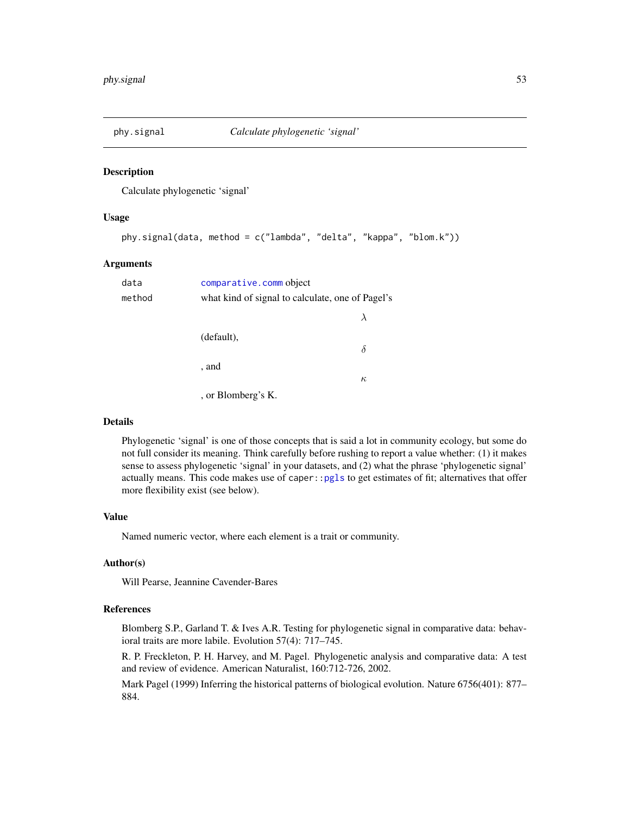<span id="page-52-1"></span><span id="page-52-0"></span>

#### Description

Calculate phylogenetic 'signal'

#### Usage

```
phy.signal(data, method = c("lambda", "delta", "kappa", "blom.k"))
```
#### Arguments

| data   | comparative.comm object                          |          |
|--------|--------------------------------------------------|----------|
| method | what kind of signal to calculate, one of Pagel's |          |
|        |                                                  |          |
|        | (default),                                       | $\delta$ |
|        | , and                                            |          |
|        |                                                  | $\kappa$ |
|        | , or Blomberg's K.                               |          |

## Details

Phylogenetic 'signal' is one of those concepts that is said a lot in community ecology, but some do not full consider its meaning. Think carefully before rushing to report a value whether: (1) it makes sense to assess phylogenetic 'signal' in your datasets, and (2) what the phrase 'phylogenetic signal' actually means. This code makes use of caper:[:pgls](#page-0-0) to get estimates of fit; alternatives that offer more flexibility exist (see below).

## Value

Named numeric vector, where each element is a trait or community.

#### Author(s)

Will Pearse, Jeannine Cavender-Bares

#### References

Blomberg S.P., Garland T. & Ives A.R. Testing for phylogenetic signal in comparative data: behavioral traits are more labile. Evolution 57(4): 717–745.

R. P. Freckleton, P. H. Harvey, and M. Pagel. Phylogenetic analysis and comparative data: A test and review of evidence. American Naturalist, 160:712-726, 2002.

Mark Pagel (1999) Inferring the historical patterns of biological evolution. Nature 6756(401): 877– 884.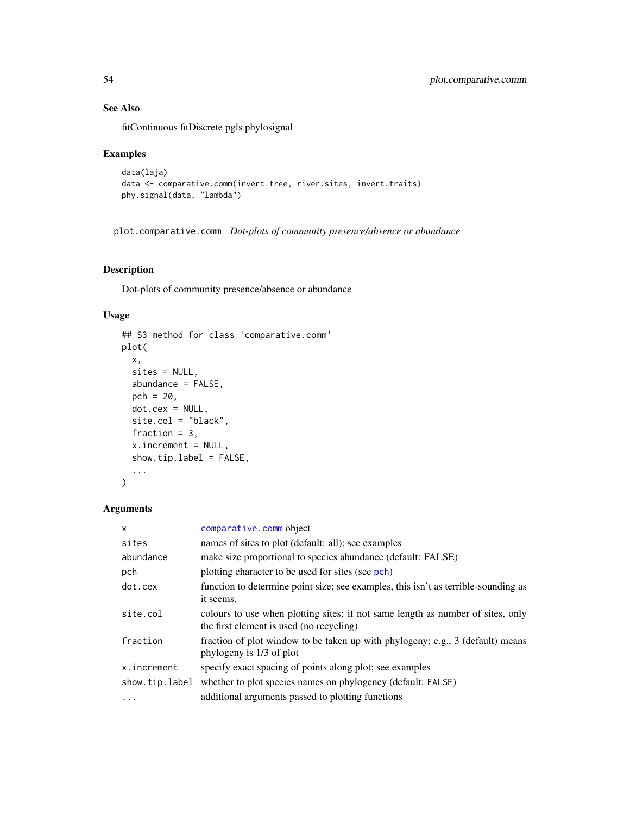## See Also

fitContinuous fitDiscrete pgls phylosignal

## Examples

```
data(laja)
data <- comparative.comm(invert.tree, river.sites, invert.traits)
phy.signal(data, "lambda")
```
<span id="page-53-1"></span>plot.comparative.comm *Dot-plots of community presence/absence or abundance*

## Description

Dot-plots of community presence/absence or abundance

#### Usage

```
## S3 method for class 'comparative.comm'
plot(
  x,
  sites = NULL,
  abundance = FALSE,
  pch = 20,
  dot.cex = NULL,site.col = "black",
  fraction = 3,
  x.increment = NULL,
  show.tip.label = FALSE,
  ...
\mathcal{L}
```
## Arguments

| $\mathsf{x}$   | comparative.comm object                                                                                                     |
|----------------|-----------------------------------------------------------------------------------------------------------------------------|
| sites          | names of sites to plot (default: all); see examples                                                                         |
| abundance      | make size proportional to species abundance (default: FALSE)                                                                |
| pch            | plotting character to be used for sites (see pch)                                                                           |
| dot.cex        | function to determine point size; see examples, this isn't as terrible-sounding as<br>it seems.                             |
| site.col       | colours to use when plotting sites; if not same length as number of sites, only<br>the first element is used (no recycling) |
| fraction       | fraction of plot window to be taken up with phylogeny; e.g., 3 (default) means<br>phylogeny is 1/3 of plot                  |
| x.increment    | specify exact spacing of points along plot; see examples                                                                    |
| show.tip.label | whether to plot species names on phylogeney (default: FALSE)                                                                |
| $\ddotsc$      | additional arguments passed to plotting functions                                                                           |

<span id="page-53-0"></span>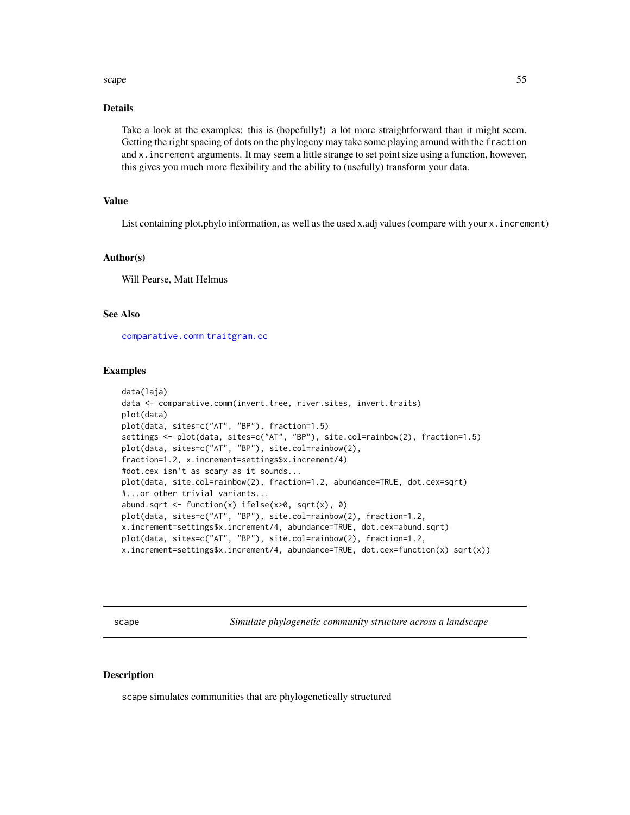#### <span id="page-54-0"></span>scape 55

## Details

Take a look at the examples: this is (hopefully!) a lot more straightforward than it might seem. Getting the right spacing of dots on the phylogeny may take some playing around with the fraction and x.increment arguments. It may seem a little strange to set point size using a function, however, this gives you much more flexibility and the ability to (usefully) transform your data.

#### Value

List containing plot.phylo information, as well as the used x.adj values (compare with your x. increment)

## Author(s)

Will Pearse, Matt Helmus

## See Also

[comparative.comm](#page-4-1) [traitgram.cc](#page-63-1)

#### Examples

```
data(laja)
data <- comparative.comm(invert.tree, river.sites, invert.traits)
plot(data)
plot(data, sites=c("AT", "BP"), fraction=1.5)
settings <- plot(data, sites=c("AT", "BP"), site.col=rainbow(2), fraction=1.5)
plot(data, sites=c("AT", "BP"), site.col=rainbow(2),
fraction=1.2, x.increment=settings$x.increment/4)
#dot.cex isn't as scary as it sounds...
plot(data, site.col=rainbow(2), fraction=1.2, abundance=TRUE, dot.cex=sqrt)
#...or other trivial variants...
abund.sqrt <- function(x) ifelse(x>0, sqrt(x), 0)
plot(data, sites=c("AT", "BP"), site.col=rainbow(2), fraction=1.2,
x.increment=settings$x.increment/4, abundance=TRUE, dot.cex=abund.sqrt)
plot(data, sites=c("AT", "BP"), site.col=rainbow(2), fraction=1.2,
x.increment=settings$x.increment/4, abundance=TRUE, dot.cex=function(x) sqrt(x))
```
<span id="page-54-1"></span>scape *Simulate phylogenetic community structure across a landscape*

#### **Description**

scape simulates communities that are phylogenetically structured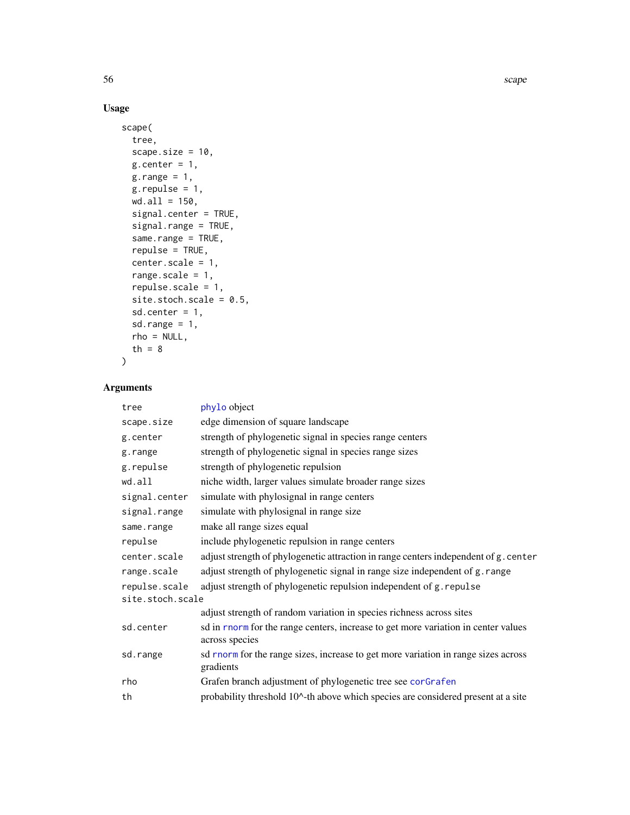## Usage

```
scape(
 tree,
 scape.size = 10,
 g.center = 1,g.random = 1,
 g.repulse = 1,
 wd.al1 = 150,signal.center = TRUE,
 signal.range = TRUE,
  same.range = TRUE,
 repulse = TRUE,
 center.scale = 1,
 range.scale = 1,
 repulse.scale = 1,
 site.stoch.scale = 0.5,
 sd.center = 1,
 sd.range = 1,
 rho = NULL,th = 8)
```
## Arguments

| tree             | phylo object                                                                                         |
|------------------|------------------------------------------------------------------------------------------------------|
| scape.size       | edge dimension of square landscape                                                                   |
| g.center         | strength of phylogenetic signal in species range centers                                             |
| g.range          | strength of phylogenetic signal in species range sizes                                               |
| g.repulse        | strength of phylogenetic repulsion                                                                   |
| wd.all           | niche width, larger values simulate broader range sizes                                              |
| signal.center    | simulate with phylosignal in range centers                                                           |
| signal.range     | simulate with phylosignal in range size                                                              |
| same.range       | make all range sizes equal                                                                           |
| repulse          | include phylogenetic repulsion in range centers                                                      |
| center.scale     | adjust strength of phylogenetic attraction in range centers independent of g. center                 |
| range.scale      | adjust strength of phylogenetic signal in range size independent of g. range                         |
| repulse.scale    | adjust strength of phylogenetic repulsion independent of g. repulse                                  |
| site.stoch.scale |                                                                                                      |
|                  | adjust strength of random variation in species richness across sites                                 |
| sd.center        | sd in rnorm for the range centers, increase to get more variation in center values<br>across species |
| sd.range         | sd rnorm for the range sizes, increase to get more variation in range sizes across<br>gradients      |
| rho              | Grafen branch adjustment of phylogenetic tree see corGrafen                                          |
| th               | probability threshold 10^-th above which species are considered present at a site                    |

<span id="page-55-0"></span>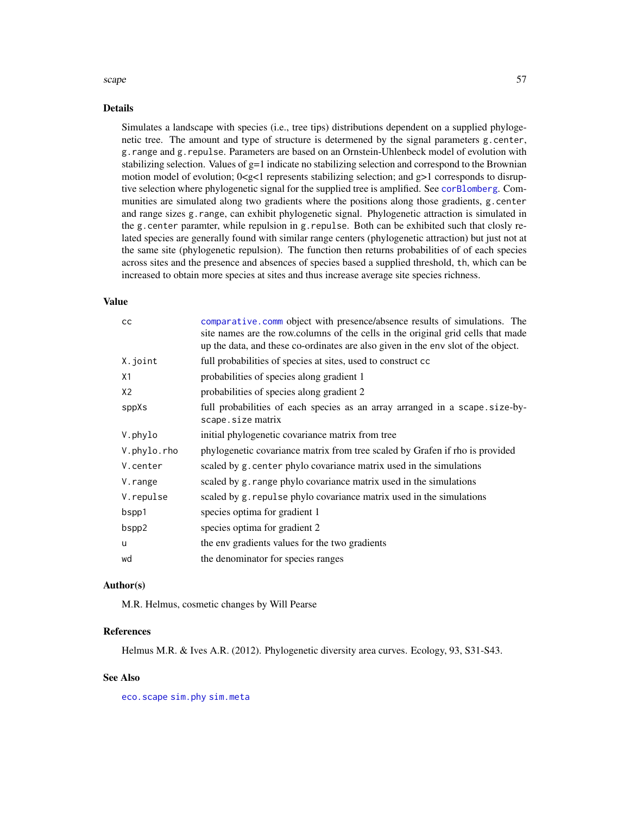#### <span id="page-56-0"></span>scape 57

#### Details

Simulates a landscape with species (i.e., tree tips) distributions dependent on a supplied phylogenetic tree. The amount and type of structure is determened by the signal parameters g.center, g.range and g.repulse. Parameters are based on an Ornstein-Uhlenbeck model of evolution with stabilizing selection. Values of  $g=1$  indicate no stabilizing selection and correspond to the Brownian motion model of evolution;  $0 < g < 1$  represents stabilizing selection; and  $g > 1$  corresponds to disruptive selection where phylogenetic signal for the supplied tree is amplified. See [corBlomberg](#page-0-0). Communities are simulated along two gradients where the positions along those gradients, g.center and range sizes g.range, can exhibit phylogenetic signal. Phylogenetic attraction is simulated in the g.center paramter, while repulsion in g.repulse. Both can be exhibited such that closly related species are generally found with similar range centers (phylogenetic attraction) but just not at the same site (phylogenetic repulsion). The function then returns probabilities of of each species across sites and the presence and absences of species based a supplied threshold, th, which can be increased to obtain more species at sites and thus increase average site species richness.

#### Value

| comparative.comm object with presence/absence results of simulations. The<br>site names are the row.columns of the cells in the original grid cells that made<br>up the data, and these co-ordinates are also given in the env slot of the object. |
|----------------------------------------------------------------------------------------------------------------------------------------------------------------------------------------------------------------------------------------------------|
| full probabilities of species at sites, used to construct cc                                                                                                                                                                                       |
| probabilities of species along gradient 1                                                                                                                                                                                                          |
| probabilities of species along gradient 2                                                                                                                                                                                                          |
| full probabilities of each species as an array arranged in a scape.size-by-<br>scape.size matrix                                                                                                                                                   |
| initial phylogenetic covariance matrix from tree                                                                                                                                                                                                   |
| phylogenetic covariance matrix from tree scaled by Grafen if rho is provided                                                                                                                                                                       |
| scaled by g. center phylo covariance matrix used in the simulations                                                                                                                                                                                |
| scaled by g. range phylo covariance matrix used in the simulations                                                                                                                                                                                 |
| scaled by g. repulse phylo covariance matrix used in the simulations                                                                                                                                                                               |
| species optima for gradient 1                                                                                                                                                                                                                      |
| species optima for gradient 2                                                                                                                                                                                                                      |
| the env gradients values for the two gradients                                                                                                                                                                                                     |
| the denominator for species ranges                                                                                                                                                                                                                 |
|                                                                                                                                                                                                                                                    |

## Author(s)

M.R. Helmus, cosmetic changes by Will Pearse

#### **References**

Helmus M.R. & Ives A.R. (2012). Phylogenetic diversity area curves. Ecology, 93, S31-S43.

## See Also

[eco.scape](#page-9-1) [sim.phy](#page-59-1) [sim.meta](#page-57-1)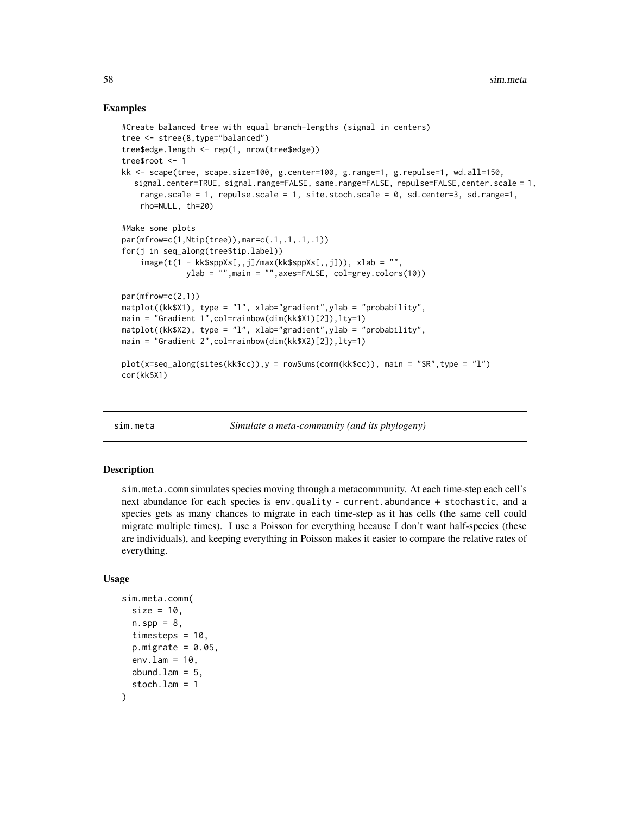#### Examples

```
#Create balanced tree with equal branch-lengths (signal in centers)
tree <- stree(8,type="balanced")
tree$edge.length <- rep(1, nrow(tree$edge))
tree$root <- 1
kk <- scape(tree, scape.size=100, g.center=100, g.range=1, g.repulse=1, wd.all=150,
  signal.center=TRUE, signal.range=FALSE, same.range=FALSE, repulse=FALSE,center.scale = 1,
    range.scale = 1, repulse.scale = 1, site.stoch.scale = 0, sd.center=3, sd.range=1,
    rho=NULL, th=20)
#Make some plots
par(mfrow=c(1,Ntip(tree)),mar=c(.1,.1,.1,.1))
for(j in seq_along(tree$tip.label))
    image(t(1 - kk$sppXs[,,j]/max(kk$sppXs[,,j])), xlab = "",
             ylab = "",main = "",axes=FALSE, col=grey.colors(10))
par(mfrow=c(2,1))matplot((kk$X1), type = "l", xlab="gradient",ylab = "probability",
main = "Gradient 1",col=rainbow(dim(kk$X1)[2]),lty=1)
matplot((kk$X2), type = "l", xlab="gradient",ylab = "probability",
main = "Gradient 2",col=rainbow(dim(kk$X2)[2]),lty=1)
plot(x=seq_along(sites(kk$cc)),y = rowSums(comm(kk$cc)), main = "SR",type = "l")
cor(kk$X1)
```
<span id="page-57-1"></span>

sim.meta *Simulate a meta-community (and its phylogeny)*

#### <span id="page-57-2"></span>Description

sim.meta.comm simulates species moving through a metacommunity. At each time-step each cell's next abundance for each species is env.quality - current.abundance + stochastic, and a species gets as many chances to migrate in each time-step as it has cells (the same cell could migrate multiple times). I use a Poisson for everything because I don't want half-species (these are individuals), and keeping everything in Poisson makes it easier to compare the relative rates of everything.

#### Usage

```
sim.meta.comm(
  size = 10,n.\,spp = 8,timesteps = 10.
 p.migrate = 0.05,
  env.lam = 10,
  abund.lam = 5,
  stoch.lam = 1
)
```
<span id="page-57-0"></span>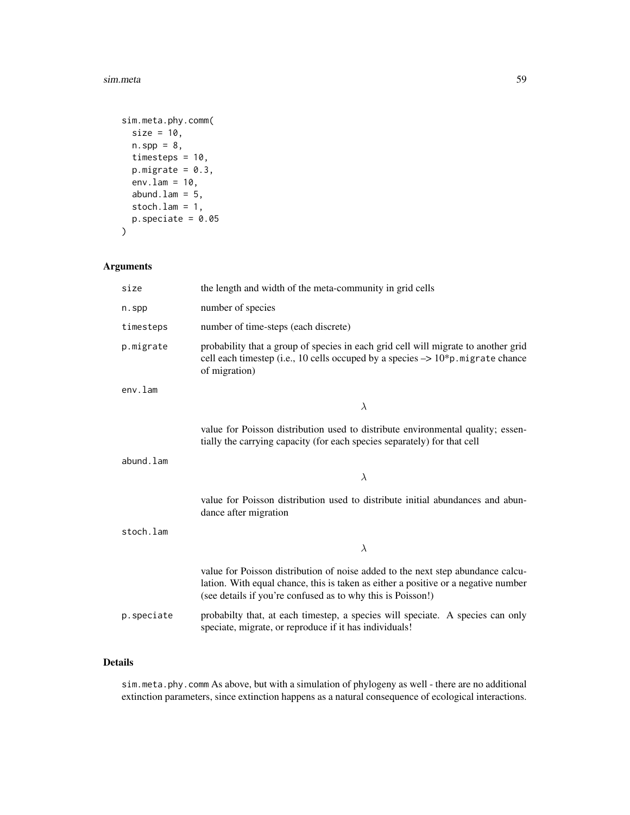#### sim.meta 59

```
sim.meta.phy.comm(
 size = 10,n.\,spp = 8,timesteps = 10,
 p.migrate = 0.3,env.lam = 10,
  abund.lam = 5,
  stoch.lam = 1,
 p.\text{specific} = 0.05)
```
## Arguments

| size       | the length and width of the meta-community in grid cells                                                                                                                                                                             |  |
|------------|--------------------------------------------------------------------------------------------------------------------------------------------------------------------------------------------------------------------------------------|--|
| n.spp      | number of species                                                                                                                                                                                                                    |  |
| timesteps  | number of time-steps (each discrete)                                                                                                                                                                                                 |  |
| p.migrate  | probability that a group of species in each grid cell will migrate to another grid<br>cell each timestep (i.e., 10 cells occuped by a species $\rightarrow$ 10*p. migrate chance<br>of migration)                                    |  |
| $env.l$ am |                                                                                                                                                                                                                                      |  |
|            | $\lambda$                                                                                                                                                                                                                            |  |
|            | value for Poisson distribution used to distribute environmental quality; essen-<br>tially the carrying capacity (for each species separately) for that cell                                                                          |  |
| abund.lam  |                                                                                                                                                                                                                                      |  |
|            | $\lambda$                                                                                                                                                                                                                            |  |
|            | value for Poisson distribution used to distribute initial abundances and abun-<br>dance after migration                                                                                                                              |  |
| stoch.lam  |                                                                                                                                                                                                                                      |  |
|            | $\lambda$                                                                                                                                                                                                                            |  |
|            | value for Poisson distribution of noise added to the next step abundance calcu-<br>lation. With equal chance, this is taken as either a positive or a negative number<br>(see details if you're confused as to why this is Poisson!) |  |
| p.speciate | probabilty that, at each timestep, a species will speciate. A species can only<br>speciate, migrate, or reproduce if it has individuals!                                                                                             |  |

## Details

sim.meta.phy.comm As above, but with a simulation of phylogeny as well - there are no additional extinction parameters, since extinction happens as a natural consequence of ecological interactions.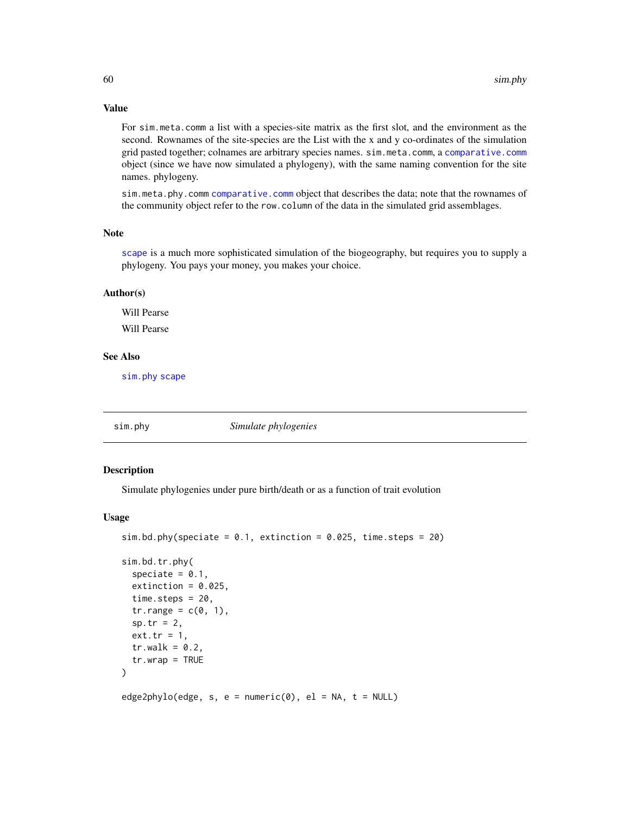## Value

For sim.meta.comm a list with a species-site matrix as the first slot, and the environment as the second. Rownames of the site-species are the List with the x and y co-ordinates of the simulation grid pasted together; colnames are arbitrary species names. sim.meta.comm, a [comparative.comm](#page-4-1) object (since we have now simulated a phylogeny), with the same naming convention for the site names. phylogeny.

sim.meta.phy.comm [comparative.comm](#page-4-1) object that describes the data; note that the rownames of the community object refer to the row.column of the data in the simulated grid assemblages.

#### Note

[scape](#page-54-1) is a much more sophisticated simulation of the biogeography, but requires you to supply a phylogeny. You pays your money, you makes your choice.

#### Author(s)

Will Pearse

Will Pearse

## See Also

[sim.phy](#page-59-1) [scape](#page-54-1)

<span id="page-59-1"></span>sim.phy *Simulate phylogenies*

#### Description

Simulate phylogenies under pure birth/death or as a function of trait evolution

#### Usage

```
sim.bd.phy(speciate = 0.1, extinction = 0.025, time.steps = 20)
```

```
sim.bd.tr.phy(
  speciate = 0.1,
  extinction = 0.025,
  time.steps = 20,
  tr.random = c(0, 1),sp.tr = 2,ext.tr = 1,
  tr(walk = 0.2,tr.wrap = TRUE)
edge2phylo(edge, s, e = numeric(0), el = NA, t = NULL)
```
<span id="page-59-0"></span>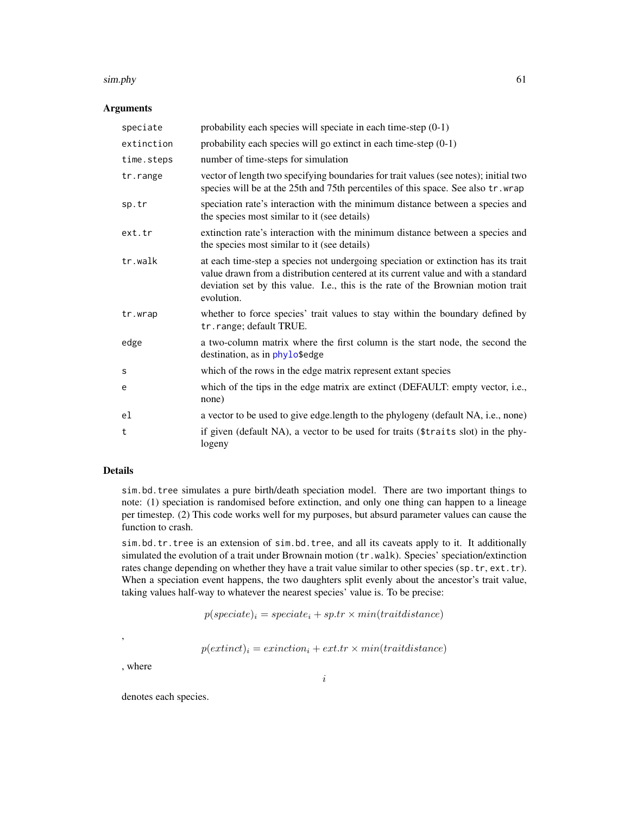#### <span id="page-60-0"></span> $s$ im.phy 61

## Arguments

| speciate   | probability each species will speciate in each time-step $(0-1)$                                                                                                                                                                                                         |
|------------|--------------------------------------------------------------------------------------------------------------------------------------------------------------------------------------------------------------------------------------------------------------------------|
| extinction | probability each species will go extinct in each time-step $(0-1)$                                                                                                                                                                                                       |
| time.steps | number of time-steps for simulation                                                                                                                                                                                                                                      |
| tr.range   | vector of length two specifying boundaries for trait values (see notes); initial two<br>species will be at the 25th and 75th percentiles of this space. See also tr. wrap                                                                                                |
| sp.tr      | speciation rate's interaction with the minimum distance between a species and<br>the species most similar to it (see details)                                                                                                                                            |
| ext.tr     | extinction rate's interaction with the minimum distance between a species and<br>the species most similar to it (see details)                                                                                                                                            |
| tr.walk    | at each time-step a species not undergoing speciation or extinction has its trait<br>value drawn from a distribution centered at its current value and with a standard<br>deviation set by this value. I.e., this is the rate of the Brownian motion trait<br>evolution. |
| tr.wrap    | whether to force species' trait values to stay within the boundary defined by<br>tr.range; default TRUE.                                                                                                                                                                 |
| edge       | a two-column matrix where the first column is the start node, the second the<br>destination, as in phylo\$edge                                                                                                                                                           |
| S          | which of the rows in the edge matrix represent extant species                                                                                                                                                                                                            |
| e          | which of the tips in the edge matrix are extinct (DEFAULT: empty vector, i.e.,<br>none)                                                                                                                                                                                  |
| el         | a vector to be used to give edge.length to the phylogeny (default NA, i.e., none)                                                                                                                                                                                        |
| t          | if given (default NA), a vector to be used for traits (\$traits slot) in the phy-<br>logeny                                                                                                                                                                              |

## Details

sim.bd.tree simulates a pure birth/death speciation model. There are two important things to note: (1) speciation is randomised before extinction, and only one thing can happen to a lineage per timestep. (2) This code works well for my purposes, but absurd parameter values can cause the function to crash.

sim.bd.tr.tree is an extension of sim.bd.tree, and all its caveats apply to it. It additionally simulated the evolution of a trait under Brownain motion ( $tr.walk$ ). Species' speciation/extinction rates change depending on whether they have a trait value similar to other species (sp.tr, ext.tr). When a speciation event happens, the two daughters split evenly about the ancestor's trait value, taking values half-way to whatever the nearest species' value is. To be precise:

 $p(specified)$ <sub>i</sub> = speciate<sub>i</sub> + sp.tr × min(traitdistance)

 $p(extinct)_i = extinction_i + ext.tr \times mini(traitdistance)$ 

, where

,

denotes each species.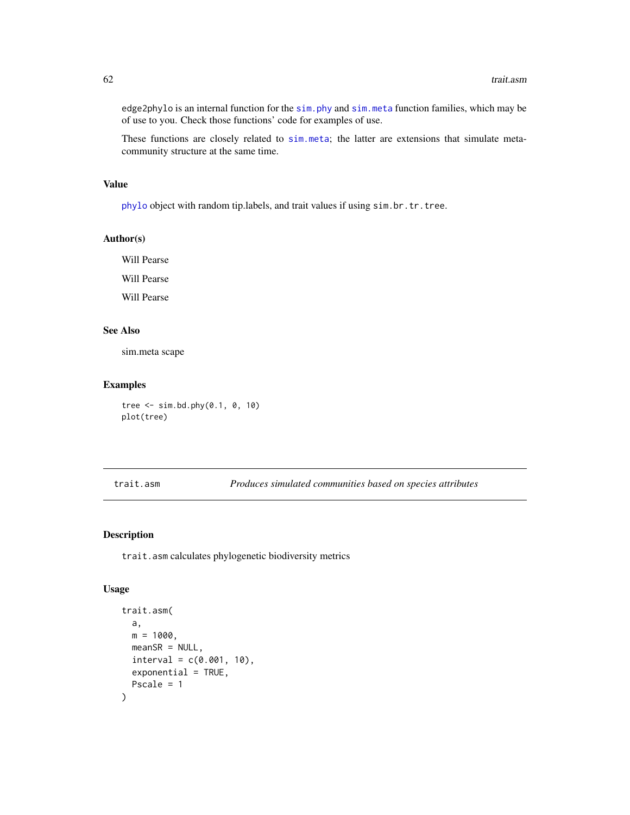edge2phylo is an internal function for the [sim.phy](#page-59-1) and [sim.meta](#page-57-1) function families, which may be of use to you. Check those functions' code for examples of use.

These functions are closely related to [sim.meta](#page-57-1); the latter are extensions that simulate metacommunity structure at the same time.

#### Value

[phylo](#page-0-0) object with random tip.labels, and trait values if using sim.br.tr.tree.

## Author(s)

Will Pearse

Will Pearse

Will Pearse

## See Also

sim.meta scape

## Examples

tree <- sim.bd.phy(0.1, 0, 10) plot(tree)

<span id="page-61-1"></span>trait.asm *Produces simulated communities based on species attributes*

#### Description

trait.asm calculates phylogenetic biodiversity metrics

#### Usage

```
trait.asm(
  a,
 m = 1000,
 meanSR = NULL,
  interval = c(0.001, 10),
  exponential = TRUE,
 Pscale = 1
)
```
<span id="page-61-0"></span>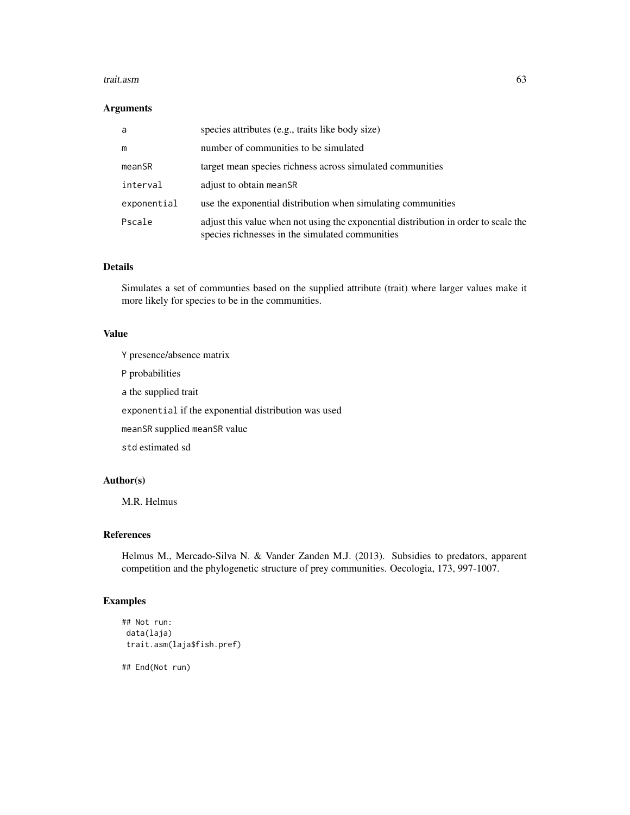#### trait.asm 63

## Arguments

| a           | species attributes (e.g., traits like body size)                                                                                       |
|-------------|----------------------------------------------------------------------------------------------------------------------------------------|
| m           | number of communities to be simulated                                                                                                  |
| meanSR      | target mean species richness across simulated communities                                                                              |
| interval    | adjust to obtain meanSR                                                                                                                |
| exponential | use the exponential distribution when simulating communities                                                                           |
| Pscale      | adjust this value when not using the exponential distribution in order to scale the<br>species richnesses in the simulated communities |

## Details

Simulates a set of communties based on the supplied attribute (trait) where larger values make it more likely for species to be in the communities.

## Value

Y presence/absence matrix

P probabilities

a the supplied trait

exponential if the exponential distribution was used

meanSR supplied meanSR value

std estimated sd

## Author(s)

M.R. Helmus

#### References

Helmus M., Mercado-Silva N. & Vander Zanden M.J. (2013). Subsidies to predators, apparent competition and the phylogenetic structure of prey communities. Oecologia, 173, 997-1007.

## Examples

```
## Not run:
data(laja)
trait.asm(laja$fish.pref)
```
## End(Not run)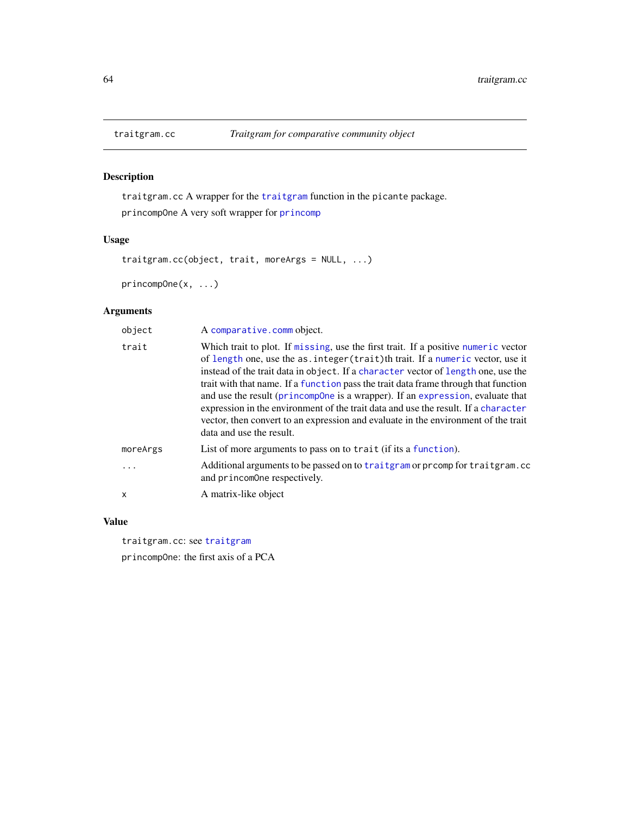## <span id="page-63-2"></span>Description

traitgram.cc A wrapper for the [traitgram](#page-0-0) function in the picante package. princompOne A very soft wrapper for [princomp](#page-0-0)

## Usage

```
traitgram.cc(object, trait, moreArgs = NULL, ...)
```

```
princompOne(x, ...)
```
## Arguments

| object   | A comparative.comm object.                                                                                                                                                                                                                                                                                                                                                                                                                                                                                                                                                                                                                   |
|----------|----------------------------------------------------------------------------------------------------------------------------------------------------------------------------------------------------------------------------------------------------------------------------------------------------------------------------------------------------------------------------------------------------------------------------------------------------------------------------------------------------------------------------------------------------------------------------------------------------------------------------------------------|
| trait    | Which trait to plot. If missing, use the first trait. If a positive numeric vector<br>of length one, use the as. integer (trait) th trait. If a numeric vector, use it<br>instead of the trait data in object. If a character vector of length one, use the<br>trait with that name. If a function pass the trait data frame through that function<br>and use the result (princompOne is a wrapper). If an expression, evaluate that<br>expression in the environment of the trait data and use the result. If a character<br>vector, then convert to an expression and evaluate in the environment of the trait<br>data and use the result. |
| moreArgs | List of more arguments to pass on to trait (if its a function).                                                                                                                                                                                                                                                                                                                                                                                                                                                                                                                                                                              |
| $\cdots$ | Additional arguments to be passed on to traitgram or promp for traitgram.com<br>and princomOne respectively.                                                                                                                                                                                                                                                                                                                                                                                                                                                                                                                                 |
| x        | A matrix-like object                                                                                                                                                                                                                                                                                                                                                                                                                                                                                                                                                                                                                         |

## Value

traitgram.cc: see [traitgram](#page-0-0)

princompOne: the first axis of a PCA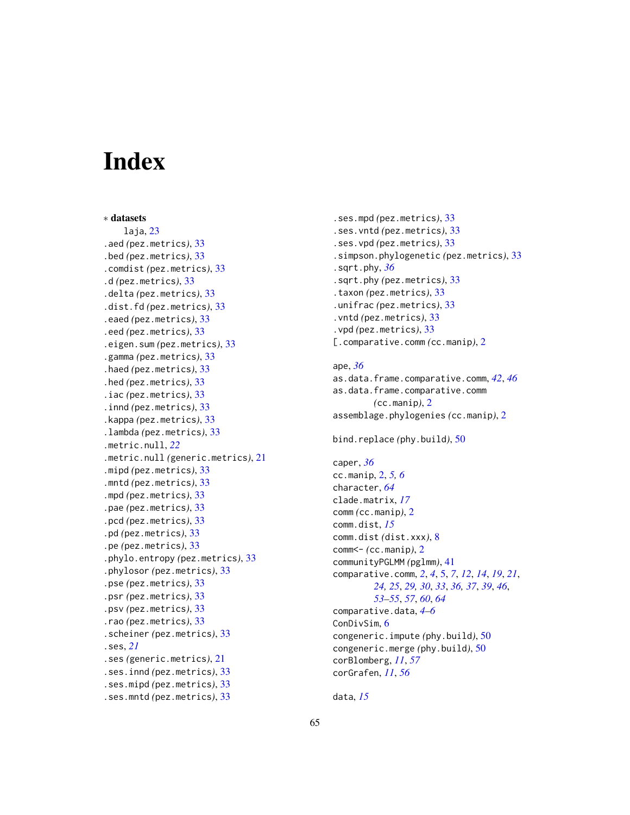# <span id="page-64-0"></span>**Index**

∗ datasets laja, [23](#page-22-0) .aed *(*pez.metrics*)*, [33](#page-32-0) .bed *(*pez.metrics*)*, [33](#page-32-0) .comdist *(*pez.metrics*)*, [33](#page-32-0) .d *(*pez.metrics*)*, [33](#page-32-0) .delta *(*pez.metrics*)*, [33](#page-32-0) .dist.fd *(*pez.metrics*)*, [33](#page-32-0) .eaed *(*pez.metrics*)*, [33](#page-32-0) .eed *(*pez.metrics*)*, [33](#page-32-0) .eigen.sum *(*pez.metrics*)*, [33](#page-32-0) .gamma *(*pez.metrics*)*, [33](#page-32-0) .haed *(*pez.metrics*)*, [33](#page-32-0) .hed *(*pez.metrics*)*, [33](#page-32-0) .iac *(*pez.metrics*)*, [33](#page-32-0) .innd *(*pez.metrics*)*, [33](#page-32-0) .kappa *(*pez.metrics*)*, [33](#page-32-0) .lambda *(*pez.metrics*)*, [33](#page-32-0) .metric.null, *[22](#page-21-0)* .metric.null *(*generic.metrics*)*, [21](#page-20-0) .mipd *(*pez.metrics*)*, [33](#page-32-0) .mntd *(*pez.metrics*)*, [33](#page-32-0) .mpd *(*pez.metrics*)*, [33](#page-32-0) .pae *(*pez.metrics*)*, [33](#page-32-0) .pcd *(*pez.metrics*)*, [33](#page-32-0) .pd *(*pez.metrics*)*, [33](#page-32-0) .pe *(*pez.metrics*)*, [33](#page-32-0) .phylo.entropy *(*pez.metrics*)*, [33](#page-32-0) .phylosor *(*pez.metrics*)*, [33](#page-32-0) .pse *(*pez.metrics*)*, [33](#page-32-0) .psr *(*pez.metrics*)*, [33](#page-32-0) .psv *(*pez.metrics*)*, [33](#page-32-0) .rao *(*pez.metrics*)*, [33](#page-32-0) .scheiner *(*pez.metrics*)*, [33](#page-32-0) .ses, *[21](#page-20-0)* .ses *(*generic.metrics*)*, [21](#page-20-0) .ses.innd *(*pez.metrics*)*, [33](#page-32-0) .ses.mipd *(*pez.metrics*)*, [33](#page-32-0) .ses.mntd *(*pez.metrics*)*, [33](#page-32-0)

.ses.mpd *(*pez.metrics*)*, [33](#page-32-0) .ses.vntd *(*pez.metrics*)*, [33](#page-32-0) .ses.vpd *(*pez.metrics*)*, [33](#page-32-0) .simpson.phylogenetic *(*pez.metrics*)*, [33](#page-32-0) .sqrt.phy, *[36](#page-35-0)* .sqrt.phy *(*pez.metrics*)*, [33](#page-32-0) .taxon *(*pez.metrics*)*, [33](#page-32-0) .unifrac *(*pez.metrics*)*, [33](#page-32-0) .vntd *(*pez.metrics*)*, [33](#page-32-0) .vpd *(*pez.metrics*)*, [33](#page-32-0) [.comparative.comm *(*cc.manip*)*, [2](#page-1-0)

## ape, *[36](#page-35-0)* as.data.frame.comparative.comm, *[42](#page-41-0)*, *[46](#page-45-0)* as.data.frame.comparative.comm *(*cc.manip*)*, [2](#page-1-0) assemblage.phylogenies *(*cc.manip*)*, [2](#page-1-0)

```
bind.replace (phy.build), 50
```
caper, *[36](#page-35-0)* cc.manip, [2,](#page-1-0) *[5,](#page-4-0) [6](#page-5-0)* character, *[64](#page-63-0)* clade.matrix, *[17](#page-16-0)* comm *(*cc.manip*)*, [2](#page-1-0) comm.dist, *[15](#page-14-0)* comm.dist *(*dist.xxx*)*, [8](#page-7-0) comm<- *(*cc.manip*)*, [2](#page-1-0) communityPGLMM *(*pglmm*)*, [41](#page-40-0) comparative.comm, *[2](#page-1-0)*, *[4](#page-3-0)*, [5,](#page-4-0) *[7](#page-6-0)*, *[12](#page-11-0)*, *[14](#page-13-0)*, *[19](#page-18-0)*, *[21](#page-20-0)*, *[24,](#page-23-0) [25](#page-24-0)*, *[29,](#page-28-0) [30](#page-29-0)*, *[33](#page-32-0)*, *[36,](#page-35-0) [37](#page-36-0)*, *[39](#page-38-0)*, *[46](#page-45-0)*, *[53](#page-52-0)[–55](#page-54-0)*, *[57](#page-56-0)*, *[60](#page-59-0)*, *[64](#page-63-0)* comparative.data, *[4](#page-3-0)[–6](#page-5-0)* ConDivSim, [6](#page-5-0) congeneric.impute *(*phy.build*)*, [50](#page-49-0) congeneric.merge *(*phy.build*)*, [50](#page-49-0) corBlomberg, *[11](#page-10-0)*, *[57](#page-56-0)* corGrafen, *[11](#page-10-0)*, *[56](#page-55-0)*

```
data, 15
```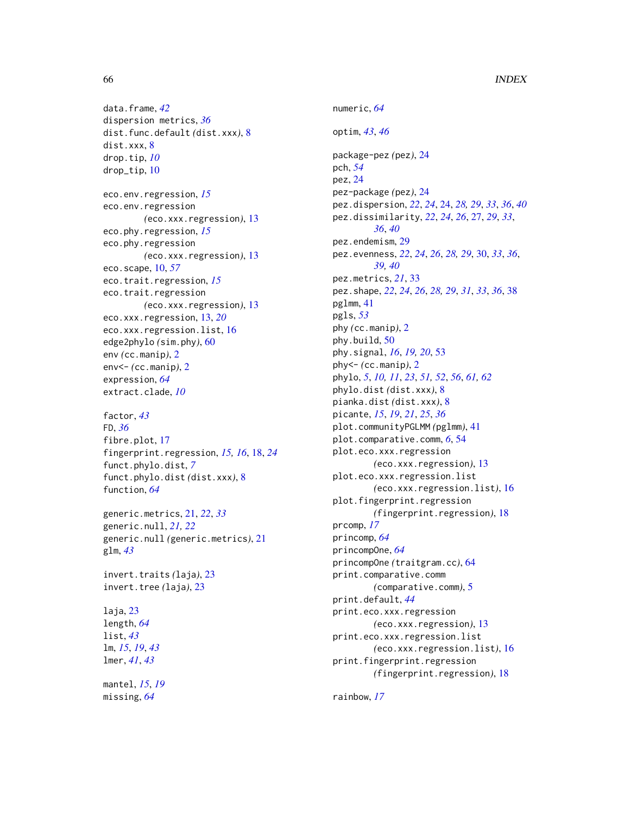data.frame, *[42](#page-41-0)* dispersion metrics, *[36](#page-35-0)* dist.func.default *(*dist.xxx*)*, [8](#page-7-0) dist.xxx, [8](#page-7-0) drop.tip, *[10](#page-9-0)* drop\_tip, [10](#page-9-0) eco.env.regression, *[15](#page-14-0)* eco.env.regression *(*eco.xxx.regression*)*, [13](#page-12-0) eco.phy.regression, *[15](#page-14-0)* eco.phy.regression *(*eco.xxx.regression*)*, [13](#page-12-0) eco.scape, [10,](#page-9-0) *[57](#page-56-0)* eco.trait.regression, *[15](#page-14-0)* eco.trait.regression *(*eco.xxx.regression*)*, [13](#page-12-0) eco.xxx.regression, [13,](#page-12-0) *[20](#page-19-0)* eco.xxx.regression.list, [16](#page-15-0) edge2phylo *(*sim.phy*)*, [60](#page-59-0) env *(*cc.manip*)*, [2](#page-1-0) env<- *(*cc.manip*)*, [2](#page-1-0) expression, *[64](#page-63-0)* extract.clade, *[10](#page-9-0)*

factor, *[43](#page-42-0)* FD, *[36](#page-35-0)* fibre.plot, [17](#page-16-0) fingerprint.regression, *[15,](#page-14-0) [16](#page-15-0)*, [18,](#page-17-0) *[24](#page-23-0)* funct.phylo.dist, *[7](#page-6-0)* funct.phylo.dist *(*dist.xxx*)*, [8](#page-7-0) function, *[64](#page-63-0)*

generic.metrics, [21,](#page-20-0) *[22](#page-21-0)*, *[33](#page-32-0)* generic.null, *[21,](#page-20-0) [22](#page-21-0)* generic.null *(*generic.metrics*)*, [21](#page-20-0) glm, *[43](#page-42-0)*

invert.traits *(*laja*)*, [23](#page-22-0) invert.tree *(*laja*)*, [23](#page-22-0)

laja, [23](#page-22-0) length, *[64](#page-63-0)* list, *[43](#page-42-0)* lm, *[15](#page-14-0)*, *[19](#page-18-0)*, *[43](#page-42-0)* lmer, *[41](#page-40-0)*, *[43](#page-42-0)*

mantel, *[15](#page-14-0)*, *[19](#page-18-0)* missing, *[64](#page-63-0)*

numeric, *[64](#page-63-0)* optim, *[43](#page-42-0)*, *[46](#page-45-0)* package-pez *(*pez*)*, [24](#page-23-0) pch, *[54](#page-53-0)* pez, [24](#page-23-0) pez-package *(*pez*)*, [24](#page-23-0) pez.dispersion, *[22](#page-21-0)*, *[24](#page-23-0)*, [24,](#page-23-0) *[28,](#page-27-0) [29](#page-28-0)*, *[33](#page-32-0)*, *[36](#page-35-0)*, *[40](#page-39-0)* pez.dissimilarity, *[22](#page-21-0)*, *[24](#page-23-0)*, *[26](#page-25-0)*, [27,](#page-26-0) *[29](#page-28-0)*, *[33](#page-32-0)*, *[36](#page-35-0)*, *[40](#page-39-0)* pez.endemism, [29](#page-28-0) pez.evenness, *[22](#page-21-0)*, *[24](#page-23-0)*, *[26](#page-25-0)*, *[28,](#page-27-0) [29](#page-28-0)*, [30,](#page-29-0) *[33](#page-32-0)*, *[36](#page-35-0)*, *[39,](#page-38-0) [40](#page-39-0)* pez.metrics, *[21](#page-20-0)*, [33](#page-32-0) pez.shape, *[22](#page-21-0)*, *[24](#page-23-0)*, *[26](#page-25-0)*, *[28,](#page-27-0) [29](#page-28-0)*, *[31](#page-30-0)*, *[33](#page-32-0)*, *[36](#page-35-0)*, [38](#page-37-0) pglmm, [41](#page-40-0) pgls, *[53](#page-52-0)* phy *(*cc.manip*)*, [2](#page-1-0) phy.build, [50](#page-49-0) phy.signal, *[16](#page-15-0)*, *[19,](#page-18-0) [20](#page-19-0)*, [53](#page-52-0) phy<- *(*cc.manip*)*, [2](#page-1-0) phylo, *[5](#page-4-0)*, *[10,](#page-9-0) [11](#page-10-0)*, *[23](#page-22-0)*, *[51,](#page-50-0) [52](#page-51-0)*, *[56](#page-55-0)*, *[61,](#page-60-0) [62](#page-61-0)* phylo.dist *(*dist.xxx*)*, [8](#page-7-0) pianka.dist *(*dist.xxx*)*, [8](#page-7-0) picante, *[15](#page-14-0)*, *[19](#page-18-0)*, *[21](#page-20-0)*, *[25](#page-24-0)*, *[36](#page-35-0)* plot.communityPGLMM *(*pglmm*)*, [41](#page-40-0) plot.comparative.comm, *[6](#page-5-0)*, [54](#page-53-0) plot.eco.xxx.regression *(*eco.xxx.regression*)*, [13](#page-12-0) plot.eco.xxx.regression.list *(*eco.xxx.regression.list*)*, [16](#page-15-0) plot.fingerprint.regression *(*fingerprint.regression*)*, [18](#page-17-0) prcomp, *[17](#page-16-0)* princomp, *[64](#page-63-0)* princompOne, *[64](#page-63-0)* princompOne *(*traitgram.cc*)*, [64](#page-63-0) print.comparative.comm *(*comparative.comm*)*, [5](#page-4-0) print.default, *[44](#page-43-0)* print.eco.xxx.regression *(*eco.xxx.regression*)*, [13](#page-12-0) print.eco.xxx.regression.list *(*eco.xxx.regression.list*)*, [16](#page-15-0) print.fingerprint.regression *(*fingerprint.regression*)*, [18](#page-17-0)

rainbow, *[17](#page-16-0)*